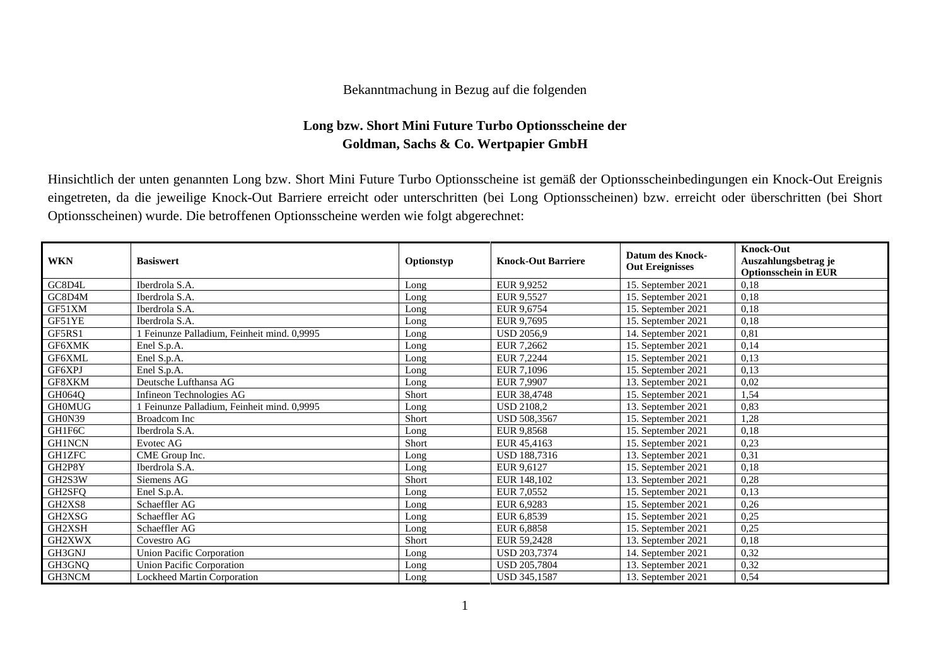## Bekanntmachung in Bezug auf die folgenden

## **Long bzw. Short Mini Future Turbo Optionsscheine der Goldman, Sachs & Co. Wertpapier GmbH**

Hinsichtlich der unten genannten Long bzw. Short Mini Future Turbo Optionsscheine ist gemäß der Optionsscheinbedingungen ein Knock-Out Ereignis eingetreten, da die jeweilige Knock-Out Barriere erreicht oder unterschritten (bei Long Optionsscheinen) bzw. erreicht oder überschritten (bei Short Optionsscheinen) wurde. Die betroffenen Optionsscheine werden wie folgt abgerechnet:

| <b>WKN</b>    | <b>Basiswert</b>                          | Optionstyp | <b>Knock-Out Barriere</b> | <b>Datum des Knock-</b><br><b>Out Ereignisses</b> | <b>Knock-Out</b><br>Auszahlungsbetrag je<br><b>Optionsschein in EUR</b> |
|---------------|-------------------------------------------|------------|---------------------------|---------------------------------------------------|-------------------------------------------------------------------------|
| GC8D4L        | Iberdrola S.A.                            | Long       | EUR 9,9252                | 15. September 2021                                | 0,18                                                                    |
| GC8D4M        | Iberdrola S.A.                            | Long       | EUR 9,5527                | 15. September 2021                                | 0,18                                                                    |
| GF51XM        | Iberdrola S.A.                            | Long       | EUR 9,6754                | 15. September 2021                                | 0,18                                                                    |
| GF51YE        | Iberdrola S.A.                            | Long       | EUR 9,7695                | 15. September 2021                                | 0,18                                                                    |
| GF5RS1        | Feinunze Palladium, Feinheit mind. 0,9995 | Long       | <b>USD 2056,9</b>         | 14. September 2021                                | 0,81                                                                    |
| GF6XMK        | Enel S.p.A.                               | Long       | EUR 7.2662                | 15. September 2021                                | 0,14                                                                    |
| GF6XML        | Enel S.p.A.                               | Long       | EUR 7.2244                | 15. September 2021                                | 0,13                                                                    |
| GF6XPJ        | Enel S.p.A.                               | Long       | EUR 7,1096                | 15. September 2021                                | 0,13                                                                    |
| GF8XKM        | Deutsche Lufthansa AG                     | Long       | EUR 7.9907                | 13. September 2021                                | 0,02                                                                    |
| GH064Q        | Infineon Technologies AG                  | Short      | EUR 38,4748               | 15. September 2021                                | 1,54                                                                    |
| <b>GH0MUG</b> | Feinunze Palladium, Feinheit mind. 0,9995 | Long       | <b>USD 2108,2</b>         | 13. September 2021                                | 0,83                                                                    |
| GH0N39        | <b>Broadcom</b> Inc                       | Short      | USD 508,3567              | 15. September 2021                                | 1,28                                                                    |
| GH1F6C        | Iberdrola S.A.                            | Long       | EUR 9.8568                | 15. September 2021                                | 0,18                                                                    |
| <b>GH1NCN</b> | Evotec AG                                 | Short      | EUR 45,4163               | 15. September 2021                                | 0,23                                                                    |
| <b>GH1ZFC</b> | CME Group Inc.                            | Long       | <b>USD 188,7316</b>       | 13. September 2021                                | 0,31                                                                    |
| GH2P8Y        | Iberdrola S.A.                            | Long       | EUR 9,6127                | 15. September 2021                                | 0,18                                                                    |
| GH2S3W        | Siemens AG                                | Short      | EUR 148,102               | 13. September 2021                                | 0,28                                                                    |
| GH2SFQ        | Enel S.p.A.                               | Long       | EUR 7,0552                | 15. September 2021                                | 0,13                                                                    |
| GH2XS8        | Schaeffler AG                             | Long       | EUR 6,9283                | 15. September 2021                                | 0,26                                                                    |
| GH2XSG        | Schaeffler AG                             | Long       | EUR 6,8539                | 15. September 2021                                | 0,25                                                                    |
| GH2XSH        | Schaeffler AG                             | Long       | EUR 6,8858                | 15. September 2021                                | 0,25                                                                    |
| GH2XWX        | Covestro AG                               | Short      | EUR 59.2428               | 13. September 2021                                | 0,18                                                                    |
| GH3GNJ        | <b>Union Pacific Corporation</b>          | Long       | USD 203,7374              | 14. September 2021                                | 0,32                                                                    |
| GH3GNQ        | <b>Union Pacific Corporation</b>          | Long       | USD 205,7804              | 13. September 2021                                | 0,32                                                                    |
| GH3NCM        | Lockheed Martin Corporation               | Long       | USD 345,1587              | 13. September 2021                                | 0,54                                                                    |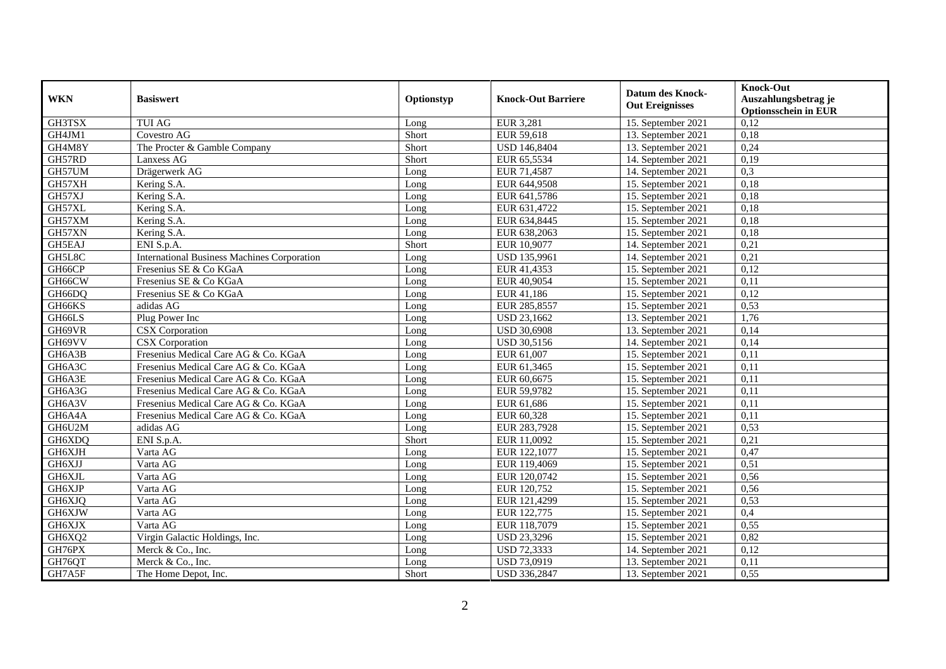| <b>WKN</b> | <b>Basiswert</b>                                   | Optionstyp | <b>Knock-Out Barriere</b> | <b>Datum des Knock-</b><br><b>Out Ereignisses</b> | <b>Knock-Out</b><br>Auszahlungsbetrag je<br><b>Optionsschein in EUR</b> |
|------------|----------------------------------------------------|------------|---------------------------|---------------------------------------------------|-------------------------------------------------------------------------|
| GH3TSX     | <b>TUI AG</b>                                      | Long       | <b>EUR 3,281</b>          | 15. September 2021                                | 0,12                                                                    |
| GH4JM1     | Covestro AG                                        | Short      | EUR 59,618                | 13. September 2021                                | 0,18                                                                    |
| GH4M8Y     | The Procter & Gamble Company                       | Short      | <b>USD 146,8404</b>       | 13. September 2021                                | 0,24                                                                    |
| GH57RD     | Lanxess AG                                         | Short      | EUR 65,5534               | 14. September 2021                                | 0,19                                                                    |
| GH57UM     | Drägerwerk AG                                      | Long       | EUR 71,4587               | 14. September 2021                                | 0,3                                                                     |
| GH57XH     | Kering S.A.                                        | Long       | EUR 644,9508              | 15. September 2021                                | 0,18                                                                    |
| GH57XJ     | Kering S.A.                                        | Long       | EUR 641,5786              | 15. September 2021                                | 0,18                                                                    |
| GH57XL     | Kering S.A.                                        | Long       | EUR 631,4722              | 15. September 2021                                | 0,18                                                                    |
| GH57XM     | Kering S.A.                                        | Long       | EUR 634,8445              | 15. September 2021                                | 0,18                                                                    |
| GH57XN     | Kering S.A.                                        | Long       | EUR 638,2063              | 15. September 2021                                | 0,18                                                                    |
| GH5EAJ     | ENI S.p.A.                                         | Short      | EUR 10,9077               | 14. September 2021                                | 0,21                                                                    |
| GH5L8C     | <b>International Business Machines Corporation</b> | Long       | USD 135,9961              | 14. September 2021                                | 0,21                                                                    |
| GH66CP     | Fresenius SE & Co KGaA                             | Long       | EUR 41,4353               | 15. September 2021                                | 0,12                                                                    |
| GH66CW     | Fresenius SE & Co KGaA                             | Long       | EUR 40,9054               | 15. September 2021                                | 0,11                                                                    |
| GH66DQ     | Fresenius SE & Co KGaA                             | Long       | EUR 41,186                | 15. September 2021                                | 0,12                                                                    |
| GH66KS     | adidas AG                                          | Long       | EUR 285,8557              | 15. September 2021                                | 0,53                                                                    |
| GH66LS     | Plug Power Inc                                     | Long       | <b>USD 23,1662</b>        | 13. September 2021                                | 1,76                                                                    |
| GH69VR     | <b>CSX</b> Corporation                             | Long       | <b>USD 30,6908</b>        | 13. September 2021                                | 0,14                                                                    |
| GH69VV     | <b>CSX</b> Corporation                             | Long       | <b>USD 30,5156</b>        | 14. September 2021                                | 0,14                                                                    |
| GH6A3B     | Fresenius Medical Care AG & Co. KGaA               | Long       | EUR 61,007                | 15. September 2021                                | 0,11                                                                    |
| GH6A3C     | Fresenius Medical Care AG & Co. KGaA               | Long       | EUR 61,3465               | 15. September 2021                                | 0,11                                                                    |
| GH6A3E     | Fresenius Medical Care AG & Co. KGaA               | Long       | EUR 60,6675               | 15. September 2021                                | 0,11                                                                    |
| GH6A3G     | Fresenius Medical Care AG & Co. KGaA               | Long       | EUR 59,9782               | 15. September 2021                                | 0,11                                                                    |
| GH6A3V     | Fresenius Medical Care AG & Co. KGaA               | Long       | EUR 61,686                | 15. September 2021                                | 0,11                                                                    |
| GH6A4A     | Fresenius Medical Care AG & Co. KGaA               | Long       | EUR 60,328                | 15. September 2021                                | 0,11                                                                    |
| GH6U2M     | adidas AG                                          | Long       | EUR 283,7928              | 15. September 2021                                | 0,53                                                                    |
| GH6XDQ     | ENI S.p.A.                                         | Short      | EUR 11,0092               | 15. September 2021                                | 0,21                                                                    |
| GH6XJH     | Varta AG                                           | Long       | EUR 122,1077              | 15. September 2021                                | 0,47                                                                    |
| GH6XJJ     | Varta AG                                           | Long       | EUR 119,4069              | 15. September 2021                                | 0,51                                                                    |
| GH6XJL     | Varta AG                                           | Long       | EUR 120,0742              | 15. September 2021                                | 0,56                                                                    |
| GH6XJP     | Varta AG                                           | Long       | EUR 120,752               | 15. September 2021                                | 0,56                                                                    |
| GH6XJQ     | Varta AG                                           | Long       | EUR 121,4299              | 15. September 2021                                | 0,53                                                                    |
| GH6XJW     | Varta AG                                           | Long       | EUR 122,775               | 15. September 2021                                | 0,4                                                                     |
| GH6XJX     | Varta AG                                           | Long       | EUR 118,7079              | 15. September 2021                                | 0,55                                                                    |
| GH6XQ2     | Virgin Galactic Holdings, Inc.                     | Long       | <b>USD 23,3296</b>        | 15. September 2021                                | 0,82                                                                    |
| GH76PX     | Merck & Co., Inc.                                  | Long       | <b>USD 72,3333</b>        | 14. September 2021                                | 0,12                                                                    |
| GH76QT     | Merck & Co., Inc.                                  | Long       | <b>USD 73,0919</b>        | 13. September 2021                                | 0,11                                                                    |
| GH7A5F     | The Home Depot, Inc.                               | Short      | USD 336,2847              | 13. September 2021                                | 0,55                                                                    |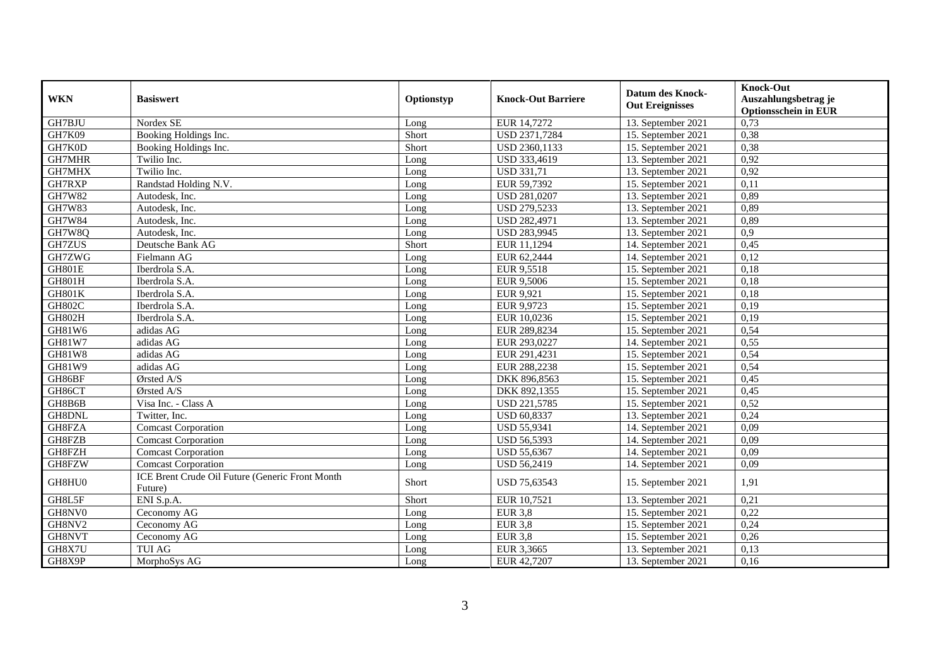| <b>WKN</b>    | <b>Basiswert</b>                                           | Optionstyp | <b>Knock-Out Barriere</b> | <b>Datum des Knock-</b><br><b>Out Ereignisses</b> | <b>Knock-Out</b><br>Auszahlungsbetrag je<br><b>Optionsschein in EUR</b> |
|---------------|------------------------------------------------------------|------------|---------------------------|---------------------------------------------------|-------------------------------------------------------------------------|
| GH7BJU        | Nordex SE                                                  | Long       | EUR 14,7272               | 13. September 2021                                | 0,73                                                                    |
| <b>GH7K09</b> | Booking Holdings Inc.                                      | Short      | USD 2371,7284             | 15. September 2021                                | 0,38                                                                    |
| GH7K0D        | Booking Holdings Inc.                                      | Short      | USD 2360,1133             | 15. September 2021                                | 0,38                                                                    |
| GH7MHR        | Twilio Inc.                                                | Long       | USD 333,4619              | 13. September 2021                                | 0,92                                                                    |
| GH7MHX        | Twilio Inc.                                                | Long       | <b>USD 331,71</b>         | 13. September 2021                                | 0,92                                                                    |
| GH7RXP        | Randstad Holding N.V.                                      | Long       | EUR 59,7392               | 15. September 2021                                | 0,11                                                                    |
| GH7W82        | Autodesk, Inc.                                             | Long       | USD 281,0207              | 13. September 2021                                | 0,89                                                                    |
| <b>GH7W83</b> | Autodesk, Inc.                                             | Long       | USD 279,5233              | 13. September 2021                                | 0,89                                                                    |
| <b>GH7W84</b> | Autodesk, Inc.                                             | Long       | <b>USD 282,4971</b>       | 13. September 2021                                | 0,89                                                                    |
| GH7W8Q        | Autodesk, Inc.                                             | Long       | <b>USD 283,9945</b>       | 13. September 2021                                | $\overline{0,9}$                                                        |
| GH7ZUS        | Deutsche Bank AG                                           | Short      | EUR 11.1294               | 14. September 2021                                | 0,45                                                                    |
| GH7ZWG        | Fielmann AG                                                | Long       | EUR 62,2444               | 14. September 2021                                | 0,12                                                                    |
| <b>GH801E</b> | Iberdrola S.A.                                             | Long       | EUR 9,5518                | 15. September 2021                                | 0,18                                                                    |
| <b>GH801H</b> | Iberdrola S.A.                                             | Long       | EUR 9,5006                | 15. September 2021                                | 0,18                                                                    |
| <b>GH801K</b> | Iberdrola S.A.                                             | Long       | EUR 9,921                 | 15. September 2021                                | 0,18                                                                    |
| <b>GH802C</b> | Iberdrola S.A.                                             | Long       | EUR 9,9723                | 15. September 2021                                | 0,19                                                                    |
| GH802H        | Iberdrola S.A.                                             | Long       | EUR 10,0236               | 15. September 2021                                | 0,19                                                                    |
| GH81W6        | adidas AG                                                  | Long       | EUR 289,8234              | 15. September 2021                                | 0,54                                                                    |
| <b>GH81W7</b> | adidas AG                                                  | Long       | EUR 293,0227              | 14. September 2021                                | 0,55                                                                    |
| GH81W8        | adidas AG                                                  | Long       | EUR 291,4231              | 15. September 2021                                | 0,54                                                                    |
| GH81W9        | adidas AG                                                  | Long       | EUR 288,2238              | 15. September 2021                                | 0,54                                                                    |
| GH86BF        | Ørsted A/S                                                 | Long       | DKK 896,8563              | 15. September 2021                                | 0,45                                                                    |
| GH86CT        | Ørsted A/S                                                 | Long       | DKK 892,1355              | 15. September 2021                                | 0,45                                                                    |
| GH8B6B        | Visa Inc. - Class A                                        | Long       | USD 221,5785              | 15. September 2021                                | 0,52                                                                    |
| GH8DNL        | Twitter, Inc.                                              | Long       | <b>USD 60,8337</b>        | 13. September 2021                                | 0,24                                                                    |
| GH8FZA        | <b>Comcast Corporation</b>                                 | Long       | <b>USD 55,9341</b>        | 14. September 2021                                | 0,09                                                                    |
| GH8FZB        | <b>Comcast Corporation</b>                                 | Long       | <b>USD 56,5393</b>        | 14. September 2021                                | 0,09                                                                    |
| GH8FZH        | <b>Comcast Corporation</b>                                 | Long       | <b>USD 55,6367</b>        | 14. September 2021                                | 0,09                                                                    |
| GH8FZW        | <b>Comcast Corporation</b>                                 | Long       | USD 56,2419               | 14. September 2021                                | 0,09                                                                    |
| GH8HU0        | ICE Brent Crude Oil Future (Generic Front Month<br>Future) | Short      | USD 75,63543              | 15. September 2021                                | 1,91                                                                    |
| GH8L5F        | ENI S.p.A.                                                 | Short      | EUR 10,7521               | 13. September 2021                                | 0,21                                                                    |
| GH8NV0        | Ceconomy AG                                                | Long       | <b>EUR 3.8</b>            | 15. September 2021                                | 0,22                                                                    |
| GH8NV2        | Ceconomy AG                                                | Long       | <b>EUR 3,8</b>            | 15. September 2021                                | 0,24                                                                    |
| GH8NVT        | Ceconomy AG                                                | Long       | <b>EUR 3,8</b>            | 15. September 2021                                | 0,26                                                                    |
| GH8X7U        | TUI AG                                                     | Long       | EUR 3,3665                | 13. September 2021                                | 0,13                                                                    |
| GH8X9P        | MorphoSys AG                                               | Long       | EUR 42,7207               | 13. September 2021                                | 0,16                                                                    |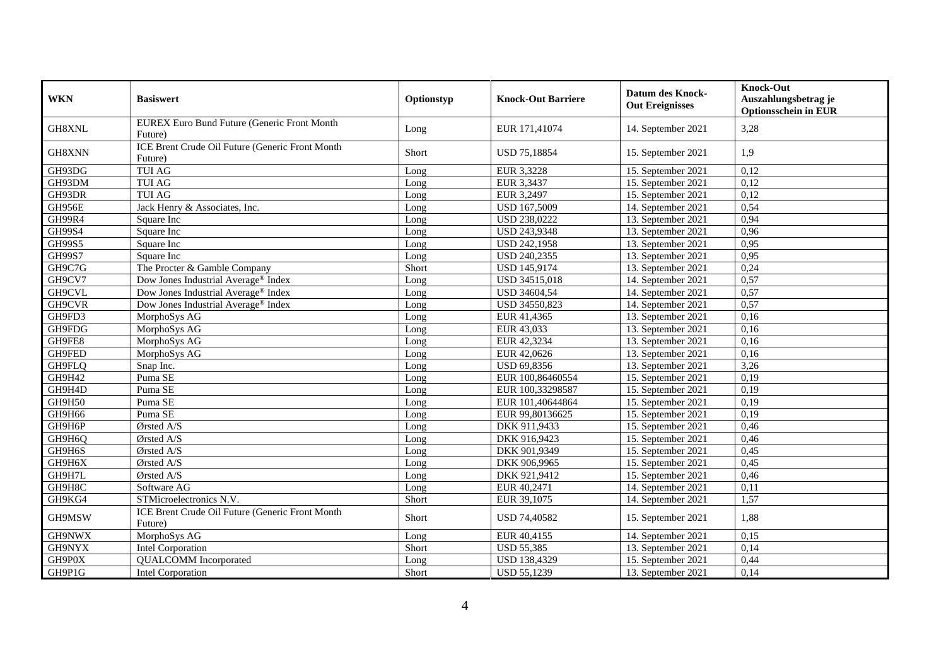| <b>WKN</b>    | <b>Basiswert</b>                                           | Optionstyp | <b>Knock-Out Barriere</b> | <b>Datum des Knock-</b><br><b>Out Ereignisses</b> | <b>Knock-Out</b><br>Auszahlungsbetrag je<br><b>Optionsschein in EUR</b> |
|---------------|------------------------------------------------------------|------------|---------------------------|---------------------------------------------------|-------------------------------------------------------------------------|
| GH8XNL        | EUREX Euro Bund Future (Generic Front Month<br>Future)     | Long       | EUR 171,41074             | 14. September 2021                                | 3,28                                                                    |
| GH8XNN        | ICE Brent Crude Oil Future (Generic Front Month<br>Future) | Short      | USD 75,18854              | 15. September 2021                                | 1,9                                                                     |
| GH93DG        | <b>TUI AG</b>                                              | Long       | EUR 3,3228                | 15. September 2021                                | 0,12                                                                    |
| GH93DM        | <b>TUI AG</b>                                              | Long       | EUR 3,3437                | 15. September 2021                                | 0,12                                                                    |
| GH93DR        | <b>TUI AG</b>                                              | Long       | EUR 3,2497                | 15. September 2021                                | 0,12                                                                    |
| GH956E        | Jack Henry & Associates, Inc.                              | Long       | USD 167,5009              | 14. September 2021                                | 0,54                                                                    |
| GH99R4        | Square Inc                                                 | Long       | <b>USD 238,0222</b>       | 13. September 2021                                | 0,94                                                                    |
| GH99S4        | Square Inc                                                 | Long       | USD 243,9348              | 13. September 2021                                | 0,96                                                                    |
| GH99S5        | Square Inc                                                 | Long       | USD 242,1958              | 13. September 2021                                | 0,95                                                                    |
| <b>GH99S7</b> | Square Inc                                                 | Long       | <b>USD 240,2355</b>       | 13. September 2021                                | 0,95                                                                    |
| GH9C7G        | The Procter & Gamble Company                               | Short      | <b>USD 145,9174</b>       | 13. September 2021                                | 0,24                                                                    |
| GH9CV7        | Dow Jones Industrial Average <sup>®</sup> Index            | Long       | USD 34515,018             | 14. September 2021                                | 0,57                                                                    |
| GH9CVL        | Dow Jones Industrial Average <sup>®</sup> Index            | Long       | USD 34604,54              | 14. September 2021                                | 0,57                                                                    |
| GH9CVR        | Dow Jones Industrial Average <sup>®</sup> Index            | Long       | USD 34550,823             | 14. September 2021                                | 0,57                                                                    |
| GH9FD3        | MorphoSys AG                                               | Long       | EUR 41,4365               | 13. September 2021                                | 0,16                                                                    |
| GH9FDG        | MorphoSys AG                                               | Long       | EUR 43,033                | 13. September 2021                                | 0,16                                                                    |
| GH9FE8        | MorphoSys AG                                               | Long       | EUR 42,3234               | 13. September 2021                                | 0,16                                                                    |
| GH9FED        | MorphoSys AG                                               | Long       | EUR 42,0626               | 13. September 2021                                | 0,16                                                                    |
| GH9FLQ        | Snap Inc.                                                  | Long       | USD 69,8356               | 13. September 2021                                | 3,26                                                                    |
| GH9H42        | Puma SE                                                    | Long       | EUR 100,86460554          | 15. September 2021                                | 0,19                                                                    |
| GH9H4D        | Puma SE                                                    | Long       | EUR 100,33298587          | 15. September 2021                                | 0,19                                                                    |
| GH9H50        | Puma SE                                                    | Long       | EUR 101,40644864          | 15. September 2021                                | 0,19                                                                    |
| GH9H66        | Puma SE                                                    | Long       | EUR 99,80136625           | 15. September 2021                                | 0,19                                                                    |
| GH9H6P        | Ørsted A/S                                                 | Long       | DKK 911,9433              | 15. September 2021                                | 0,46                                                                    |
| GH9H6Q        | Ørsted A/S                                                 | Long       | DKK 916,9423              | 15. September 2021                                | 0,46                                                                    |
| GH9H6S        | Ørsted A/S                                                 | Long       | DKK 901,9349              | 15. September 2021                                | 0,45                                                                    |
| GH9H6X        | Ørsted A/S                                                 | Long       | DKK 906,9965              | 15. September 2021                                | 0,45                                                                    |
| GH9H7L        | Ørsted A/S                                                 | Long       | DKK 921,9412              | 15. September 2021                                | 0,46                                                                    |
| GH9H8C        | Software AG                                                | Long       | EUR 40,2471               | 14. September 2021                                | 0,11                                                                    |
| GH9KG4        | STMicroelectronics N.V.                                    | Short      | EUR 39,1075               | 14. September 2021                                | 1,57                                                                    |
| GH9MSW        | ICE Brent Crude Oil Future (Generic Front Month<br>Future) | Short      | USD 74,40582              | 15. September 2021                                | 1,88                                                                    |
| GH9NWX        | MorphoSys AG                                               | Long       | EUR 40,4155               | 14. September 2021                                | 0,15                                                                    |
| GH9NYX        | <b>Intel Corporation</b>                                   | Short      | <b>USD 55,385</b>         | 13. September 2021                                | 0,14                                                                    |
| GH9P0X        | <b>QUALCOMM</b> Incorporated                               | Long       | USD 138,4329              | 15. September 2021                                | 0,44                                                                    |
| GH9P1G        | Intel Corporation                                          | Short      | <b>USD 55,1239</b>        | 13. September 2021                                | 0,14                                                                    |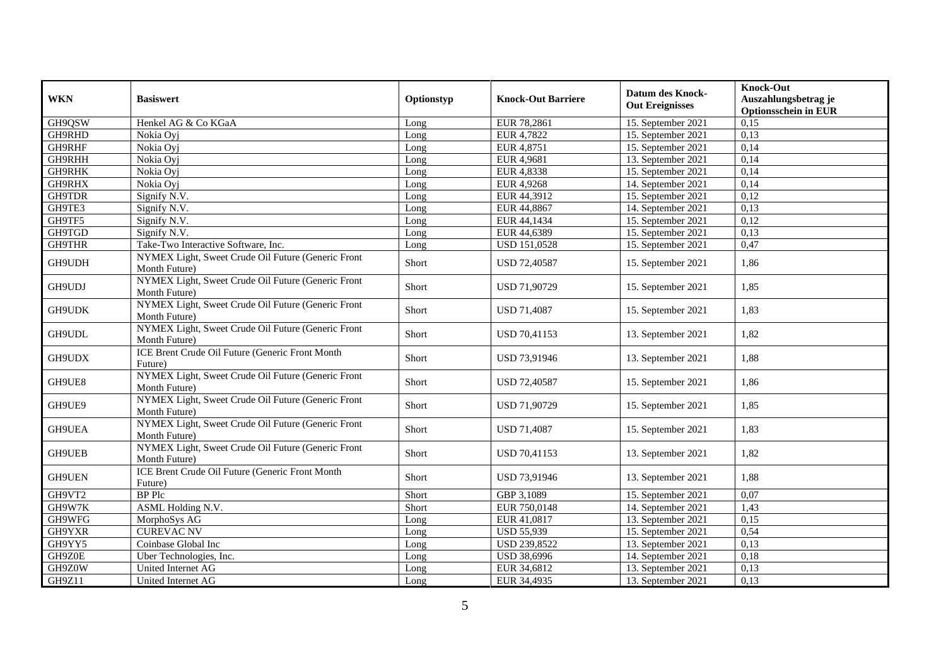| <b>WKN</b>    | <b>Basiswert</b>                                                    | Optionstyp | <b>Knock-Out Barriere</b> | <b>Datum des Knock-</b><br><b>Out Ereignisses</b> | <b>Knock-Out</b><br>Auszahlungsbetrag je<br><b>Optionsschein in EUR</b> |
|---------------|---------------------------------------------------------------------|------------|---------------------------|---------------------------------------------------|-------------------------------------------------------------------------|
| GH9QSW        | Henkel AG & Co KGaA                                                 | Long       | EUR 78,2861               | 15. September 2021                                | 0,15                                                                    |
| GH9RHD        | Nokia Oyj                                                           | Long       | EUR 4,7822                | 15. September 2021                                | 0,13                                                                    |
| GH9RHF        | Nokia Ovi                                                           | Long       | EUR 4,8751                | 15. September 2021                                | 0,14                                                                    |
| <b>GH9RHH</b> | Nokia Oyj                                                           | Long       | EUR 4,9681                | 13. September 2021                                | 0,14                                                                    |
| <b>GH9RHK</b> | Nokia Oyj                                                           | Long       | EUR 4,8338                | 15. September 2021                                | 0,14                                                                    |
| GH9RHX        | Nokia Ovi                                                           | Long       | EUR 4,9268                | 14. September 2021                                | 0,14                                                                    |
| GH9TDR        | Signify N.V.                                                        | Long       | EUR 44,3912               | 15. September 2021                                | 0,12                                                                    |
| GH9TE3        | Signify N. $\overline{V}$ .                                         | Long       | EUR 44,8867               | 14. September 2021                                | 0,13                                                                    |
| GH9TF5        | Signify N.V.                                                        | Long       | EUR 44,1434               | 15. September 2021                                | 0,12                                                                    |
| GH9TGD        | Signify N.V.                                                        | Long       | EUR 44,6389               | 15. September 2021                                | 0,13                                                                    |
| <b>GH9THR</b> | Take-Two Interactive Software, Inc.                                 | Long       | <b>USD 151,0528</b>       | 15. September 2021                                | 0,47                                                                    |
| GH9UDH        | NYMEX Light, Sweet Crude Oil Future (Generic Front<br>Month Future) | Short      | USD 72,40587              | 15. September 2021                                | 1,86                                                                    |
| GH9UDJ        | NYMEX Light, Sweet Crude Oil Future (Generic Front<br>Month Future) | Short      | USD 71,90729              | 15. September 2021                                | 1,85                                                                    |
| GH9UDK        | NYMEX Light, Sweet Crude Oil Future (Generic Front<br>Month Future) | Short      | <b>USD 71,4087</b>        | 15. September 2021                                | 1,83                                                                    |
| GH9UDL        | NYMEX Light, Sweet Crude Oil Future (Generic Front<br>Month Future) | Short      | USD 70,41153              | 13. September 2021                                | 1,82                                                                    |
| GH9UDX        | ICE Brent Crude Oil Future (Generic Front Month<br>Future)          | Short      | USD 73,91946              | 13. September 2021                                | 1,88                                                                    |
| GH9UE8        | NYMEX Light, Sweet Crude Oil Future (Generic Front<br>Month Future) | Short      | <b>USD 72,40587</b>       | 15. September 2021                                | 1,86                                                                    |
| GH9UE9        | NYMEX Light, Sweet Crude Oil Future (Generic Front<br>Month Future) | Short      | USD 71,90729              | 15. September 2021                                | 1,85                                                                    |
| GH9UEA        | NYMEX Light, Sweet Crude Oil Future (Generic Front<br>Month Future) | Short      | <b>USD 71,4087</b>        | 15. September 2021                                | 1,83                                                                    |
| <b>GH9UEB</b> | NYMEX Light, Sweet Crude Oil Future (Generic Front<br>Month Future) | Short      | USD 70,41153              | 13. September 2021                                | 1,82                                                                    |
| GH9UEN        | ICE Brent Crude Oil Future (Generic Front Month<br>Future)          | Short      | USD 73,91946              | 13. September 2021                                | 1,88                                                                    |
| GH9VT2        | <b>BP</b> Plc                                                       | Short      | GBP 3,1089                | 15. September 2021                                | 0,07                                                                    |
| GH9W7K        | ASML Holding N.V.                                                   | Short      | EUR 750,0148              | 14. September 2021                                | 1,43                                                                    |
| GH9WFG        | MorphoSys AG                                                        | Long       | EUR 41,0817               | 13. September 2021                                | 0,15                                                                    |
| GH9YXR        | <b>CUREVAC NV</b>                                                   | Long       | <b>USD 55,939</b>         | 15. September 2021                                | 0,54                                                                    |
| GH9YY5        | Coinbase Global Inc                                                 | Long       | USD 239,8522              | 13. September 2021                                | 0,13                                                                    |
| GH9Z0E        | Uber Technologies, Inc.                                             | Long       | <b>USD 38,6996</b>        | 14. September 2021                                | 0,18                                                                    |
| GH9Z0W        | United Internet AG                                                  | Long       | EUR 34,6812               | 13. September 2021                                | 0,13                                                                    |
| GH9Z11        | United Internet AG                                                  | Long       | EUR 34,4935               | 13. September 2021                                | 0,13                                                                    |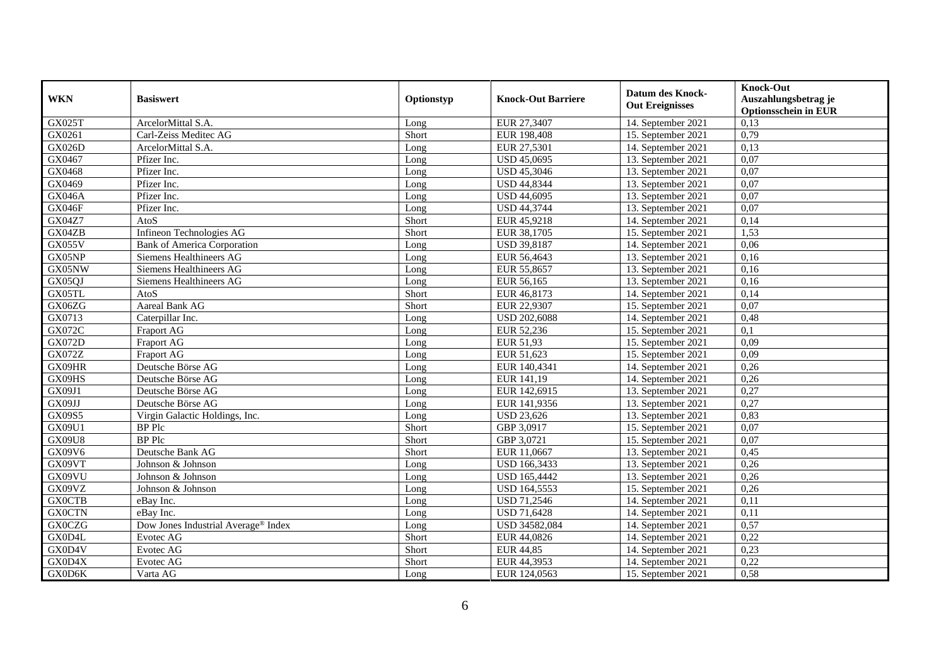| <b>WKN</b>    | <b>Basiswert</b>                                | Optionstyp | <b>Knock-Out Barriere</b> | <b>Datum des Knock-</b><br><b>Out Ereignisses</b> | <b>Knock-Out</b><br>Auszahlungsbetrag je<br><b>Optionsschein in EUR</b> |
|---------------|-------------------------------------------------|------------|---------------------------|---------------------------------------------------|-------------------------------------------------------------------------|
| <b>GX025T</b> | ArcelorMittal S.A.                              | Long       | EUR 27,3407               | 14. September 2021                                | 0,13                                                                    |
| GX0261        | Carl-Zeiss Meditec AG                           | Short      | EUR 198,408               | 15. September 2021                                | 0,79                                                                    |
| <b>GX026D</b> | ArcelorMittal S.A.                              | Long       | EUR 27,5301               | 14. September 2021                                | 0,13                                                                    |
| GX0467        | Pfizer Inc.                                     | Long       | <b>USD 45,0695</b>        | 13. September 2021                                | 0,07                                                                    |
| GX0468        | Pfizer Inc.                                     | Long       | <b>USD 45,3046</b>        | 13. September 2021                                | 0,07                                                                    |
| GX0469        | Pfizer Inc.                                     | Long       | <b>USD 44,8344</b>        | 13. September 2021                                | 0,07                                                                    |
| <b>GX046A</b> | Pfizer Inc.                                     | Long       | <b>USD 44,6095</b>        | 13. September 2021                                | 0,07                                                                    |
| GX046F        | Pfizer Inc.                                     | Long       | <b>USD 44,3744</b>        | 13. September 2021                                | 0,07                                                                    |
| <b>GX04Z7</b> | AtoS                                            | Short      | EUR 45,9218               | 14. September 2021                                | 0,14                                                                    |
| GX04ZB        | Infineon Technologies AG                        | Short      | EUR 38,1705               | 15. September 2021                                | 1,53                                                                    |
| GX055V        | <b>Bank of America Corporation</b>              | Long       | <b>USD 39,8187</b>        | 14. September 2021                                | 0,06                                                                    |
| GX05NP        | <b>Siemens Healthineers AG</b>                  | Long       | EUR 56,4643               | 13. September 2021                                | 0,16                                                                    |
| GX05NW        | Siemens Healthineers AG                         | Long       | EUR 55,8657               | 13. September 2021                                | 0,16                                                                    |
| GX05QJ        | Siemens Healthineers AG                         | Long       | EUR 56,165                | 13. September 2021                                | 0,16                                                                    |
| GX05TL        | AtoS                                            | Short      | EUR 46,8173               | 14. September 2021                                | 0,14                                                                    |
| GX06ZG        | <b>Aareal Bank AG</b>                           | Short      | EUR 22,9307               | 15. September 2021                                | 0,07                                                                    |
| GX0713        | Caterpillar Inc.                                | Long       | <b>USD 202,6088</b>       | 14. September 2021                                | 0,48                                                                    |
| <b>GX072C</b> | Fraport AG                                      | Long       | EUR 52,236                | 15. September 2021                                | 0,1                                                                     |
| <b>GX072D</b> | Fraport AG                                      | Long       | EUR 51,93                 | 15. September 2021                                | 0,09                                                                    |
| <b>GX072Z</b> | Fraport AG                                      | Long       | EUR 51,623                | 15. September 2021                                | 0,09                                                                    |
| GX09HR        | Deutsche Börse AG                               | Long       | EUR 140,4341              | 14. September 2021                                | 0,26                                                                    |
| GX09HS        | Deutsche Börse AG                               | Long       | EUR 141,19                | 14. September 2021                                | 0,26                                                                    |
| GX09J1        | Deutsche Börse AG                               | Long       | EUR 142,6915              | 13. September 2021                                | 0,27                                                                    |
| GX09JJ        | Deutsche Börse AG                               | Long       | EUR 141,9356              | 13. September 2021                                | 0,27                                                                    |
| GX09S5        | Virgin Galactic Holdings, Inc.                  | Long       | <b>USD 23,626</b>         | 13. September 2021                                | 0,83                                                                    |
| GX09U1        | <b>BP</b> Plc                                   | Short      | GBP 3,0917                | 15. September 2021                                | 0,07                                                                    |
| <b>GX09U8</b> | <b>BP</b> Plc                                   | Short      | GBP 3,0721                | 15. September 2021                                | 0,07                                                                    |
| GX09V6        | Deutsche Bank AG                                | Short      | EUR 11,0667               | 13. September 2021                                | 0,45                                                                    |
| GX09VT        | Johnson & Johnson                               | Long       | USD 166,3433              | 13. September 2021                                | 0,26                                                                    |
| GX09VU        | Johnson & Johnson                               | Long       | <b>USD 165,4442</b>       | 13. September 2021                                | 0,26                                                                    |
| GX09VZ        | Johnson & Johnson                               | Long       | USD 164,5553              | 15. September 2021                                | 0,26                                                                    |
| <b>GX0CTB</b> | eBay Inc.                                       | Long       | <b>USD 71,2546</b>        | 14. September 2021                                | 0,11                                                                    |
| <b>GX0CTN</b> | eBay Inc.                                       | Long       | <b>USD 71,6428</b>        | 14. September 2021                                | 0,11                                                                    |
| <b>GX0CZG</b> | Dow Jones Industrial Average <sup>®</sup> Index | Long       | USD 34582,084             | 14. September 2021                                | 0,57                                                                    |
| GX0D4L        | Evotec AG                                       | Short      | EUR 44,0826               | 14. September 2021                                | 0,22                                                                    |
| GX0D4V        | Evotec AG                                       | Short      | <b>EUR 44,85</b>          | 14. September 2021                                | 0,23                                                                    |
| GX0D4X        | Evotec AG                                       | Short      | EUR 44,3953               | 14. September 2021                                | 0,22                                                                    |
| GX0D6K        | Varta AG                                        | Long       | EUR 124,0563              | 15. September 2021                                | 0,58                                                                    |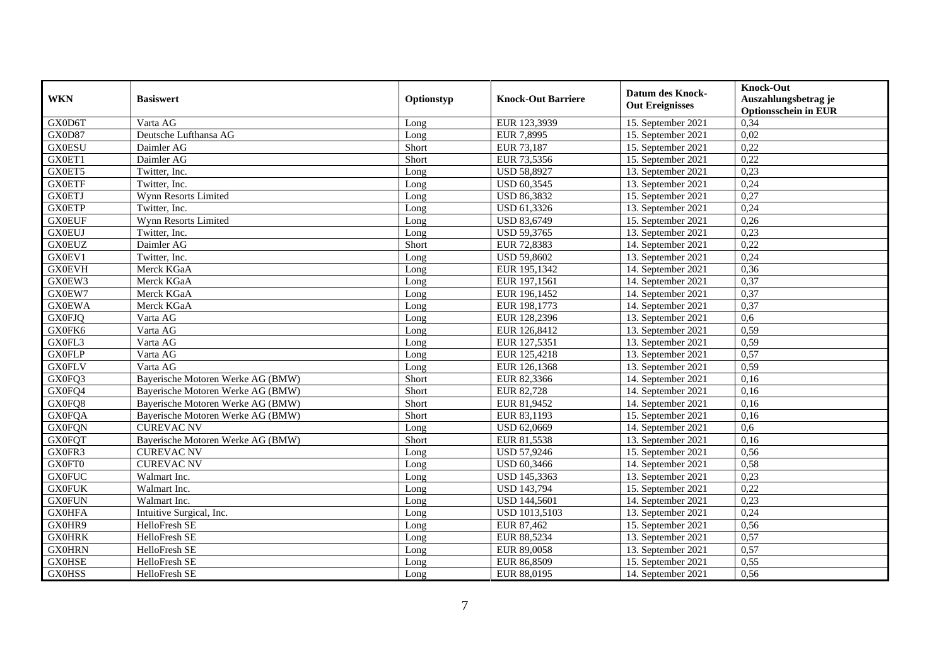| <b>WKN</b>    | <b>Basiswert</b>                  | Optionstyp | <b>Knock-Out Barriere</b> | <b>Datum des Knock-</b><br><b>Out Ereignisses</b> | <b>Knock-Out</b><br>Auszahlungsbetrag je<br><b>Optionsschein in EUR</b> |
|---------------|-----------------------------------|------------|---------------------------|---------------------------------------------------|-------------------------------------------------------------------------|
| GX0D6T        | Varta AG                          | Long       | EUR 123,3939              | 15. September 2021                                | 0,34                                                                    |
| GX0D87        | Deutsche Lufthansa AG             | Long       | EUR 7,8995                | 15. September 2021                                | 0,02                                                                    |
| <b>GX0ESU</b> | Daimler AG                        | Short      | EUR 73,187                | 15. September 2021                                | 0,22                                                                    |
| GX0ET1        | Daimler AG                        | Short      | EUR 73,5356               | 15. September 2021                                | 0,22                                                                    |
| GX0ET5        | Twitter, Inc.                     | Long       | <b>USD 58,8927</b>        | 13. September 2021                                | 0,23                                                                    |
| <b>GX0ETF</b> | Twitter, Inc.                     | Long       | <b>USD 60,3545</b>        | 13. September 2021                                | 0,24                                                                    |
| <b>GX0ETJ</b> | Wynn Resorts Limited              | Long       | <b>USD 86,3832</b>        | 15. September 2021                                | 0,27                                                                    |
| <b>GX0ETP</b> | Twitter, Inc.                     | Long       | USD 61,3326               | 13. September 2021                                | 0,24                                                                    |
| <b>GX0EUF</b> | Wynn Resorts Limited              | Long       | <b>USD 83,6749</b>        | 15. September 2021                                | 0,26                                                                    |
| <b>GX0EUJ</b> | Twitter, Inc.                     | Long       | <b>USD 59,3765</b>        | 13. September 2021                                | 0,23                                                                    |
| <b>GX0EUZ</b> | Daimler AG                        | Short      | EUR 72,8383               | 14. September 2021                                | 0,22                                                                    |
| GX0EV1        | Twitter, Inc.                     | Long       | <b>USD 59,8602</b>        | 13. September 2021                                | 0,24                                                                    |
| <b>GX0EVH</b> | Merck KGaA                        | Long       | EUR 195,1342              | 14. September 2021                                | 0,36                                                                    |
| GX0EW3        | Merck KGaA                        | Long       | EUR 197,1561              | 14. September 2021                                | 0,37                                                                    |
| GX0EW7        | Merck KGaA                        | Long       | EUR 196,1452              | 14. September 2021                                | 0,37                                                                    |
| <b>GX0EWA</b> | Merck KGaA                        | Long       | EUR 198,1773              | 14. September 2021                                | 0,37                                                                    |
| <b>GX0FJQ</b> | Varta AG                          | Long       | EUR 128,2396              | 13. September 2021                                | 0,6                                                                     |
| GX0FK6        | Varta AG                          | Long       | EUR 126,8412              | 13. September 2021                                | 0.59                                                                    |
| GX0FL3        | Varta AG                          | Long       | EUR 127,5351              | 13. September 2021                                | 0,59                                                                    |
| <b>GX0FLP</b> | Varta AG                          | Long       | EUR 125,4218              | 13. September 2021                                | 0,57                                                                    |
| <b>GX0FLV</b> | Varta AG                          | Long       | EUR 126,1368              | 13. September 2021                                | 0,59                                                                    |
| GX0FQ3        | Bayerische Motoren Werke AG (BMW) | Short      | EUR 82,3366               | 14. September 2021                                | $0,\overline{16}$                                                       |
| GX0FQ4        | Bayerische Motoren Werke AG (BMW) | Short      | EUR 82,728                | 14. September 2021                                | 0,16                                                                    |
| GX0FQ8        | Bayerische Motoren Werke AG (BMW) | Short      | EUR 81,9452               | 14. September 2021                                | 0,16                                                                    |
| <b>GX0FQA</b> | Bayerische Motoren Werke AG (BMW) | Short      | EUR 83,1193               | 15. September 2021                                | 0,16                                                                    |
| <b>GX0FQN</b> | <b>CUREVAC NV</b>                 | Long       | USD 62,0669               | 14. September 2021                                | 0,6                                                                     |
| <b>GX0FQT</b> | Bayerische Motoren Werke AG (BMW) | Short      | EUR 81,5538               | 13. September 2021                                | 0,16                                                                    |
| GX0FR3        | <b>CUREVAC NV</b>                 | Long       | <b>USD 57,9246</b>        | 15. September 2021                                | 0,56                                                                    |
| GX0FT0        | <b>CUREVAC NV</b>                 | Long       | <b>USD 60,3466</b>        | 14. September 2021                                | 0,58                                                                    |
| <b>GX0FUC</b> | Walmart Inc.                      | Long       | USD 145,3363              | 13. September 2021                                | 0,23                                                                    |
| <b>GX0FUK</b> | Walmart Inc.                      | Long       | <b>USD 143,794</b>        | 15. September 2021                                | 0,22                                                                    |
| <b>GX0FUN</b> | Walmart Inc.                      | Long       | USD 144,5601              | 14. September 2021                                | 0,23                                                                    |
| <b>GX0HFA</b> | Intuitive Surgical, Inc.          | Long       | <b>USD 1013,5103</b>      | 13. September 2021                                | 0,24                                                                    |
| GX0HR9        | HelloFresh SE                     | Long       | EUR 87,462                | 15. September 2021                                | 0,56                                                                    |
| <b>GX0HRK</b> | HelloFresh SE                     | Long       | EUR 88,5234               | 13. September 2021                                | 0,57                                                                    |
| <b>GX0HRN</b> | HelloFresh SE                     | Long       | EUR 89,0058               | 13. September 2021                                | 0,57                                                                    |
| <b>GX0HSE</b> | HelloFresh SE                     | Long       | EUR 86,8509               | 15. September 2021                                | 0,55                                                                    |
| <b>GX0HSS</b> | HelloFresh SE                     | Long       | EUR 88,0195               | 14. September 2021                                | 0,56                                                                    |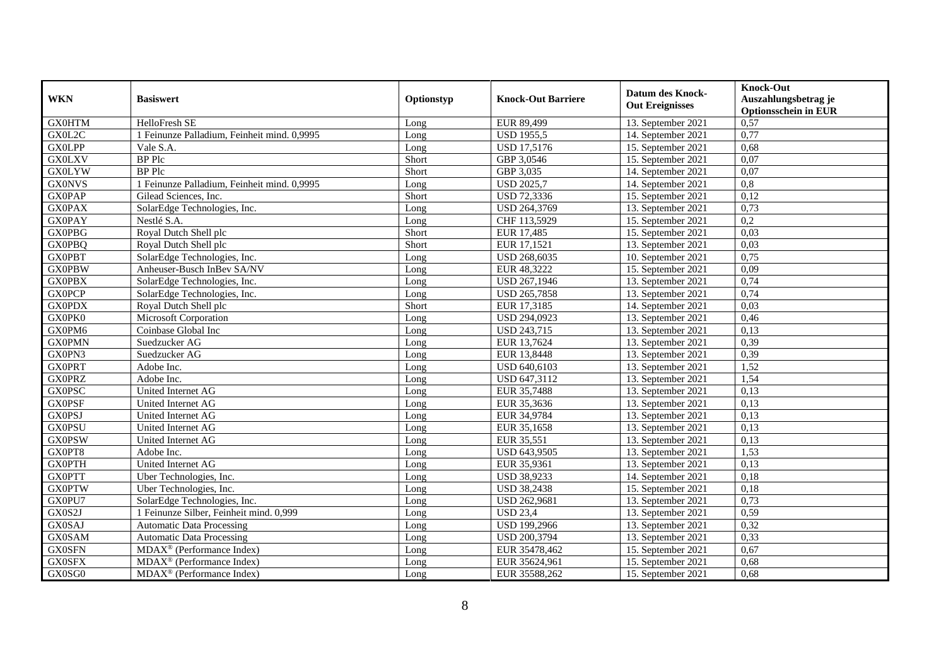| <b>WKN</b>    | <b>Basiswert</b>                            | Optionstyp | <b>Knock-Out Barriere</b> | <b>Datum des Knock-</b><br><b>Out Ereignisses</b> | <b>Knock-Out</b><br>Auszahlungsbetrag je<br><b>Optionsschein in EUR</b> |
|---------------|---------------------------------------------|------------|---------------------------|---------------------------------------------------|-------------------------------------------------------------------------|
| <b>GX0HTM</b> | HelloFresh SE                               | Long       | EUR 89,499                | 13. September 2021                                | 0,57                                                                    |
| GX0L2C        | 1 Feinunze Palladium, Feinheit mind. 0,9995 | Long       | <b>USD 1955,5</b>         | 14. September 2021                                | 0,77                                                                    |
| <b>GX0LPP</b> | Vale S.A.                                   | Long       | <b>USD 17,5176</b>        | 15. September 2021                                | 0,68                                                                    |
| <b>GX0LXV</b> | <b>BP</b> Plc                               | Short      | GBP 3,0546                | 15. September 2021                                | 0,07                                                                    |
| <b>GX0LYW</b> | <b>BP</b> Plc                               | Short      | GBP 3,035                 | 14. September 2021                                | 0.07                                                                    |
| <b>GX0NVS</b> | 1 Feinunze Palladium, Feinheit mind. 0,9995 | Long       | <b>USD 2025,7</b>         | 14. September 2021                                | $\overline{0.8}$                                                        |
| <b>GX0PAP</b> | Gilead Sciences, Inc.                       | Short      | USD 72,3336               | 15. September 2021                                | 0,12                                                                    |
| <b>GX0PAX</b> | SolarEdge Technologies, Inc.                | Long       | USD 264,3769              | 13. September 2021                                | 0,73                                                                    |
| <b>GX0PAY</b> | Nestlé S.A.                                 | Long       | CHF 113,5929              | 15. September 2021                                | $\overline{0,2}$                                                        |
| <b>GX0PBG</b> | Royal Dutch Shell plc                       | Short      | EUR 17,485                | 15. September 2021                                | 0,03                                                                    |
| <b>GX0PBQ</b> | Royal Dutch Shell plc                       | Short      | EUR 17,1521               | 13. September 2021                                | 0,03                                                                    |
| <b>GX0PBT</b> | SolarEdge Technologies, Inc.                | Long       | USD 268,6035              | 10. September 2021                                | 0,75                                                                    |
| <b>GX0PBW</b> | Anheuser-Busch InBev SA/NV                  | Long       | EUR 48,3222               | 15. September 2021                                | 0,09                                                                    |
| <b>GX0PBX</b> | SolarEdge Technologies, Inc.                | Long       | USD 267,1946              | 13. September 2021                                | 0,74                                                                    |
| <b>GX0PCP</b> | SolarEdge Technologies, Inc.                | Long       | USD 265,7858              | 13. September 2021                                | 0,74                                                                    |
| <b>GX0PDX</b> | Royal Dutch Shell plc                       | Short      | EUR 17,3185               | 14. September 2021                                | 0,03                                                                    |
| GX0PK0        | Microsoft Corporation                       | Long       | USD 294,0923              | 13. September 2021                                | 0,46                                                                    |
| GX0PM6        | Coinbase Global Inc                         | Long       | <b>USD 243,715</b>        | 13. September 2021                                | 0,13                                                                    |
| <b>GX0PMN</b> | Suedzucker AG                               | Long       | EUR 13,7624               | 13. September 2021                                | 0,39                                                                    |
| GX0PN3        | Suedzucker AG                               | Long       | EUR 13,8448               | 13. September 2021                                | 0,39                                                                    |
| <b>GXOPRT</b> | Adobe Inc.                                  | Long       | USD 640,6103              | 13. September 2021                                | 1,52                                                                    |
| <b>GX0PRZ</b> | Adobe Inc.                                  | Long       | USD 647,3112              | 13. September 2021                                | 1,54                                                                    |
| <b>GX0PSC</b> | United Internet AG                          | Long       | EUR 35,7488               | 13. September 2021                                | 0,13                                                                    |
| <b>GX0PSF</b> | United Internet AG                          | Long       | EUR 35,3636               | 13. September 2021                                | 0,13                                                                    |
| <b>GX0PSJ</b> | United Internet AG                          | Long       | EUR 34,9784               | 13. September 2021                                | 0,13                                                                    |
| <b>GX0PSU</b> | United Internet AG                          | Long       | EUR 35,1658               | 13. September 2021                                | 0,13                                                                    |
| <b>GX0PSW</b> | United Internet AG                          | Long       | EUR 35,551                | 13. September 2021                                | 0,13                                                                    |
| GX0PT8        | Adobe Inc.                                  | Long       | USD 643,9505              | 13. September 2021                                | 1,53                                                                    |
| <b>GX0PTH</b> | United Internet AG                          | Long       | EUR 35,9361               | 13. September 2021                                | 0,13                                                                    |
| <b>GX0PTT</b> | Uber Technologies, Inc.                     | Long       | <b>USD 38,9233</b>        | 14. September 2021                                | 0,18                                                                    |
| <b>GX0PTW</b> | Uber Technologies, Inc.                     | Long       | <b>USD 38,2438</b>        | 15. September 2021                                | 0,18                                                                    |
| GX0PU7        | SolarEdge Technologies, Inc.                | Long       | USD 262,9681              | 13. September 2021                                | 0,73                                                                    |
| GX0S2J        | 1 Feinunze Silber, Feinheit mind. 0,999     | Long       | <b>USD 23,4</b>           | 13. September 2021                                | 0,59                                                                    |
| GX0SAJ        | <b>Automatic Data Processing</b>            | Long       | <b>USD 199,2966</b>       | 13. September 2021                                | 0,32                                                                    |
| <b>GX0SAM</b> | <b>Automatic Data Processing</b>            | Long       | USD 200,3794              | 13. September 2021                                | 0,33                                                                    |
| <b>GX0SFN</b> | MDAX <sup>®</sup> (Performance Index)       | Long       | EUR 35478,462             | 15. September 2021                                | 0,67                                                                    |
| <b>GX0SFX</b> | MDAX <sup>®</sup> (Performance Index)       | Long       | EUR 35624,961             | 15. September 2021                                | 0,68                                                                    |
| GX0SG0        | MDAX <sup>®</sup> (Performance Index)       | Long       | EUR 35588,262             | 15. September 2021                                | 0,68                                                                    |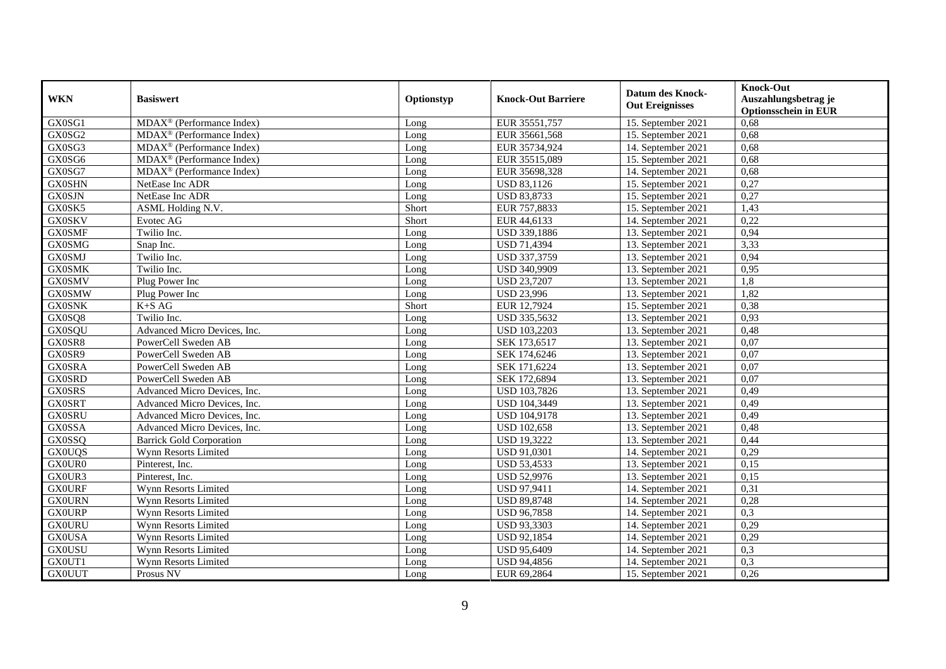| <b>WKN</b>    | <b>Basiswert</b>                                          | Optionstyp | <b>Knock-Out Barriere</b> | <b>Datum des Knock-</b><br><b>Out Ereignisses</b> | <b>Knock-Out</b><br>Auszahlungsbetrag je<br><b>Optionsschein in EUR</b> |
|---------------|-----------------------------------------------------------|------------|---------------------------|---------------------------------------------------|-------------------------------------------------------------------------|
| GX0SG1        | MDAX <sup>®</sup> (Performance Index)                     | Long       | EUR 35551,757             | 15. September 2021                                | 0,68                                                                    |
| GX0SG2        | $MDAX^{\circledR}$ (Performance Index)                    | Long       | EUR 35661,568             | 15. September 2021                                | 0,68                                                                    |
| GX0SG3        | $\overline{\text{MDAX}}$ <sup>®</sup> (Performance Index) | Long       | EUR 35734,924             | 14. September 2021                                | 0,68                                                                    |
| GX0SG6        | MDAX <sup>®</sup> (Performance Index)                     | Long       | EUR 35515,089             | 15. September 2021                                | 0,68                                                                    |
| GX0SG7        | MDAX <sup>®</sup> (Performance Index)                     | Long       | EUR 35698,328             | 14. September 2021                                | 0,68                                                                    |
| <b>GX0SHN</b> | NetEase Inc ADR                                           | Long       | <b>USD 83,1126</b>        | 15. September 2021                                | 0,27                                                                    |
| <b>GX0SJN</b> | NetEase Inc ADR                                           | Long       | <b>USD 83,8733</b>        | 15. September 2021                                | 0,27                                                                    |
| GX0SK5        | ASML Holding N.V.                                         | Short      | EUR 757,8833              | 15. September 2021                                | 1,43                                                                    |
| <b>GX0SKV</b> | Evotec AG                                                 | Short      | EUR 44,6133               | 14. September 2021                                | 0,22                                                                    |
| <b>GX0SMF</b> | Twilio Inc.                                               | Long       | USD 339,1886              | 13. September 2021                                | 0,94                                                                    |
| <b>GX0SMG</b> | Snap Inc.                                                 | Long       | <b>USD 71,4394</b>        | 13. September 2021                                | 3,33                                                                    |
| <b>GX0SMJ</b> | Twilio Inc.                                               | Long       | USD 337,3759              | 13. September 2021                                | 0,94                                                                    |
| <b>GX0SMK</b> | Twilio Inc.                                               | Long       | USD 340,9909              | 13. September 2021                                | 0,95                                                                    |
| <b>GX0SMV</b> | Plug Power Inc                                            | Long       | <b>USD 23,7207</b>        | 13. September 2021                                | 1,8                                                                     |
| <b>GX0SMW</b> | Plug Power Inc                                            | Long       | <b>USD 23,996</b>         | 13. September 2021                                | 1,82                                                                    |
| <b>GX0SNK</b> | $K+SAG$                                                   | Short      | EUR 12,7924               | 15. September 2021                                | 0,38                                                                    |
| GX0SQ8        | Twilio Inc.                                               | Long       | USD 335,5632              | 13. September 2021                                | 0,93                                                                    |
| <b>GX0SQU</b> | Advanced Micro Devices, Inc.                              | Long       | <b>USD 103.2203</b>       | 13. September 2021                                | 0,48                                                                    |
| GX0SR8        | PowerCell Sweden AB                                       | Long       | SEK 173,6517              | 13. September 2021                                | 0,07                                                                    |
| GX0SR9        | PowerCell Sweden AB                                       | Long       | SEK 174,6246              | 13. September 2021                                | 0,07                                                                    |
| <b>GX0SRA</b> | PowerCell Sweden AB                                       | Long       | SEK 171,6224              | 13. September 2021                                | 0.07                                                                    |
| <b>GX0SRD</b> | PowerCell Sweden AB                                       | Long       | SEK 172,6894              | 13. September 2021                                | 0,07                                                                    |
| <b>GX0SRS</b> | Advanced Micro Devices, Inc.                              | Long       | USD 103,7826              | 13. September 2021                                | 0,49                                                                    |
| <b>GX0SRT</b> | Advanced Micro Devices, Inc.                              | Long       | <b>USD 104,3449</b>       | 13. September 2021                                | 0,49                                                                    |
| <b>GX0SRU</b> | Advanced Micro Devices, Inc.                              | Long       | USD 104,9178              | 13. September 2021                                | 0,49                                                                    |
| <b>GX0SSA</b> | Advanced Micro Devices, Inc.                              | Long       | <b>USD 102,658</b>        | 13. September 2021                                | 0,48                                                                    |
| <b>GX0SSQ</b> | <b>Barrick Gold Corporation</b>                           | Long       | <b>USD 19,3222</b>        | 13. September 2021                                | 0,44                                                                    |
| <b>GX0UQS</b> | Wynn Resorts Limited                                      | Long       | USD 91,0301               | 14. September 2021                                | 0,29                                                                    |
| GX0UR0        | Pinterest, Inc.                                           | Long       | <b>USD 53,4533</b>        | 13. September 2021                                | 0,15                                                                    |
| GX0UR3        | Pinterest, Inc.                                           | Long       | <b>USD 52,9976</b>        | 13. September 2021                                | 0,15                                                                    |
| <b>GX0URF</b> | Wynn Resorts Limited                                      | Long       | USD 97,9411               | 14. September 2021                                | 0,31                                                                    |
| <b>GX0URN</b> | Wynn Resorts Limited                                      | Long       | <b>USD 89,8748</b>        | 14. September 2021                                | 0,28                                                                    |
| <b>GX0URP</b> | <b>Wynn Resorts Limited</b>                               | Long       | <b>USD 96,7858</b>        | 14. September 2021                                | 0,3                                                                     |
| <b>GX0URU</b> | Wynn Resorts Limited                                      | Long       | <b>USD 93,3303</b>        | 14. September 2021                                | 0,29                                                                    |
| <b>GX0USA</b> | Wynn Resorts Limited                                      | Long       | <b>USD 92,1854</b>        | 14. September 2021                                | 0,29                                                                    |
| <b>GX0USU</b> | Wynn Resorts Limited                                      | Long       | <b>USD 95,6409</b>        | 14. September 2021                                | 0,3                                                                     |
| GX0UT1        | Wynn Resorts Limited                                      | Long       | <b>USD 94,4856</b>        | 14. September 2021                                | 0,3                                                                     |
| <b>GX0UUT</b> | Prosus NV                                                 | Long       | EUR 69,2864               | 15. September 2021                                | 0,26                                                                    |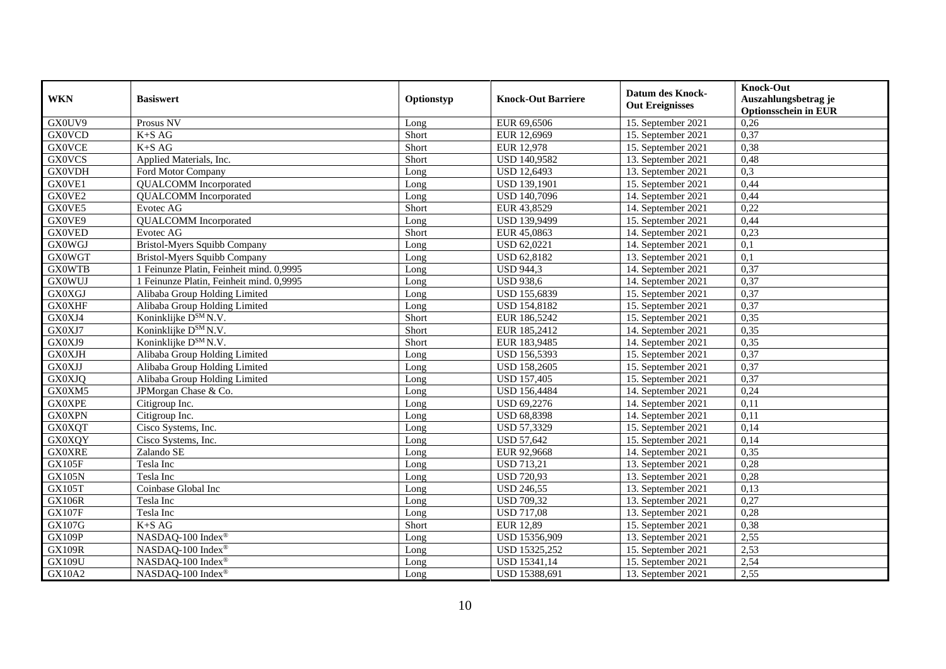| <b>WKN</b>    | <b>Basiswert</b>                         | Optionstyp | <b>Knock-Out Barriere</b> | <b>Datum des Knock-</b><br><b>Out Ereignisses</b> | <b>Knock-Out</b><br>Auszahlungsbetrag je<br><b>Optionsschein in EUR</b> |
|---------------|------------------------------------------|------------|---------------------------|---------------------------------------------------|-------------------------------------------------------------------------|
| GX0UV9        | Prosus NV                                | Long       | EUR 69,6506               | 15. September 2021                                | 0,26                                                                    |
| <b>GX0VCD</b> | $K+SAG$                                  | Short      | EUR 12,6969               | 15. September 2021                                | 0,37                                                                    |
| <b>GX0VCE</b> | $K+SAG$                                  | Short      | <b>EUR 12,978</b>         | 15. September 2021                                | 0,38                                                                    |
| <b>GX0VCS</b> | Applied Materials, Inc.                  | Short      | USD 140,9582              | 13. September 2021                                | 0,48                                                                    |
| <b>GX0VDH</b> | Ford Motor Company                       | Long       | <b>USD 12,6493</b>        | 13. September 2021                                | 0,3                                                                     |
| GX0VE1        | <b>QUALCOMM</b> Incorporated             | Long       | <b>USD 139,1901</b>       | 15. September 2021                                | 0,44                                                                    |
| GX0VE2        | <b>QUALCOMM</b> Incorporated             | Long       | USD 140,7096              | 14. September 2021                                | 0,44                                                                    |
| GX0VE5        | Evotec AG                                | Short      | EUR 43,8529               | 14. September 2021                                | 0,22                                                                    |
| GX0VE9        | <b>QUALCOMM</b> Incorporated             | Long       | <b>USD 139,9499</b>       | 15. September 2021                                | 0,44                                                                    |
| <b>GX0VED</b> | Evotec AG                                | Short      | EUR 45,0863               | 14. September 2021                                | 0,23                                                                    |
| <b>GX0WGJ</b> | <b>Bristol-Myers Squibb Company</b>      | Long       | USD 62,0221               | 14. September 2021                                | 0,1                                                                     |
| <b>GX0WGT</b> | <b>Bristol-Myers Squibb Company</b>      | Long       | USD 62,8182               | 13. September 2021                                | $\overline{0,1}$                                                        |
| <b>GX0WTB</b> | 1 Feinunze Platin, Feinheit mind. 0,9995 | Long       | <b>USD 944,3</b>          | 14. September 2021                                | 0,37                                                                    |
| <b>GX0WUJ</b> | 1 Feinunze Platin, Feinheit mind. 0,9995 | Long       | <b>USD 938,6</b>          | 14. September 2021                                | 0,37                                                                    |
| GX0XGJ        | Alibaba Group Holding Limited            | Long       | USD 155,6839              | 15. September 2021                                | 0,37                                                                    |
| <b>GX0XHF</b> | Alibaba Group Holding Limited            | Long       | <b>USD 154,8182</b>       | 15. September 2021                                | 0,37                                                                    |
| GX0XJ4        | Koninklijke D <sup>SM</sup> N.V.         | Short      | EUR 186,5242              | 15. September 2021                                | 0,35                                                                    |
| GX0XJ7        | Koninklijke D <sup>SM</sup> N.V.         | Short      | EUR 185,2412              | 14. September 2021                                | 0,35                                                                    |
| GX0XJ9        | Koninklijke D <sup>SM</sup> N.V.         | Short      | EUR 183,9485              | 14. September 2021                                | 0,35                                                                    |
| <b>GX0XJH</b> | Alibaba Group Holding Limited            | Long       | USD 156,5393              | 15. September 2021                                | 0,37                                                                    |
| <b>GX0XJJ</b> | Alibaba Group Holding Limited            | Long       | <b>USD 158,2605</b>       | 15. September 2021                                | 0,37                                                                    |
| GX0XJQ        | Alibaba Group Holding Limited            | Long       | <b>USD 157,405</b>        | 15. September 2021                                | 0,37                                                                    |
| GX0XM5        | JPMorgan Chase & Co.                     | Long       | <b>USD 156,4484</b>       | 14. September 2021                                | 0,24                                                                    |
| <b>GX0XPE</b> | Citigroup Inc.                           | Long       | <b>USD 69,2276</b>        | 14. September 2021                                | 0,11                                                                    |
| <b>GX0XPN</b> | Citigroup Inc.                           | Long       | <b>USD 68,8398</b>        | 14. September 2021                                | 0,11                                                                    |
| <b>GX0XQT</b> | Cisco Systems, Inc.                      | Long       | USD 57,3329               | 15. September 2021                                | 0,14                                                                    |
| <b>GX0XQY</b> | Cisco Systems, Inc.                      | Long       | <b>USD 57,642</b>         | 15. September 2021                                | 0,14                                                                    |
| <b>GX0XRE</b> | Zalando SE                               | Long       | EUR 92,9668               | 14. September 2021                                | 0,35                                                                    |
| <b>GX105F</b> | Tesla Inc                                | Long       | <b>USD 713,21</b>         | 13. September 2021                                | 0,28                                                                    |
| <b>GX105N</b> | Tesla Inc                                | Long       | <b>USD 720,93</b>         | 13. September 2021                                | 0,28                                                                    |
| <b>GX105T</b> | Coinbase Global Inc                      | Long       | <b>USD 246,55</b>         | 13. September 2021                                | 0,13                                                                    |
| GX106R        | Tesla Inc                                | Long       | <b>USD 709,32</b>         | 13. September 2021                                | 0,27                                                                    |
| <b>GX107F</b> | Tesla Inc                                | Long       | <b>USD 717,08</b>         | 13. September 2021                                | 0,28                                                                    |
| <b>GX107G</b> | $K+SAG$                                  | Short      | <b>EUR 12,89</b>          | 15. September 2021                                | 0,38                                                                    |
| <b>GX109P</b> | NASDAQ-100 Index®                        | Long       | USD 15356,909             | 13. September 2021                                | 2,55                                                                    |
| <b>GX109R</b> | NASDAQ-100 Index®                        | Long       | USD 15325,252             | 15. September 2021                                | 2,53                                                                    |
| GX109U        | NASDAQ-100 Index®                        | Long       | USD 15341,14              | 15. September 2021                                | 2,54                                                                    |
| <b>GX10A2</b> | NASDAQ-100 Index®                        | Long       | USD 15388,691             | 13. September 2021                                | 2,55                                                                    |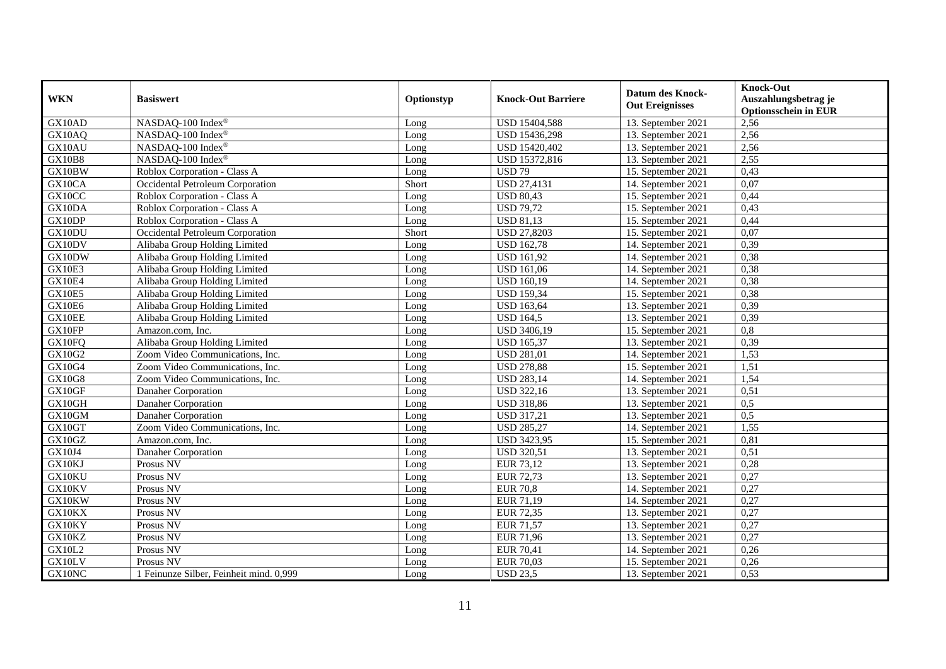| <b>WKN</b>    | <b>Basiswert</b>                        | Optionstyp | <b>Knock-Out Barriere</b> | <b>Datum des Knock-</b><br><b>Out Ereignisses</b> | <b>Knock-Out</b><br>Auszahlungsbetrag je<br><b>Optionsschein in EUR</b> |
|---------------|-----------------------------------------|------------|---------------------------|---------------------------------------------------|-------------------------------------------------------------------------|
| GX10AD        | NASDAQ-100 Index®                       | Long       | USD 15404,588             | 13. September 2021                                | 2,56                                                                    |
| GX10AQ        | NASDAQ-100 Index®                       | Long       | USD 15436,298             | 13. September 2021                                | 2,56                                                                    |
| GX10AU        | NASDAQ-100 Index®                       | Long       | USD 15420,402             | 13. September 2021                                | 2,56                                                                    |
| <b>GX10B8</b> | NASDAQ-100 Index®                       | Long       | USD 15372,816             | 13. September 2021                                | 2,55                                                                    |
| GX10BW        | Roblox Corporation - Class A            | Long       | <b>USD 79</b>             | 15. September 2021                                | 0,43                                                                    |
| GX10CA        | Occidental Petroleum Corporation        | Short      | <b>USD 27,4131</b>        | 14. September 2021                                | 0,07                                                                    |
| GX10CC        | Roblox Corporation - Class A            | Long       | <b>USD 80,43</b>          | 15. September 2021                                | 0,44                                                                    |
| GX10DA        | Roblox Corporation - Class A            | Long       | <b>USD 79,72</b>          | 15. September 2021                                | 0,43                                                                    |
| GX10DP        | Roblox Corporation - Class A            | Long       | <b>USD 81,13</b>          | 15. September 2021                                | 0,44                                                                    |
| GX10DU        | Occidental Petroleum Corporation        | Short      | <b>USD 27,8203</b>        | 15. September 2021                                | 0.07                                                                    |
| GX10DV        | Alibaba Group Holding Limited           | Long       | <b>USD 162,78</b>         | 14. September 2021                                | 0,39                                                                    |
| GX10DW        | Alibaba Group Holding Limited           | Long       | <b>USD 161,92</b>         | 14. September 2021                                | 0,38                                                                    |
| GX10E3        | Alibaba Group Holding Limited           | Long       | <b>USD 161,06</b>         | 14. September 2021                                | 0,38                                                                    |
| GX10E4        | Alibaba Group Holding Limited           | Long       | <b>USD 160,19</b>         | 14. September 2021                                | 0,38                                                                    |
| <b>GX10E5</b> | Alibaba Group Holding Limited           | Long       | <b>USD 159,34</b>         | 15. September 2021                                | 0,38                                                                    |
| GX10E6        | Alibaba Group Holding Limited           | Long       | <b>USD 163,64</b>         | 13. September 2021                                | 0,39                                                                    |
| GX10EE        | Alibaba Group Holding Limited           | Long       | <b>USD 164,5</b>          | 13. September 2021                                | 0,39                                                                    |
| GX10FP        | Amazon.com, Inc.                        | Long       | <b>USD 3406,19</b>        | 15. September 2021                                | 0,8                                                                     |
| GX10FQ        | Alibaba Group Holding Limited           | Long       | <b>USD 165,37</b>         | 13. September 2021                                | 0,39                                                                    |
| GX10G2        | Zoom Video Communications, Inc.         | Long       | <b>USD 281,01</b>         | 14. September 2021                                | 1,53                                                                    |
| GX10G4        | Zoom Video Communications, Inc.         | Long       | <b>USD 278,88</b>         | 15. September 2021                                | 1,51                                                                    |
| <b>GX10G8</b> | Zoom Video Communications, Inc.         | Long       | <b>USD 283,14</b>         | 14. September 2021                                | 1,54                                                                    |
| GX10GF        | Danaher Corporation                     | Long       | <b>USD 322,16</b>         | 13. September 2021                                | 0,51                                                                    |
| GX10GH        | Danaher Corporation                     | Long       | <b>USD 318,86</b>         | 13. September 2021                                | 0,5                                                                     |
| GX10GM        | Danaher Corporation                     | Long       | <b>USD 317,21</b>         | 13. September 2021                                | 0,5                                                                     |
| GX10GT        | Zoom Video Communications, Inc.         | Long       | <b>USD 285,27</b>         | 14. September 2021                                | 1,55                                                                    |
| GX10GZ        | Amazon.com, Inc.                        | Long       | <b>USD 3423,95</b>        | 15. September 2021                                | 0,81                                                                    |
| GX10J4        | Danaher Corporation                     | Long       | <b>USD 320,51</b>         | 13. September 2021                                | 0.51                                                                    |
| GX10KJ        | Prosus NV                               | Long       | EUR 73,12                 | 13. September 2021                                | 0,28                                                                    |
| GX10KU        | Prosus NV                               | Long       | EUR 72,73                 | 13. September 2021                                | 0,27                                                                    |
| GX10KV        | Prosus NV                               | Long       | <b>EUR 70,8</b>           | 14. September 2021                                | 0,27                                                                    |
| GX10KW        | Prosus NV                               | Long       | EUR 71,19                 | 14. September 2021                                | 0,27                                                                    |
| GX10KX        | Prosus NV                               | Long       | EUR 72,35                 | 13. September 2021                                | 0,27                                                                    |
| GX10KY        | Prosus NV                               | Long       | <b>EUR 71,57</b>          | 13. September 2021                                | 0,27                                                                    |
| GX10KZ        | Prosus NV                               | Long       | <b>EUR 71,96</b>          | 13. September 2021                                | 0,27                                                                    |
| <b>GX10L2</b> | Prosus NV                               | Long       | <b>EUR 70,41</b>          | 14. September 2021                                | 0,26                                                                    |
| GX10LV        | Prosus NV                               | Long       | <b>EUR 70,03</b>          | 15. September 2021                                | 0,26                                                                    |
| GX10NC        | 1 Feinunze Silber, Feinheit mind. 0,999 | Long       | <b>USD 23,5</b>           | 13. September 2021                                | 0,53                                                                    |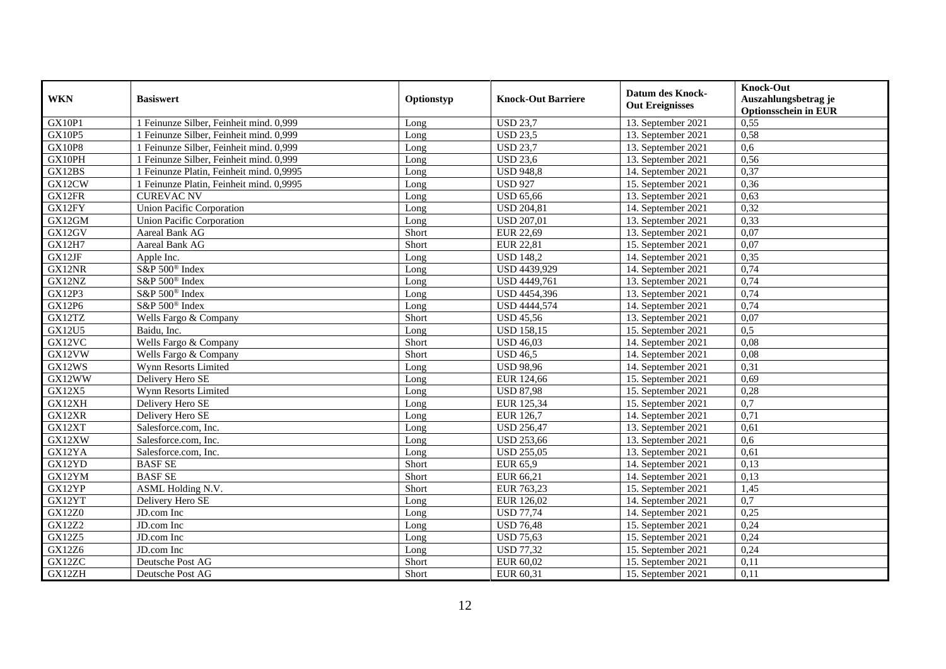|               |                                          |            |                           |                         | Knock-Out                   |
|---------------|------------------------------------------|------------|---------------------------|-------------------------|-----------------------------|
| <b>WKN</b>    | <b>Basiswert</b>                         | Optionstyp | <b>Knock-Out Barriere</b> | <b>Datum des Knock-</b> | Auszahlungsbetrag je        |
|               |                                          |            |                           | <b>Out Ereignisses</b>  | <b>Optionsschein in EUR</b> |
| <b>GX10P1</b> | 1 Feinunze Silber, Feinheit mind. 0,999  | Long       | <b>USD 23,7</b>           | 13. September 2021      | 0,55                        |
| GX10P5        | 1 Feinunze Silber, Feinheit mind. 0,999  | Long       | <b>USD 23,5</b>           | 13. September 2021      | 0,58                        |
| <b>GX10P8</b> | 1 Feinunze Silber, Feinheit mind. 0,999  | Long       | <b>USD 23,7</b>           | 13. September 2021      | 0,6                         |
| GX10PH        | 1 Feinunze Silber, Feinheit mind. 0,999  | Long       | <b>USD 23,6</b>           | 13. September 2021      | 0,56                        |
| GX12BS        | 1 Feinunze Platin, Feinheit mind. 0,9995 | Long       | <b>USD 948,8</b>          | 14. September 2021      | 0,37                        |
| GX12CW        | 1 Feinunze Platin, Feinheit mind. 0,9995 | Long       | <b>USD 927</b>            | 15. September 2021      | 0,36                        |
| GX12FR        | <b>CUREVAC NV</b>                        | Long       | <b>USD 65,66</b>          | 13. September 2021      | 0,63                        |
| GX12FY        | <b>Union Pacific Corporation</b>         | Long       | <b>USD 204,81</b>         | 14. September 2021      | 0,32                        |
| GX12GM        | Union Pacific Corporation                | Long       | <b>USD 207,01</b>         | 13. September 2021      | 0,33                        |
| GX12GV        | Aareal Bank AG                           | Short      | EUR 22,69                 | $13.$ September 2021    | 0,07                        |
| <b>GX12H7</b> | Aareal Bank AG                           | Short      | <b>EUR 22,81</b>          | 15. September 2021      | 0,07                        |
| GX12JF        | Apple Inc.                               | Long       | <b>USD 148.2</b>          | 14. September 2021      | 0,35                        |
| GX12NR        | S&P 500 <sup>®</sup> Index               | Long       | USD 4439,929              | 14. September 2021      | 0,74                        |
| GX12NZ        | S&P 500 <sup>®</sup> Index               | Long       | USD 4449,761              | 13. September 2021      | 0,74                        |
| GX12P3        | S&P 500 <sup>®</sup> Index               | Long       | USD 4454,396              | 13. September 2021      | 0,74                        |
| GX12P6        | S&P 500 <sup>®</sup> Index               | Long       | <b>USD 4444,574</b>       | 14. September 2021      | 0,74                        |
| GX12TZ        | Wells Fargo & Company                    | Short      | <b>USD 45,56</b>          | 13. September 2021      | 0,07                        |
| GX12U5        | Baidu, Inc.                              | Long       | <b>USD 158,15</b>         | 15. September 2021      | 0,5                         |
| GX12VC        | Wells Fargo & Company                    | Short      | <b>USD 46,03</b>          | 14. September 2021      | 0,08                        |
| GX12VW        | Wells Fargo & Company                    | Short      | <b>USD 46,5</b>           | 14. September 2021      | 0,08                        |
| GX12WS        | Wynn Resorts Limited                     | Long       | <b>USD 98,96</b>          | 14. September 2021      | 0,31                        |
| GX12WW        | Delivery Hero SE                         | Long       | EUR 124,66                | 15. September 2021      | 0,69                        |
| GX12X5        | Wynn Resorts Limited                     | Long       | <b>USD 87,98</b>          | 15. September 2021      | 0,28                        |
| GX12XH        | Delivery Hero SE                         | Long       | EUR 125,34                | 15. September 2021      | $\overline{0,7}$            |
| GX12XR        | Delivery Hero SE                         | Long       | EUR 126,7                 | 14. September 2021      | 0,71                        |
| GX12XT        | Salesforce.com, Inc.                     | Long       | <b>USD 256,47</b>         | 13. September 2021      | 0,61                        |
| GX12XW        | Salesforce.com, Inc.                     | Long       | <b>USD 253,66</b>         | 13. September 2021      | 0,6                         |
| GX12YA        | Salesforce.com, Inc.                     | Long       | <b>USD 255,05</b>         | 13. September 2021      | 0,61                        |
| GX12YD        | <b>BASF SE</b>                           | Short      | $\overline{EUR}$ 65,9     | 14. September 2021      | 0,13                        |
| GX12YM        | <b>BASF SE</b>                           | Short      | EUR 66,21                 | 14. September 2021      | 0,13                        |
| GX12YP        | ASML Holding N.V.                        | Short      | EUR 763,23                | 15. September 2021      | 1,45                        |
| GX12YT        | Delivery Hero SE                         | Long       | EUR 126,02                | 14. September 2021      | $\overline{0,7}$            |
| <b>GX12Z0</b> | JD.com Inc                               | Long       | <b>USD 77,74</b>          | 14. September 2021      | 0,25                        |
| <b>GX12Z2</b> | JD.com Inc                               | Long       | <b>USD 76,48</b>          | 15. September 2021      | 0,24                        |
| <b>GX12Z5</b> | JD.com Inc                               | Long       | <b>USD 75,63</b>          | 15. September 2021      | 0,24                        |
| GX12Z6        | JD.com Inc                               | Long       | <b>USD 77,32</b>          | 15. September 2021      | 0,24                        |
| GX12ZC        | Deutsche Post AG                         | Short      | EUR 60,02                 | 15. September 2021      | 0,11                        |
| GX12ZH        | Deutsche Post AG                         | Short      | EUR 60,31                 | 15. September 2021      | 0,11                        |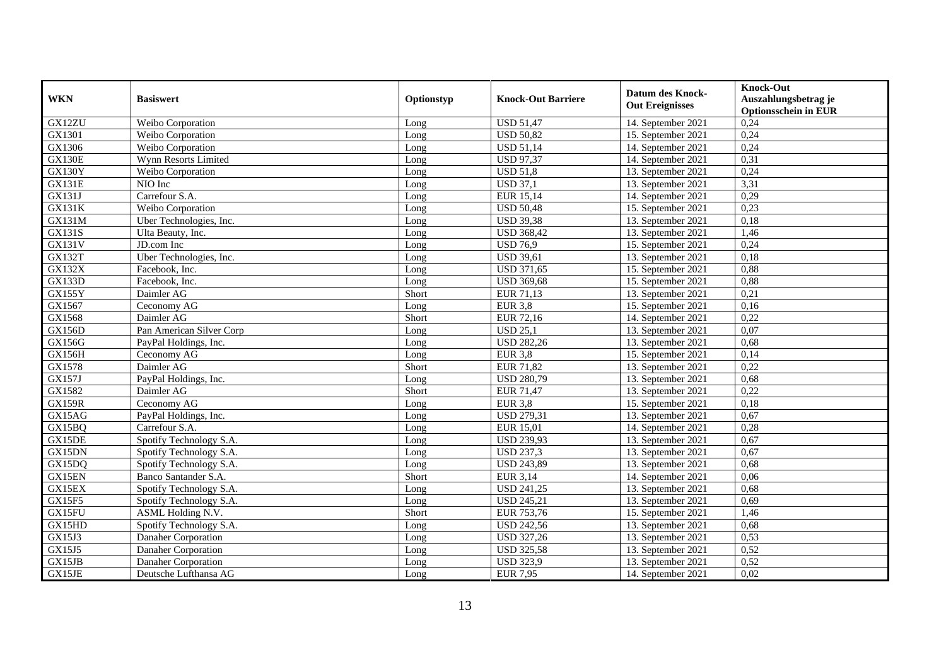| <b>WKN</b>    | <b>Basiswert</b>         | Optionstyp | <b>Knock-Out Barriere</b> | <b>Datum des Knock-</b><br><b>Out Ereignisses</b> | <b>Knock-Out</b><br>Auszahlungsbetrag je<br><b>Optionsschein in EUR</b> |
|---------------|--------------------------|------------|---------------------------|---------------------------------------------------|-------------------------------------------------------------------------|
| GX12ZU        | Weibo Corporation        | Long       | <b>USD 51,47</b>          | 14. September 2021                                | 0,24                                                                    |
| GX1301        | Weibo Corporation        | Long       | <b>USD 50,82</b>          | 15. September 2021                                | 0,24                                                                    |
| GX1306        | Weibo Corporation        | Long       | <b>USD 51,14</b>          | 14. September 2021                                | 0,24                                                                    |
| <b>GX130E</b> | Wynn Resorts Limited     | Long       | <b>USD 97,37</b>          | 14. September 2021                                | 0,31                                                                    |
| GX130Y        | Weibo Corporation        | Long       | <b>USD 51,8</b>           | 13. September 2021                                | 0,24                                                                    |
| <b>GX131E</b> | NIO Inc                  | Long       | <b>USD 37,1</b>           | 13. September 2021                                | 3,31                                                                    |
| GX131J        | Carrefour S.A.           | Long       | <b>EUR 15,14</b>          | 14. September 2021                                | 0,29                                                                    |
| GX131K        | Weibo Corporation        | Long       | <b>USD 50,48</b>          | 15. September 2021                                | 0,23                                                                    |
| GX131M        | Uber Technologies, Inc.  | Long       | <b>USD 39,38</b>          | 13. September 2021                                | 0,18                                                                    |
| GX131S        | Ulta Beauty, Inc.        | Long       | <b>USD 368,42</b>         | 13. September 2021                                | 1,46                                                                    |
| GX131V        | JD.com Inc               | Long       | <b>USD 76,9</b>           | 15. September 2021                                | 0,24                                                                    |
| <b>GX132T</b> | Uber Technologies, Inc.  | Long       | <b>USD 39,61</b>          | 13. September 2021                                | 0,18                                                                    |
| <b>GX132X</b> | Facebook, Inc.           | Long       | <b>USD 371,65</b>         | 15. September 2021                                | 0,88                                                                    |
| <b>GX133D</b> | Facebook, Inc.           | Long       | <b>USD 369,68</b>         | 15. September 2021                                | 0,88                                                                    |
| <b>GX155Y</b> | Daimler AG               | Short      | <b>EUR 71,13</b>          | 13. September 2021                                | 0,21                                                                    |
| GX1567        | Ceconomy AG              | Long       | <b>EUR 3,8</b>            | 15. September 2021                                | 0,16                                                                    |
| GX1568        | Daimler AG               | Short      | EUR 72,16                 | 14. September 2021                                | 0,22                                                                    |
| <b>GX156D</b> | Pan American Silver Corp | Long       | <b>USD 25,1</b>           | 13. September 2021                                | 0,07                                                                    |
| <b>GX156G</b> | PayPal Holdings, Inc.    | Long       | <b>USD 282,26</b>         | 13. September 2021                                | 0,68                                                                    |
| <b>GX156H</b> | Ceconomy AG              | Long       | <b>EUR 3,8</b>            | 15. September 2021                                | 0,14                                                                    |
| GX1578        | Daimler AG               | Short      | <b>EUR 71,82</b>          | 13. September 2021                                | 0,22                                                                    |
| GX157J        | PayPal Holdings, Inc.    | Long       | <b>USD 280,79</b>         | 13. September 2021                                | 0,68                                                                    |
| GX1582        | Daimler AG               | Short      | <b>EUR 71,47</b>          | 13. September 2021                                | 0,22                                                                    |
| <b>GX159R</b> | Ceconomy AG              | Long       | <b>EUR 3,8</b>            | 15. September 2021                                | 0,18                                                                    |
| GX15AG        | PayPal Holdings, Inc.    | Long       | <b>USD 279,31</b>         | 13. September 2021                                | 0,67                                                                    |
| GX15BQ        | Carrefour S.A.           | Long       | <b>EUR 15,01</b>          | 14. September 2021                                | 0,28                                                                    |
| GX15DE        | Spotify Technology S.A.  | Long       | <b>USD 239,93</b>         | 13. September 2021                                | 0,67                                                                    |
| GX15DN        | Spotify Technology S.A.  | Long       | <b>USD 237,3</b>          | 13. September 2021                                | 0,67                                                                    |
| GX15DQ        | Spotify Technology S.A.  | Long       | <b>USD 243,89</b>         | 13. September 2021                                | 0,68                                                                    |
| GX15EN        | Banco Santander S.A.     | Short      | <b>EUR 3,14</b>           | 14. September 2021                                | 0,06                                                                    |
| GX15EX        | Spotify Technology S.A.  | Long       | <b>USD 241,25</b>         | 13. September 2021                                | 0,68                                                                    |
| GX15F5        | Spotify Technology S.A.  | Long       | <b>USD 245,21</b>         | 13. September 2021                                | 0,69                                                                    |
| GX15FU        | ASML Holding N.V.        | Short      | EUR 753,76                | 15. September 2021                                | 1,46                                                                    |
| GX15HD        | Spotify Technology S.A.  | Long       | <b>USD 242,56</b>         | 13. September 2021                                | 0,68                                                                    |
| GX15J3        | Danaher Corporation      | Long       | <b>USD 327,26</b>         | 13. September 2021                                | 0,53                                                                    |
| GX15J5        | Danaher Corporation      | Long       | <b>USD 325,58</b>         | 13. September 2021                                | 0,52                                                                    |
| GX15JB        | Danaher Corporation      | Long       | <b>USD 323,9</b>          | 13. September 2021                                | 0,52                                                                    |
| GX15JE        | Deutsche Lufthansa AG    | Long       | <b>EUR 7,95</b>           | 14. September 2021                                | 0,02                                                                    |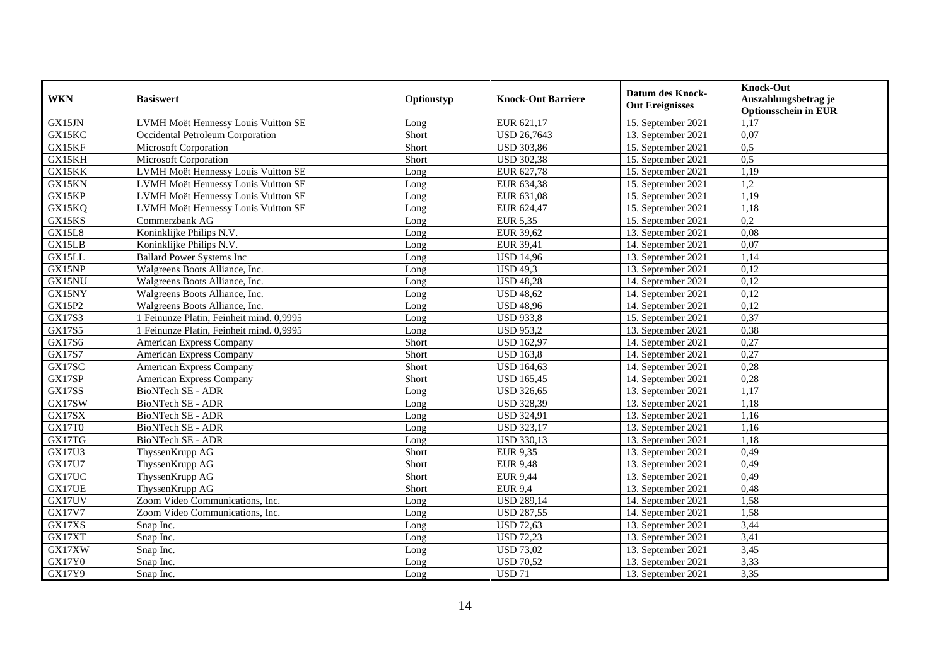| <b>WKN</b>    | <b>Basiswert</b>                         | Optionstyp | <b>Knock-Out Barriere</b> | <b>Datum des Knock-</b><br><b>Out Ereignisses</b> | <b>Knock-Out</b><br>Auszahlungsbetrag je<br><b>Optionsschein in EUR</b> |
|---------------|------------------------------------------|------------|---------------------------|---------------------------------------------------|-------------------------------------------------------------------------|
| GX15JN        | LVMH Moët Hennessy Louis Vuitton SE      | Long       | EUR 621,17                | 15. September 2021                                | 1,17                                                                    |
| GX15KC        | Occidental Petroleum Corporation         | Short      | <b>USD 26,7643</b>        | 13. September 2021                                | 0,07                                                                    |
| GX15KF        | Microsoft Corporation                    | Short      | <b>USD 303,86</b>         | 15. September 2021                                | 0,5                                                                     |
| GX15KH        | Microsoft Corporation                    | Short      | <b>USD 302,38</b>         | 15. September 2021                                | 0,5                                                                     |
| GX15KK        | LVMH Moët Hennessy Louis Vuitton SE      | Long       | EUR 627,78                | 15. September 2021                                | 1,19                                                                    |
| GX15KN        | LVMH Moët Hennessy Louis Vuitton SE      | Long       | EUR 634,38                | 15. September 2021                                | 1,2                                                                     |
| GX15KP        | LVMH Moët Hennessy Louis Vuitton SE      | Long       | EUR 631,08                | 15. September 2021                                | 1,19                                                                    |
| GX15KQ        | LVMH Moët Hennessy Louis Vuitton SE      | Long       | EUR 624,47                | 15. September 2021                                | 1,18                                                                    |
| GX15KS        | Commerzbank AG                           | Long       | <b>EUR 5,35</b>           | 15. September 2021                                | 0,2                                                                     |
| GX15L8        | Koninklijke Philips N.V.                 | Long       | EUR 39,62                 | 13. September 2021                                | 0,08                                                                    |
| GX15LB        | Koninklijke Philips N.V.                 | Long       | <b>EUR 39,41</b>          | 14. September 2021                                | 0,07                                                                    |
| GX15LL        | <b>Ballard Power Systems Inc</b>         | Long       | <b>USD 14,96</b>          | 13. September 2021                                | 1,14                                                                    |
| GX15NP        | Walgreens Boots Alliance, Inc.           | Long       | <b>USD 49,3</b>           | 13. September 2021                                | 0,12                                                                    |
| GX15NU        | Walgreens Boots Alliance, Inc.           | Long       | <b>USD 48,28</b>          | 14. September 2021                                | 0,12                                                                    |
| GX15NY        | Walgreens Boots Alliance, Inc.           | Long       | <b>USD 48,62</b>          | 14. September 2021                                | 0,12                                                                    |
| GX15P2        | Walgreens Boots Alliance, Inc.           | Long       | <b>USD 48,96</b>          | 14. September 2021                                | 0,12                                                                    |
| GX17S3        | 1 Feinunze Platin, Feinheit mind. 0,9995 | Long       | <b>USD 933,8</b>          | 15. September 2021                                | 0,37                                                                    |
| GX17S5        | 1 Feinunze Platin, Feinheit mind, 0.9995 | Long       | <b>USD 953,2</b>          | 13. September 2021                                | 0,38                                                                    |
| GX17S6        | <b>American Express Company</b>          | Short      | <b>USD 162,97</b>         | 14. September 2021                                | 0,27                                                                    |
| <b>GX17S7</b> | American Express Company                 | Short      | <b>USD 163,8</b>          | 14. September 2021                                | 0,27                                                                    |
| GX17SC        | American Express Company                 | Short      | <b>USD 164,63</b>         | 14. September 2021                                | 0,28                                                                    |
| GX17SP        | American Express Company                 | Short      | <b>USD 165,45</b>         | 14. September 2021                                | 0,28                                                                    |
| GX17SS        | BioNTech SE - ADR                        | Long       | <b>USD 326,65</b>         | 13. September 2021                                | 1,17                                                                    |
| GX17SW        | BioNTech SE - ADR                        | Long       | <b>USD 328,39</b>         | 13. September 2021                                | 1,18                                                                    |
| GX17SX        | <b>BioNTech SE - ADR</b>                 | Long       | <b>USD 324,91</b>         | 13. September 2021                                | 1,16                                                                    |
| GX17T0        | BioNTech SE - ADR                        | Long       | <b>USD 323,17</b>         | 13. September 2021                                | 1,16                                                                    |
| GX17TG        | BioNTech SE - ADR                        | Long       | <b>USD 330,13</b>         | 13. September 2021                                | 1,18                                                                    |
| GX17U3        | ThyssenKrupp AG                          | Short      | EUR 9,35                  | 13. September 2021                                | 0,49                                                                    |
| <b>GX17U7</b> | ThyssenKrupp AG                          | Short      | <b>EUR 9,48</b>           | 13. September 2021                                | 0,49                                                                    |
| GX17UC        | ThyssenKrupp AG                          | Short      | <b>EUR 9,44</b>           | 13. September 2021                                | 0,49                                                                    |
| GX17UE        | ThyssenKrupp AG                          | Short      | <b>EUR 9,4</b>            | 13. September 2021                                | 0,48                                                                    |
| GX17UV        | Zoom Video Communications, Inc.          | Long       | <b>USD 289,14</b>         | 14. September 2021                                | 1,58                                                                    |
| <b>GX17V7</b> | Zoom Video Communications, Inc.          | Long       | <b>USD 287,55</b>         | 14. September 2021                                | 1,58                                                                    |
| GX17XS        | Snap Inc.                                | Long       | <b>USD 72,63</b>          | 13. September 2021                                | 3,44                                                                    |
| GX17XT        | Snap Inc.                                | Long       | <b>USD 72,23</b>          | 13. September 2021                                | 3,41                                                                    |
| GX17XW        | Snap Inc.                                | Long       | <b>USD 73,02</b>          | 13. September 2021                                | 3,45                                                                    |
| GX17Y0        | Snap Inc.                                | Long       | <b>USD 70,52</b>          | 13. September 2021                                | 3,33                                                                    |
| GX17Y9        | Snap Inc.                                | Long       | <b>USD 71</b>             | 13. September 2021                                | 3,35                                                                    |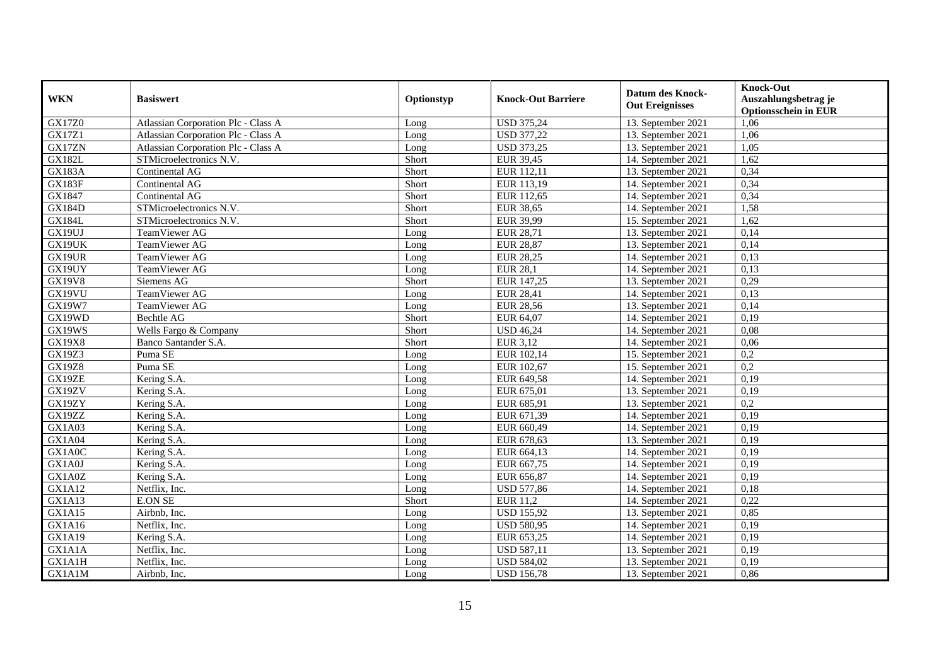| <b>WKN</b>    | <b>Basiswert</b>                    | Optionstyp | <b>Knock-Out Barriere</b> | <b>Datum des Knock-</b> | <b>Knock-Out</b>            |
|---------------|-------------------------------------|------------|---------------------------|-------------------------|-----------------------------|
|               |                                     |            |                           |                         | Auszahlungsbetrag je        |
|               |                                     |            |                           | <b>Out Ereignisses</b>  | <b>Optionsschein in EUR</b> |
| GX17Z0        | Atlassian Corporation Plc - Class A | Long       | <b>USD 375,24</b>         | 13. September 2021      | 1,06                        |
| <b>GX17Z1</b> | Atlassian Corporation Plc - Class A | Long       | <b>USD 377,22</b>         | 13. September 2021      | 1,06                        |
| GX17ZN        | Atlassian Corporation Plc - Class A | Long       | <b>USD 373,25</b>         | 13. September 2021      | 1,05                        |
| GX182L        | STMicroelectronics N.V.             | Short      | <b>EUR 39,45</b>          | 14. September 2021      | 1,62                        |
| <b>GX183A</b> | Continental AG                      | Short      | EUR 112,11                | 13. September 2021      | 0,34                        |
| GX183F        | Continental AG                      | Short      | EUR 113,19                | 14. September 2021      | 0,34                        |
| GX1847        | Continental AG                      | Short      | EUR 112,65                | 14. September 2021      | 0,34                        |
| <b>GX184D</b> | STMicroelectronics N.V.             | Short      | <b>EUR 38,65</b>          | 14. September 2021      | 1,58                        |
| <b>GX184L</b> | STMicroelectronics N.V.             | Short      | EUR 39,99                 | 15. September 2021      | 1,62                        |
| GX19UJ        | TeamViewer AG                       | Long       | <b>EUR 28,71</b>          | 13. September 2021      | 0,14                        |
| GX19UK        | TeamViewer AG                       | Long       | <b>EUR 28,87</b>          | 13. September 2021      | 0,14                        |
| GX19UR        | TeamViewer AG                       | Long       | <b>EUR 28,25</b>          | 14. September 2021      | 0,13                        |
| GX19UY        | TeamViewer AG                       | Long       | <b>EUR 28,1</b>           | 14. September 2021      | 0,13                        |
| <b>GX19V8</b> | Siemens AG                          | Short      | EUR 147,25                | 13. September 2021      | 0,29                        |
| GX19VU        | TeamViewer AG                       | Long       | <b>EUR 28,41</b>          | 14. September 2021      | 0,13                        |
| GX19W7        | TeamViewer AG                       | Long       | <b>EUR 28,56</b>          | 13. September 2021      | 0,14                        |
| GX19WD        | Bechtle AG                          | Short      | EUR 64,07                 | 14. September 2021      | 0,19                        |
| GX19WS        | Wells Fargo & Company               | Short      | <b>USD 46,24</b>          | 14. September 2021      | 0.08                        |
| <b>GX19X8</b> | Banco Santander S.A.                | Short      | EUR 3,12                  | 14. September 2021      | 0,06                        |
| GX19Z3        | Puma SE                             | Long       | EUR 102,14                | 15. September 2021      | 0,2                         |
| <b>GX19Z8</b> | Puma SE                             | Long       | EUR 102,67                | 15. September 2021      | $\overline{0,2}$            |
| GX19ZE        | Kering S.A.                         | Long       | EUR 649,58                | 14. September 2021      | 0,19                        |
| GX19ZV        | Kering S.A.                         | Long       | EUR 675,01                | 13. September 2021      | 0,19                        |
| GX19ZY        | Kering S.A.                         | Long       | EUR 685,91                | 13. September 2021      | 0,2                         |
| GX19ZZ        | Kering S.A.                         | Long       | EUR 671,39                | 14. September 2021      | 0,19                        |
| GX1A03        | Kering S.A.                         | Long       | EUR 660,49                | 14. September 2021      | 0,19                        |
| GX1A04        | Kering S.A.                         | Long       | EUR 678,63                | 13. September 2021      | 0,19                        |
| GX1A0C        | Kering S.A.                         | Long       | EUR 664,13                | 14. September 2021      | 0,19                        |
| GX1A0J        | Kering S.A.                         | Long       | EUR 667,75                | 14. September 2021      | 0,19                        |
| GX1A0Z        | Kering S.A.                         | Long       | EUR 656,87                | 14. September 2021      | 0,19                        |
| <b>GX1A12</b> | Netflix, Inc.                       | Long       | <b>USD 577,86</b>         | 14. September 2021      | 0,18                        |
| GX1A13        | <b>E.ON SE</b>                      | Short      | EUR 11,2                  | 14. September 2021      | 0,22                        |
| GX1A15        | Airbnb, Inc.                        | Long       | <b>USD 155,92</b>         | 13. September 2021      | 0,85                        |
| GX1A16        | Netflix, Inc.                       | Long       | <b>USD 580,95</b>         | 14. September 2021      | 0,19                        |
| GX1A19        | Kering S.A.                         | Long       | EUR 653,25                | 14. September 2021      | 0,19                        |
| GX1A1A        | Netflix, Inc.                       | Long       | <b>USD 587,11</b>         | 13. September 2021      | 0,19                        |
| GX1A1H        | Netflix, Inc.                       | Long       | <b>USD 584,02</b>         | 13. September 2021      | 0,19                        |
| GX1A1M        | Airbnb, Inc.                        | Long       | <b>USD 156,78</b>         | 13. September 2021      | 0,86                        |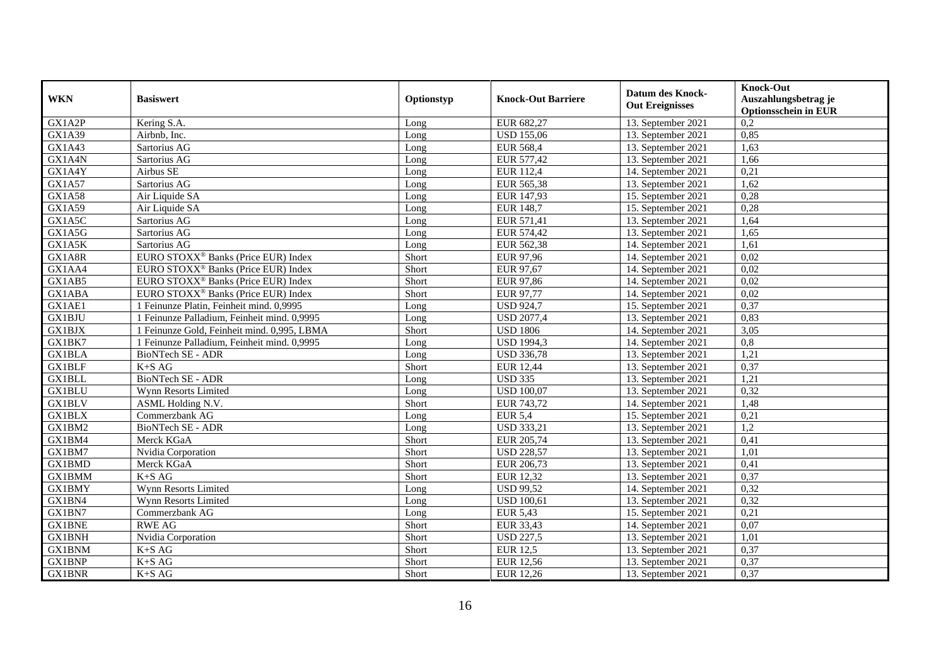| <b>WKN</b>    | <b>Basiswert</b>                                | Optionstyp | <b>Knock-Out Barriere</b> | <b>Datum des Knock-</b><br><b>Out Ereignisses</b> | <b>Knock-Out</b><br>Auszahlungsbetrag je<br><b>Optionsschein in EUR</b> |
|---------------|-------------------------------------------------|------------|---------------------------|---------------------------------------------------|-------------------------------------------------------------------------|
| GX1A2P        | Kering S.A.                                     | Long       | EUR 682,27                | 13. September 2021                                | 0,2                                                                     |
| GX1A39        | Airbnb. Inc.                                    | Long       | <b>USD 155,06</b>         | 13. September 2021                                | 0,85                                                                    |
| GX1A43        | Sartorius AG                                    | Long       | <b>EUR 568,4</b>          | 13. September 2021                                | 1,63                                                                    |
| GX1A4N        | Sartorius AG                                    | Long       | EUR 577,42                | 13. September 2021                                | 1,66                                                                    |
| GX1A4Y        | Airbus SE                                       | Long       | <b>EUR 112,4</b>          | 14. September 2021                                | 0,21                                                                    |
| GX1A57        | Sartorius AG                                    | Long       | EUR 565,38                | 13. September 2021                                | 1,62                                                                    |
| GX1A58        | Air Liquide SA                                  | Long       | EUR 147,93                | 15. September 2021                                | 0,28                                                                    |
| GX1A59        | Air Liquide SA                                  | Long       | <b>EUR 148,7</b>          | 15. September 2021                                | 0,28                                                                    |
| GX1A5C        | Sartorius AG                                    | Long       | EUR 571,41                | 13. September 2021                                | 1,64                                                                    |
| GX1A5G        | Sartorius AG                                    | Long       | EUR 574,42                | 13. September 2021                                | 1,65                                                                    |
| GX1A5K        | Sartorius AG                                    | Long       | EUR 562,38                | 14. September 2021                                | 1,61                                                                    |
| GX1A8R        | EURO STOXX <sup>®</sup> Banks (Price EUR) Index | Short      | <b>EUR 97,96</b>          | 14. September 2021                                | 0,02                                                                    |
| GX1AA4        | EURO STOXX <sup>®</sup> Banks (Price EUR) Index | Short      | EUR 97,67                 | 14. September 2021                                | 0,02                                                                    |
| GX1AB5        | EURO STOXX <sup>®</sup> Banks (Price EUR) Index | Short      | EUR 97,86                 | 14. September 2021                                | 0,02                                                                    |
| <b>GX1ABA</b> | EURO STOXX <sup>®</sup> Banks (Price EUR) Index | Short      | EUR 97,77                 | 14. September 2021                                | 0,02                                                                    |
| GX1AE1        | 1 Feinunze Platin, Feinheit mind. 0,9995        | Long       | <b>USD 924,7</b>          | 15. September 2021                                | 0,37                                                                    |
| GX1BJU        | 1 Feinunze Palladium, Feinheit mind. 0,9995     | Long       | <b>USD 2077,4</b>         | 13. September 2021                                | 0,83                                                                    |
| <b>GX1BJX</b> | 1 Feinunze Gold, Feinheit mind. 0,995, LBMA     | Short      | <b>USD 1806</b>           | 14. September 2021                                | 3,05                                                                    |
| GX1BK7        | 1 Feinunze Palladium, Feinheit mind. 0,9995     | Long       | <b>USD 1994,3</b>         | 14. September 2021                                | 0,8                                                                     |
| <b>GX1BLA</b> | BioNTech SE - ADR                               | Long       | <b>USD 336,78</b>         | 13. September 2021                                | 1,21                                                                    |
| <b>GX1BLF</b> | $K+SAG$                                         | Short      | <b>EUR 12,44</b>          | 13. September 2021                                | 0,37                                                                    |
| <b>GX1BLL</b> | BioNTech SE - ADR                               | Long       | <b>USD 335</b>            | 13. September 2021                                | 1,21                                                                    |
| GX1BLU        | Wynn Resorts Limited                            | Long       | <b>USD 100,07</b>         | 13. September 2021                                | 0,32                                                                    |
| <b>GX1BLV</b> | <b>ASML</b> Holding N.V.                        | Short      | EUR 743,72                | 14. September 2021                                | 1,48                                                                    |
| <b>GX1BLX</b> | Commerzbank AG                                  | Long       | $EUR$ 5,4                 | 15. September 2021                                | 0,21                                                                    |
| GX1BM2        | BioNTech SE - ADR                               | Long       | <b>USD 333,21</b>         | 13. September 2021                                | 1,2                                                                     |
| GX1BM4        | Merck KGaA                                      | Short      | EUR 205,74                | 13. September 2021                                | 0,41                                                                    |
| GX1BM7        | Nvidia Corporation                              | Short      | <b>USD 228,57</b>         | 13. September 2021                                | 1,01                                                                    |
| <b>GX1BMD</b> | Merck KGaA                                      | Short      | EUR 206,73                | 13. September 2021                                | 0,41                                                                    |
| <b>GX1BMM</b> | $K+SAG$                                         | Short      | <b>EUR 12,32</b>          | 13. September 2021                                | 0,37                                                                    |
| <b>GX1BMY</b> | Wynn Resorts Limited                            | Long       | <b>USD 99,52</b>          | 14. September 2021                                | 0,32                                                                    |
| GX1BN4        | Wynn Resorts Limited                            | Long       | <b>USD 100,61</b>         | 13. September 2021                                | 0,32                                                                    |
| GX1BN7        | Commerzbank AG                                  | Long       | <b>EUR 5,43</b>           | 15. September 2021                                | 0,21                                                                    |
| <b>GX1BNE</b> | <b>RWE AG</b>                                   | Short      | EUR 33,43                 | 14. September 2021                                | 0,07                                                                    |
| <b>GX1BNH</b> | Nvidia Corporation                              | Short      | <b>USD 227,5</b>          | 13. September 2021                                | 1,01                                                                    |
| <b>GX1BNM</b> | $K+SAG$                                         | Short      | <b>EUR 12,5</b>           | 13. September 2021                                | 0,37                                                                    |
| <b>GX1BNP</b> | $K\text{+}S$ AG                                 | Short      | <b>EUR 12,56</b>          | 13. September 2021                                | 0,37                                                                    |
| <b>GX1BNR</b> | $K+SAG$                                         | Short      | EUR 12,26                 | 13. September 2021                                | 0,37                                                                    |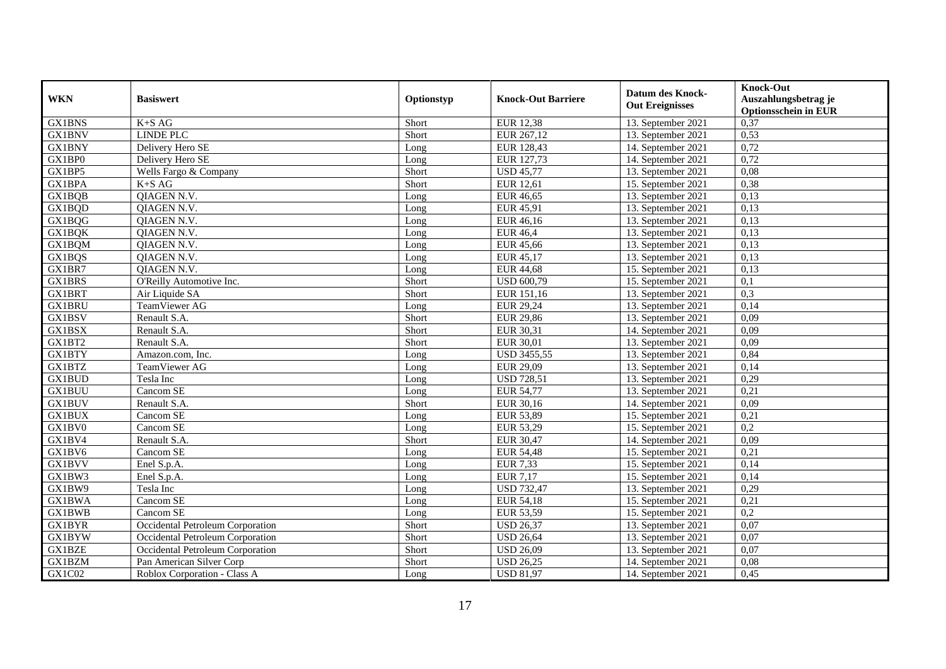| <b>WKN</b>    | <b>Basiswert</b>                 | Optionstyp | <b>Knock-Out Barriere</b> | <b>Datum des Knock-</b><br><b>Out Ereignisses</b> | <b>Knock-Out</b><br>Auszahlungsbetrag je<br><b>Optionsschein in EUR</b> |
|---------------|----------------------------------|------------|---------------------------|---------------------------------------------------|-------------------------------------------------------------------------|
| <b>GX1BNS</b> | $K+SAG$                          | Short      | <b>EUR 12,38</b>          | 13. September 2021                                | 0,37                                                                    |
| <b>GX1BNV</b> | <b>LINDE PLC</b>                 | Short      | EUR 267,12                | 13. September 2021                                | 0,53                                                                    |
| <b>GX1BNY</b> | Delivery Hero SE                 | Long       | EUR 128,43                | 14. September 2021                                | 0,72                                                                    |
| GX1BP0        | Delivery Hero SE                 | Long       | EUR 127,73                | 14. September 2021                                | 0,72                                                                    |
| GX1BP5        | Wells Fargo & Company            | Short      | <b>USD 45,77</b>          | 13. September 2021                                | 0,08                                                                    |
| GX1BPA        | $K+SAG$                          | Short      | <b>EUR 12,61</b>          | 15. September 2021                                | 0,38                                                                    |
| GX1BQB        | QIAGEN N.V.                      | Long       | <b>EUR 46,65</b>          | 13. September 2021                                | 0,13                                                                    |
| GX1BQD        | <b>QIAGEN N.V.</b>               | Long       | EUR 45,91                 | 13. September 2021                                | 0,13                                                                    |
| GX1BQG        | QIAGEN N.V.                      | Long       | EUR 46,16                 | 13. September 2021                                | 0,13                                                                    |
| <b>GX1BQK</b> | QIAGEN N.V.                      | Long       | <b>EUR 46,4</b>           | 13. September 2021                                | 0,13                                                                    |
| <b>GX1BQM</b> | QIAGEN N.V.                      | Long       | <b>EUR 45,66</b>          | 13. September 2021                                | 0,13                                                                    |
| GX1BQS        | QIAGEN N.V.                      | Long       | EUR 45,17                 | 13. September 2021                                | 0,13                                                                    |
| GX1BR7        | <b>OIAGEN N.V.</b>               | Long       | <b>EUR 44,68</b>          | 15. September 2021                                | 0,13                                                                    |
| GX1BRS        | O'Reilly Automotive Inc.         | Short      | <b>USD 600,79</b>         | 15. September 2021                                | 0,1                                                                     |
| GX1BRT        | Air Liquide SA                   | Short      | EUR 151,16                | 13. September 2021                                | 0,3                                                                     |
| <b>GX1BRU</b> | TeamViewer AG                    | Long       | <b>EUR 29,24</b>          | 13. September 2021                                | 0,14                                                                    |
| GX1BSV        | Renault S.A.                     | Short      | <b>EUR 29,86</b>          | 13. September 2021                                | 0,09                                                                    |
| GX1BSX        | Renault S.A.                     | Short      | EUR 30,31                 | 14. September 2021                                | 0,09                                                                    |
| GX1BT2        | Renault S.A.                     | Short      | <b>EUR 30,01</b>          | 13. September 2021                                | 0,09                                                                    |
| <b>GX1BTY</b> | Amazon.com, Inc.                 | Long       | <b>USD 3455,55</b>        | 13. September 2021                                | 0,84                                                                    |
| <b>GX1BTZ</b> | TeamViewer AG                    | Long       | <b>EUR 29,09</b>          | 13. September 2021                                | 0,14                                                                    |
| <b>GX1BUD</b> | Tesla Inc                        | Long       | <b>USD 728,51</b>         | 13. September 2021                                | 0,29                                                                    |
| <b>GX1BUU</b> | Cancom SE                        | Long       | <b>EUR 54,77</b>          | 13. September 2021                                | 0,21                                                                    |
| <b>GX1BUV</b> | Renault S.A.                     | Short      | EUR 30,16                 | 14. September 2021                                | 0,09                                                                    |
| <b>GX1BUX</b> | Cancom SE                        | Long       | <b>EUR 53,89</b>          | 15. September 2021                                | 0,21                                                                    |
| GX1BV0        | Cancom SE                        | Long       | EUR 53,29                 | 15. September 2021                                | 0,2                                                                     |
| GX1BV4        | Renault S.A.                     | Short      | <b>EUR 30,47</b>          | 14. September 2021                                | 0,09                                                                    |
| GX1BV6        | Cancom SE                        | Long       | <b>EUR 54,48</b>          | 15. September 2021                                | 0,21                                                                    |
| <b>GX1BVV</b> | Enel S.p.A.                      | Long       | <b>EUR 7,33</b>           | 15. September 2021                                | 0,14                                                                    |
| GX1BW3        | Enel S.p.A.                      | Long       | <b>EUR 7,17</b>           | 15. September 2021                                | 0,14                                                                    |
| GX1BW9        | Tesla Inc                        | Long       | <b>USD 732,47</b>         | 13. September 2021                                | 0,29                                                                    |
| <b>GX1BWA</b> | Cancom SE                        | Long       | <b>EUR 54,18</b>          | 15. September 2021                                | 0,21                                                                    |
| <b>GX1BWB</b> | Cancom SE                        | Long       | EUR 53,59                 | 15. September 2021                                | $\overline{0,2}$                                                        |
| <b>GX1BYR</b> | Occidental Petroleum Corporation | Short      | <b>USD 26,37</b>          | 13. September 2021                                | 0,07                                                                    |
| <b>GX1BYW</b> | Occidental Petroleum Corporation | Short      | <b>USD 26,64</b>          | 13. September 2021                                | 0,07                                                                    |
| <b>GX1BZE</b> | Occidental Petroleum Corporation | Short      | <b>USD 26,09</b>          | 13. September 2021                                | 0,07                                                                    |
| GX1BZM        | Pan American Silver Corp         | Short      | <b>USD 26,25</b>          | 14. September 2021                                | 0,08                                                                    |
| GX1C02        | Roblox Corporation - Class A     | Long       | <b>USD 81,97</b>          | 14. September 2021                                | 0,45                                                                    |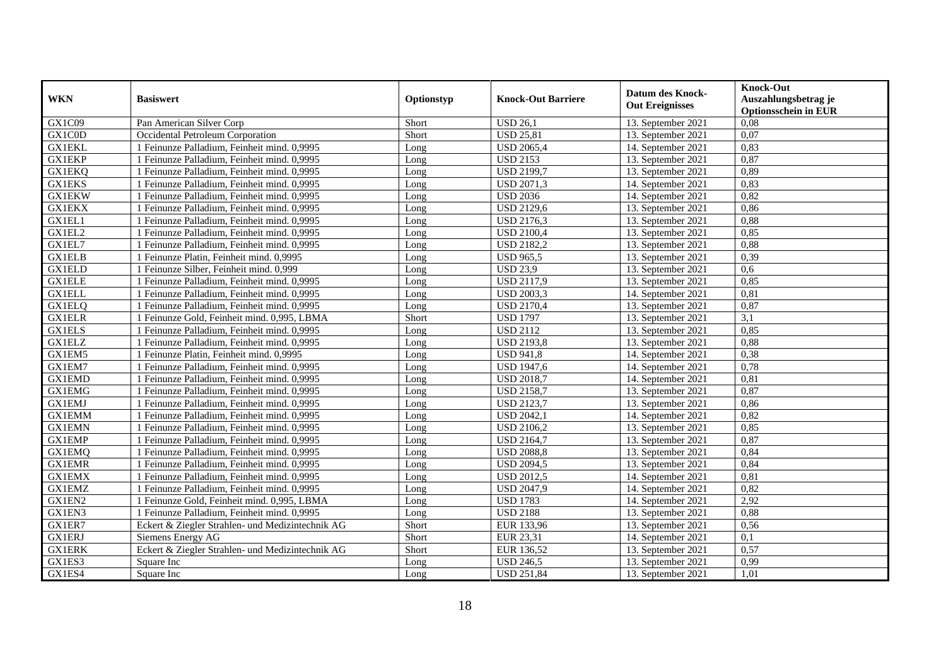| <b>WKN</b>    | <b>Basiswert</b>                                 | Optionstyp | <b>Knock-Out Barriere</b> | Datum des Knock-<br><b>Out Ereignisses</b> | <b>Knock-Out</b><br>Auszahlungsbetrag je<br><b>Optionsschein in EUR</b> |
|---------------|--------------------------------------------------|------------|---------------------------|--------------------------------------------|-------------------------------------------------------------------------|
| GX1C09        | Pan American Silver Corp                         | Short      | <b>USD 26,1</b>           | 13. September 2021                         | 0,08                                                                    |
| GX1C0D        | Occidental Petroleum Corporation                 | Short      | <b>USD 25,81</b>          | 13. September 2021                         | 0,07                                                                    |
| <b>GX1EKL</b> | 1 Feinunze Palladium, Feinheit mind. 0,9995      | Long       | <b>USD 2065,4</b>         | 14. September 2021                         | 0,83                                                                    |
| <b>GX1EKP</b> | 1 Feinunze Palladium, Feinheit mind. 0,9995      | Long       | <b>USD 2153</b>           | 13. September 2021                         | 0,87                                                                    |
| <b>GX1EKQ</b> | 1 Feinunze Palladium, Feinheit mind. 0,9995      | Long       | <b>USD 2199,7</b>         | 13. September 2021                         | 0,89                                                                    |
| <b>GX1EKS</b> | 1 Feinunze Palladium, Feinheit mind. 0,9995      | Long       | <b>USD 2071,3</b>         | 14. September 2021                         | 0,83                                                                    |
| <b>GX1EKW</b> | 1 Feinunze Palladium, Feinheit mind. 0,9995      | Long       | <b>USD 2036</b>           | 14. September 2021                         | 0,82                                                                    |
| <b>GX1EKX</b> | 1 Feinunze Palladium, Feinheit mind. 0,9995      | Long       | <b>USD 2129,6</b>         | 13. September 2021                         | 0,86                                                                    |
| GX1EL1        | 1 Feinunze Palladium, Feinheit mind. 0,9995      | Long       | <b>USD 2176,3</b>         | 13. September 2021                         | 0,88                                                                    |
| GX1EL2        | 1 Feinunze Palladium, Feinheit mind. 0,9995      | Long       | <b>USD 2100,4</b>         | 13. September 2021                         | 0,85                                                                    |
| GX1EL7        | 1 Feinunze Palladium, Feinheit mind. 0,9995      | Long       | <b>USD 2182,2</b>         | 13. September 2021                         | 0,88                                                                    |
| <b>GX1ELB</b> | 1 Feinunze Platin, Feinheit mind. 0,9995         | Long       | <b>USD 965,5</b>          | 13. September 2021                         | 0,39                                                                    |
| <b>GX1ELD</b> | 1 Feinunze Silber, Feinheit mind. 0,999          | Long       | <b>USD 23,9</b>           | 13. September 2021                         | 0,6                                                                     |
| <b>GX1ELE</b> | 1 Feinunze Palladium, Feinheit mind. 0,9995      | Long       | <b>USD 2117,9</b>         | 13. September 2021                         | 0,85                                                                    |
| <b>GX1ELL</b> | 1 Feinunze Palladium, Feinheit mind. 0,9995      | Long       | <b>USD 2003,3</b>         | 14. September 2021                         | 0,81                                                                    |
| <b>GX1ELQ</b> | 1 Feinunze Palladium, Feinheit mind. 0,9995      | Long       | <b>USD 2170,4</b>         | 13. September 2021                         | 0,87                                                                    |
| <b>GX1ELR</b> | 1 Feinunze Gold, Feinheit mind. 0,995, LBMA      | Short      | <b>USD 1797</b>           | 13. September 2021                         | 3,1                                                                     |
| <b>GX1ELS</b> | 1 Feinunze Palladium, Feinheit mind. 0,9995      | Long       | <b>USD 2112</b>           | 13. September 2021                         | 0.85                                                                    |
| <b>GX1ELZ</b> | 1 Feinunze Palladium, Feinheit mind. 0,9995      | Long       | <b>USD 2193,8</b>         | 13. September 2021                         | 0,88                                                                    |
| GX1EM5        | 1 Feinunze Platin, Feinheit mind. 0,9995         | Long       | <b>USD 941,8</b>          | 14. September 2021                         | 0,38                                                                    |
| GX1EM7        | 1 Feinunze Palladium, Feinheit mind. 0,9995      | Long       | <b>USD 1947,6</b>         | 14. September 2021                         | 0,78                                                                    |
| <b>GX1EMD</b> | 1 Feinunze Palladium, Feinheit mind. 0,9995      | Long       | <b>USD 2018,7</b>         | 14. September 2021                         | 0,81                                                                    |
| <b>GX1EMG</b> | 1 Feinunze Palladium, Feinheit mind. 0,9995      | Long       | <b>USD 2158,7</b>         | 13. September 2021                         | 0,87                                                                    |
| <b>GX1EMJ</b> | 1 Feinunze Palladium, Feinheit mind. 0,9995      | Long       | <b>USD 2123,7</b>         | 13. September 2021                         | 0,86                                                                    |
| <b>GX1EMM</b> | 1 Feinunze Palladium, Feinheit mind. 0,9995      | Long       | <b>USD 2042,1</b>         | 14. September 2021                         | 0,82                                                                    |
| <b>GX1EMN</b> | 1 Feinunze Palladium, Feinheit mind. 0,9995      | Long       | <b>USD 2106,2</b>         | 13. September 2021                         | 0,85                                                                    |
| <b>GX1EMP</b> | 1 Feinunze Palladium, Feinheit mind. 0,9995      | Long       | <b>USD 2164,7</b>         | 13. September 2021                         | 0,87                                                                    |
| <b>GX1EMQ</b> | 1 Feinunze Palladium, Feinheit mind. 0,9995      | Long       | <b>USD 2088,8</b>         | 13. September 2021                         | 0,84                                                                    |
| <b>GX1EMR</b> | 1 Feinunze Palladium, Feinheit mind. 0,9995      | Long       | <b>USD 2094,5</b>         | 13. September 2021                         | 0,84                                                                    |
| <b>GX1EMX</b> | 1 Feinunze Palladium, Feinheit mind. 0,9995      | Long       | <b>USD 2012,5</b>         | 14. September 2021                         | 0,81                                                                    |
| <b>GX1EMZ</b> | 1 Feinunze Palladium, Feinheit mind. 0,9995      | Long       | <b>USD 2047,9</b>         | 14. September 2021                         | 0,82                                                                    |
| GX1EN2        | 1 Feinunze Gold, Feinheit mind. 0,995, LBMA      | Long       | <b>USD 1783</b>           | 14. September 2021                         | 2,92                                                                    |
| GX1EN3        | 1 Feinunze Palladium, Feinheit mind. 0,9995      | Long       | <b>USD 2188</b>           | 13. September 2021                         | 0,88                                                                    |
| GX1ER7        | Eckert & Ziegler Strahlen- und Medizintechnik AG | Short      | EUR 133,96                | 13. September 2021                         | 0,56                                                                    |
| <b>GX1ERJ</b> | Siemens Energy AG                                | Short      | EUR 23,31                 | 14. September 2021                         | 0,1                                                                     |
| <b>GX1ERK</b> | Eckert & Ziegler Strahlen- und Medizintechnik AG | Short      | EUR 136,52                | 13. September 2021                         | 0,57                                                                    |
| GX1ES3        | Square Inc                                       | Long       | <b>USD 246,5</b>          | 13. September 2021                         | 0,99                                                                    |
| GX1ES4        | Square Inc                                       | Long       | <b>USD 251,84</b>         | 13. September 2021                         | 1,01                                                                    |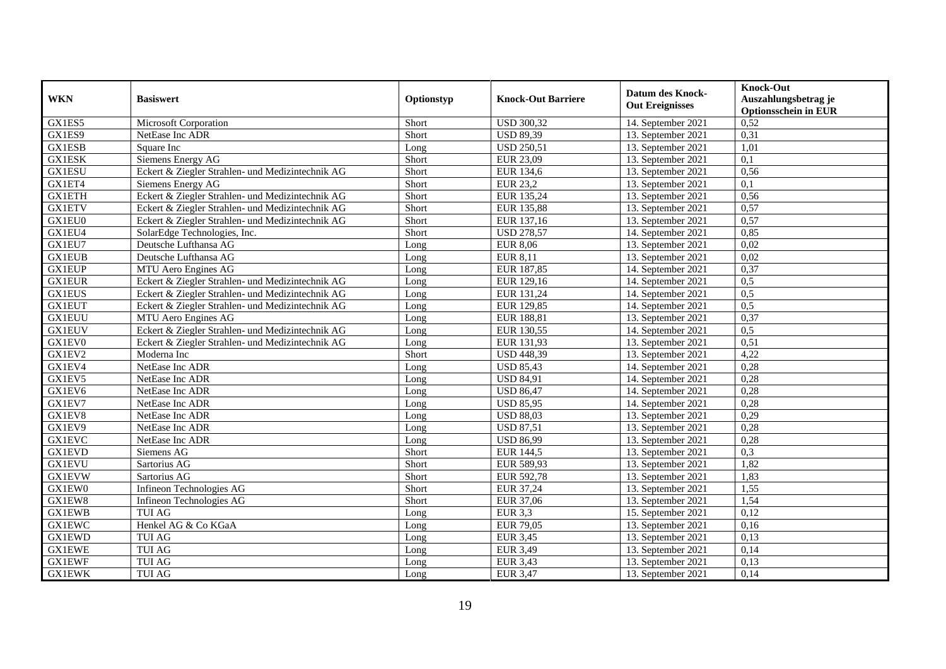| <b>WKN</b>    | <b>Basiswert</b>                                 | Optionstyp | <b>Knock-Out Barriere</b> | <b>Datum des Knock-</b><br><b>Out Ereignisses</b> | <b>Knock-Out</b><br>Auszahlungsbetrag je<br><b>Optionsschein in EUR</b> |
|---------------|--------------------------------------------------|------------|---------------------------|---------------------------------------------------|-------------------------------------------------------------------------|
| GX1ES5        | Microsoft Corporation                            | Short      | <b>USD 300,32</b>         | 14. September 2021                                | $0,\overline{52}$                                                       |
| GX1ES9        | NetEase Inc ADR                                  | Short      | <b>USD 89,39</b>          | 13. September 2021                                | 0,31                                                                    |
| <b>GX1ESB</b> | Square Inc                                       | Long       | <b>USD 250,51</b>         | 13. September 2021                                | 1,01                                                                    |
| <b>GX1ESK</b> | Siemens Energy AG                                | Short      | <b>EUR 23,09</b>          | 13. September 2021                                | 0,1                                                                     |
| <b>GX1ESU</b> | Eckert & Ziegler Strahlen- und Medizintechnik AG | Short      | EUR 134,6                 | 13. September 2021                                | 0,56                                                                    |
| GX1ET4        | Siemens Energy AG                                | Short      | <b>EUR 23,2</b>           | 13. September 2021                                | 0,1                                                                     |
| <b>GX1ETH</b> | Eckert & Ziegler Strahlen- und Medizintechnik AG | Short      | EUR 135,24                | 13. September 2021                                | 0,56                                                                    |
| <b>GX1ETV</b> | Eckert & Ziegler Strahlen- und Medizintechnik AG | Short      | <b>EUR 135,88</b>         | 13. September 2021                                | 0,57                                                                    |
| GX1EU0        | Eckert & Ziegler Strahlen- und Medizintechnik AG | Short      | EUR 137,16                | 13. September 2021                                | 0,57                                                                    |
| GX1EU4        | SolarEdge Technologies, Inc.                     | Short      | <b>USD 278,57</b>         | 14. September 2021                                | 0,85                                                                    |
| GX1EU7        | Deutsche Lufthansa AG                            | Long       | <b>EUR 8,06</b>           | 13. September 2021                                | 0,02                                                                    |
| <b>GX1EUB</b> | Deutsche Lufthansa AG                            | Long       | <b>EUR 8,11</b>           | 13. September 2021                                | 0,02                                                                    |
| <b>GX1EUP</b> | MTU Aero Engines AG                              | Long       | EUR 187,85                | 14. September 2021                                | 0,37                                                                    |
| <b>GX1EUR</b> | Eckert & Ziegler Strahlen- und Medizintechnik AG | Long       | EUR 129,16                | 14. September 2021                                | 0,5                                                                     |
| <b>GX1EUS</b> | Eckert & Ziegler Strahlen- und Medizintechnik AG | Long       | EUR 131,24                | 14. September 2021                                | 0,5                                                                     |
| <b>GX1EUT</b> | Eckert & Ziegler Strahlen- und Medizintechnik AG | Long       | EUR 129,85                | 14. September 2021                                | 0,5                                                                     |
| <b>GX1EUU</b> | MTU Aero Engines AG                              | Long       | EUR 188,81                | 13. September 2021                                | 0,37                                                                    |
| <b>GX1EUV</b> | Eckert & Ziegler Strahlen- und Medizintechnik AG | Long       | EUR 130.55                | 14. September 2021                                | 0,5                                                                     |
| GX1EV0        | Eckert & Ziegler Strahlen- und Medizintechnik AG | Long       | EUR 131,93                | 13. September 2021                                | 0,51                                                                    |
| GX1EV2        | Moderna Inc                                      | Short      | <b>USD 448,39</b>         | 13. September 2021                                | 4,22                                                                    |
| GX1EV4        | NetEase Inc ADR                                  | Long       | <b>USD 85,43</b>          | 14. September 2021                                | 0,28                                                                    |
| GX1EV5        | NetEase Inc ADR                                  | Long       | <b>USD 84,91</b>          | 14. September 2021                                | 0,28                                                                    |
| GX1EV6        | NetEase Inc ADR                                  | Long       | <b>USD 86,47</b>          | 14. September 2021                                | 0,28                                                                    |
| GX1EV7        | NetEase Inc ADR                                  | Long       | <b>USD 85,95</b>          | 14. September 2021                                | 0,28                                                                    |
| GX1EV8        | NetEase Inc ADR                                  | Long       | <b>USD 88,03</b>          | 13. September 2021                                | 0,29                                                                    |
| GX1EV9        | NetEase Inc ADR                                  | Long       | <b>USD 87,51</b>          | 13. September 2021                                | 0,28                                                                    |
| <b>GX1EVC</b> | NetEase Inc ADR                                  | Long       | <b>USD 86,99</b>          | 13. September 2021                                | 0,28                                                                    |
| <b>GX1EVD</b> | Siemens AG                                       | Short      | EUR 144,5                 | 13. September 2021                                | 0.3                                                                     |
| <b>GX1EVU</b> | Sartorius AG                                     | Short      | EUR 589,93                | 13. September 2021                                | 1,82                                                                    |
| <b>GX1EVW</b> | Sartorius AG                                     | Short      | EUR 592,78                | 13. September 2021                                | 1,83                                                                    |
| GX1EW0        | Infineon Technologies AG                         | Short      | EUR 37,24                 | 13. September 2021                                | 1,55                                                                    |
| GX1EW8        | Infineon Technologies AG                         | Short      | EUR 37,06                 | 13. September 2021                                | 1,54                                                                    |
| <b>GX1EWB</b> | <b>TUI AG</b>                                    | Long       | <b>EUR 3,3</b>            | 15. September 2021                                | 0,12                                                                    |
| <b>GX1EWC</b> | Henkel AG & Co KGaA                              | Long       | <b>EUR 79,05</b>          | 13. September 2021                                | 0,16                                                                    |
| <b>GX1EWD</b> | <b>TUI AG</b>                                    | Long       | <b>EUR 3,45</b>           | 13. September 2021                                | 0,13                                                                    |
| <b>GX1EWE</b> | <b>TUI AG</b>                                    | Long       | <b>EUR 3,49</b>           | 13. September 2021                                | 0,14                                                                    |
| <b>GX1EWF</b> | TUI AG                                           | Long       | <b>EUR 3,43</b>           | 13. September 2021                                | 0,13                                                                    |
| <b>GX1EWK</b> | <b>TUI AG</b>                                    | Long       | <b>EUR 3,47</b>           | 13. September 2021                                | 0,14                                                                    |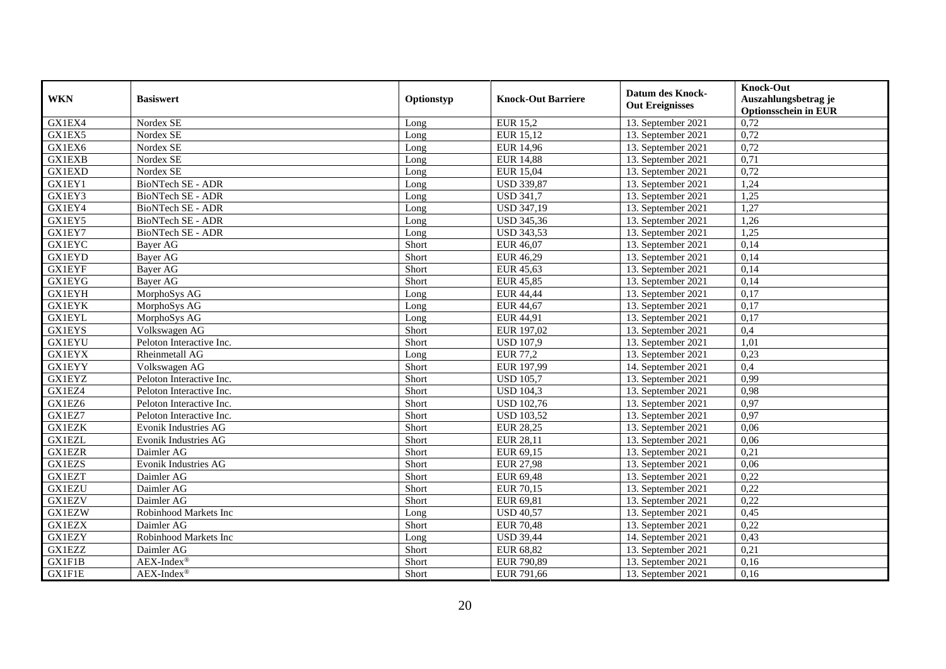| <b>WKN</b>    | <b>Basiswert</b>            | Optionstyp | <b>Knock-Out Barriere</b> | <b>Datum des Knock-</b><br><b>Out Ereignisses</b> | <b>Knock-Out</b><br>Auszahlungsbetrag je<br><b>Optionsschein in EUR</b> |
|---------------|-----------------------------|------------|---------------------------|---------------------------------------------------|-------------------------------------------------------------------------|
| GX1EX4        | Nordex SE                   | Long       | <b>EUR 15,2</b>           | 13. September 2021                                | 0,72                                                                    |
| GX1EX5        | Nordex SE                   | Long       | EUR 15,12                 | 13. September 2021                                | 0,72                                                                    |
| GX1EX6        | Nordex SE                   | Long       | <b>EUR 14,96</b>          | 13. September 2021                                | 0,72                                                                    |
| <b>GX1EXB</b> | Nordex SE                   | Long       | <b>EUR 14,88</b>          | 13. September 2021                                | 0,71                                                                    |
| <b>GX1EXD</b> | Nordex SE                   | Long       | <b>EUR 15,04</b>          | 13. September 2021                                | 0,72                                                                    |
| GX1EY1        | BioNTech SE - ADR           | Long       | <b>USD 339,87</b>         | 13. September 2021                                | 1,24                                                                    |
| GX1EY3        | BioNTech SE - ADR           | Long       | <b>USD 341,7</b>          | 13. September 2021                                | 1,25                                                                    |
| GX1EY4        | BioNTech SE - ADR           | Long       | <b>USD 347,19</b>         | 13. September 2021                                | 1,27                                                                    |
| GX1EY5        | BioNTech SE - ADR           | Long       | <b>USD 345,36</b>         | 13. September 2021                                | 1,26                                                                    |
| GX1EY7        | BioNTech SE - ADR           | Long       | <b>USD 343,53</b>         | 13. September 2021                                | 1,25                                                                    |
| <b>GX1EYC</b> | Bayer AG                    | Short      | EUR 46,07                 | 13. September 2021                                | 0,14                                                                    |
| <b>GX1EYD</b> | <b>Bayer AG</b>             | Short      | EUR 46,29                 | 13. September 2021                                | 0,14                                                                    |
| <b>GX1EYF</b> | <b>Bayer AG</b>             | Short      | EUR 45,63                 | 13. September 2021                                | 0,14                                                                    |
| <b>GX1EYG</b> | <b>Bayer AG</b>             | Short      | <b>EUR 45,85</b>          | 13. September 2021                                | 0,14                                                                    |
| <b>GX1EYH</b> | MorphoSys AG                | Long       | <b>EUR 44,44</b>          | 13. September 2021                                | 0,17                                                                    |
| <b>GX1EYK</b> | MorphoSys AG                | Long       | <b>EUR 44,67</b>          | 13. September 2021                                | 0,17                                                                    |
| <b>GX1EYL</b> | MorphoSys AG                | Long       | EUR 44,91                 | 13. September 2021                                | 0,17                                                                    |
| <b>GX1EYS</b> | Volkswagen AG               | Short      | EUR 197,02                | 13. September 2021                                | 0,4                                                                     |
| <b>GX1EYU</b> | Peloton Interactive Inc.    | Short      | <b>USD 107,9</b>          | 13. September 2021                                | 1,01                                                                    |
| <b>GX1EYX</b> | Rheinmetall AG              | Long       | <b>EUR 77,2</b>           | 13. September 2021                                | 0,23                                                                    |
| <b>GX1EYY</b> | Volkswagen AG               | Short      | EUR 197,99                | 14. September 2021                                | 0,4                                                                     |
| <b>GX1EYZ</b> | Peloton Interactive Inc.    | Short      | <b>USD 105,7</b>          | 13. September 2021                                | 0,99                                                                    |
| GX1EZ4        | Peloton Interactive Inc.    | Short      | <b>USD 104,3</b>          | 13. September 2021                                | 0,98                                                                    |
| GX1EZ6        | Peloton Interactive Inc.    | Short      | <b>USD 102,76</b>         | 13. September 2021                                | 0,97                                                                    |
| GX1EZ7        | Peloton Interactive Inc.    | Short      | <b>USD 103,52</b>         | 13. September 2021                                | 0,97                                                                    |
| <b>GX1EZK</b> | <b>Evonik Industries AG</b> | Short      | <b>EUR 28,25</b>          | 13. September 2021                                | 0,06                                                                    |
| <b>GX1EZL</b> | <b>Evonik Industries AG</b> | Short      | <b>EUR 28,11</b>          | 13. September 2021                                | 0,06                                                                    |
| <b>GX1EZR</b> | Daimler AG                  | Short      | EUR 69,15                 | 13. September 2021                                | 0,21                                                                    |
| <b>GX1EZS</b> | Evonik Industries AG        | Short      | <b>EUR 27,98</b>          | 13. September 2021                                | 0,06                                                                    |
| <b>GX1EZT</b> | Daimler AG                  | Short      | EUR 69,48                 | 13. September 2021                                | 0,22                                                                    |
| <b>GX1EZU</b> | Daimler AG                  | Short      | EUR 70,15                 | 13. September 2021                                | 0,22                                                                    |
| <b>GX1EZV</b> | Daimler AG                  | Short      | EUR 69,81                 | 13. September 2021                                | 0,22                                                                    |
| <b>GX1EZW</b> | Robinhood Markets Inc       | Long       | <b>USD 40,57</b>          | 13. September 2021                                | 0,45                                                                    |
| <b>GX1EZX</b> | Daimler AG                  | Short      | <b>EUR 70,48</b>          | 13. September 2021                                | 0,22                                                                    |
| <b>GX1EZY</b> | Robinhood Markets Inc       | Long       | <b>USD 39,44</b>          | 14. September 2021                                | 0,43                                                                    |
| <b>GX1EZZ</b> | Daimler AG                  | Short      | <b>EUR 68,82</b>          | 13. September 2021                                | 0,21                                                                    |
| GX1F1B        | $AEX-Index^{\circledR}$     | Short      | EUR 790,89                | 13. September 2021                                | 0,16                                                                    |
| $GXI$ F1E     | $AEX-Index^{\circledR}$     | Short      | EUR 791,66                | 13. September 2021                                | 0,16                                                                    |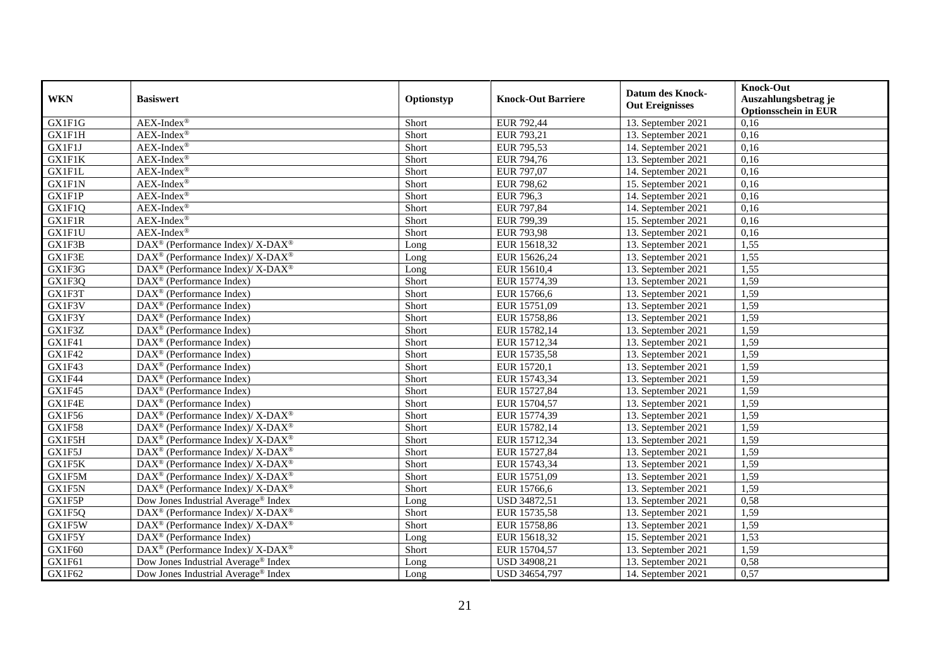| <b>WKN</b>    | <b>Basiswert</b>                                            | Optionstyp | <b>Knock-Out Barriere</b> | <b>Datum des Knock-</b><br><b>Out Ereignisses</b> | <b>Knock-Out</b><br>Auszahlungsbetrag je<br><b>Optionsschein in EUR</b> |
|---------------|-------------------------------------------------------------|------------|---------------------------|---------------------------------------------------|-------------------------------------------------------------------------|
| <b>GX1F1G</b> | AEX-Index®                                                  | Short      | EUR 792,44                | 13. September 2021                                | 0,16                                                                    |
| <b>GX1F1H</b> | $AEX-Index^{\circledR}$                                     | Short      | EUR 793,21                | 13. September 2021                                | 0,16                                                                    |
| GX1F1J        | $AEX-Index^{\circledR}$                                     | Short      | EUR 795,53                | 14. September 2021                                | 0,16                                                                    |
| <b>GX1F1K</b> | $AEX-Index^{\circledR}$                                     | Short      | EUR 794,76                | 13. September 2021                                | 0,16                                                                    |
| <b>GX1F1L</b> | $AEX$ -Index®                                               | Short      | EUR 797,07                | 14. September 2021                                | 0,16                                                                    |
| <b>GX1F1N</b> | $AEX$ -Index®                                               | Short      | EUR 798,62                | 15. September 2021                                | 0,16                                                                    |
| GX1F1P        | $AEX-Index^{\circledR}$                                     | Short      | <b>EUR 796,3</b>          | 14. September 2021                                | 0,16                                                                    |
| GX1F1Q        | AEX-Index®                                                  | Short      | EUR 797,84                | 14. September 2021                                | 0,16                                                                    |
| <b>GX1F1R</b> | $AEX-Index^{\circledR}$                                     | Short      | EUR 799,39                | 15. September 2021                                | 0,16                                                                    |
| GX1F1U        | $AEX-Index^{\circledR}$                                     | Short      | <b>EUR 793,98</b>         | 13. September 2021                                | 0,16                                                                    |
| GX1F3B        | DAX <sup>®</sup> (Performance Index)/X-DAX <sup>®</sup>     | Long       | EUR 15618,32              | 13. September 2021                                | 1,55                                                                    |
| GX1F3E        | DAX <sup>®</sup> (Performance Index)/ X-DAX <sup>®</sup>    | Long       | EUR 15626,24              | 13. September 2021                                | 1,55                                                                    |
| GX1F3G        | DAX <sup>®</sup> (Performance Index)/ X-DAX <sup>®</sup>    | Long       | EUR 15610,4               | 13. September 2021                                | 1,55                                                                    |
| GX1F3Q        | $DAX^{\circledR}$ (Performance Index)                       | Short      | EUR 15774,39              | 13. September 2021                                | 1,59                                                                    |
| GX1F3T        | DAX <sup>®</sup> (Performance Index)                        | Short      | EUR 15766,6               | 13. September 2021                                | 1,59                                                                    |
| GX1F3V        | DAX <sup>®</sup> (Performance Index)                        | Short      | EUR 15751,09              | 13. September 2021                                | 1,59                                                                    |
| GX1F3Y        | DAX <sup>®</sup> (Performance Index)                        | Short      | EUR 15758,86              | 13. September 2021                                | 1,59                                                                    |
| GX1F3Z        | $DAX^{\circledcirc}$ (Performance Index)                    | Short      | EUR 15782,14              | 13. September 2021                                | 1,59                                                                    |
| GX1F41        | DAX <sup>®</sup> (Performance Index)                        | Short      | EUR 15712,34              | 13. September 2021                                | 1,59                                                                    |
| <b>GX1F42</b> | DAX <sup>®</sup> (Performance Index)                        | Short      | EUR 15735,58              | 13. September 2021                                | 1,59                                                                    |
| GX1F43        | DAX <sup>®</sup> (Performance Index)                        | Short      | EUR 15720,1               | 13. September 2021                                | 1,59                                                                    |
| GX1F44        | DAX <sup>®</sup> (Performance Index)                        | Short      | EUR 15743,34              | 13. September 2021                                | 1,59                                                                    |
| GX1F45        | DAX <sup>®</sup> (Performance Index)                        | Short      | EUR 15727,84              | 13. September 2021                                | 1,59                                                                    |
| GX1F4E        | $DAX^{\circledR}$ (Performance Index)                       | Short      | EUR 15704,57              | 13. September 2021                                | 1,59                                                                    |
| GX1F56        | DAX <sup>®</sup> (Performance Index)/ X-DAX <sup>®</sup>    | Short      | EUR 15774,39              | 13. September 2021                                | 1,59                                                                    |
| GX1F58        | DAX <sup>®</sup> (Performance Index)/ X-DAX <sup>®</sup>    | Short      | EUR 15782,14              | 13. September 2021                                | 1,59                                                                    |
| GX1F5H        | DAX <sup>®</sup> (Performance Index)/ X-DAX <sup>®</sup>    | Short      | EUR 15712,34              | 13. September 2021                                | 1,59                                                                    |
| GX1F5J        | $DAX^{\circledcirc}$ (Performance Index)/X-DAX <sup>®</sup> | Short      | EUR 15727,84              | 13. September 2021                                | 1,59                                                                    |
| GX1F5K        | DAX <sup>®</sup> (Performance Index)/ X-DAX <sup>®</sup>    | Short      | EUR 15743,34              | 13. September 2021                                | 1,59                                                                    |
| GX1F5M        | DAX <sup>®</sup> (Performance Index)/X-DAX <sup>®</sup>     | Short      | EUR 15751,09              | 13. September 2021                                | 1,59                                                                    |
| GX1F5N        | DAX <sup>®</sup> (Performance Index)/ X-DAX <sup>®</sup>    | Short      | EUR 15766,6               | 13. September 2021                                | 1,59                                                                    |
| GX1F5P        | Dow Jones Industrial Average® Index                         | Long       | <b>USD 34872,51</b>       | 13. September 2021                                | 0,58                                                                    |
| GX1F5Q        | DAX <sup>®</sup> (Performance Index)/ X-DAX <sup>®</sup>    | Short      | EUR 15735,58              | 13. September 2021                                | 1,59                                                                    |
| GX1F5W        | DAX <sup>®</sup> (Performance Index)/ X-DAX <sup>®</sup>    | Short      | EUR 15758,86              | 13. September 2021                                | 1,59                                                                    |
| GX1F5Y        | DAX <sup>®</sup> (Performance Index)                        | Long       | EUR 15618,32              | 15. September 2021                                | 1,53                                                                    |
| GX1F60        | DAX <sup>®</sup> (Performance Index)/X-DAX <sup>®</sup>     | Short      | EUR 15704,57              | 13. September 2021                                | 1,59                                                                    |
| GX1F61        | Dow Jones Industrial Average® Index                         | Long       | USD 34908,21              | 13. September 2021                                | 0,58                                                                    |
| GX1F62        | Dow Jones Industrial Average <sup>®</sup> Index             | Long       | USD 34654,797             | 14. September 2021                                | 0,57                                                                    |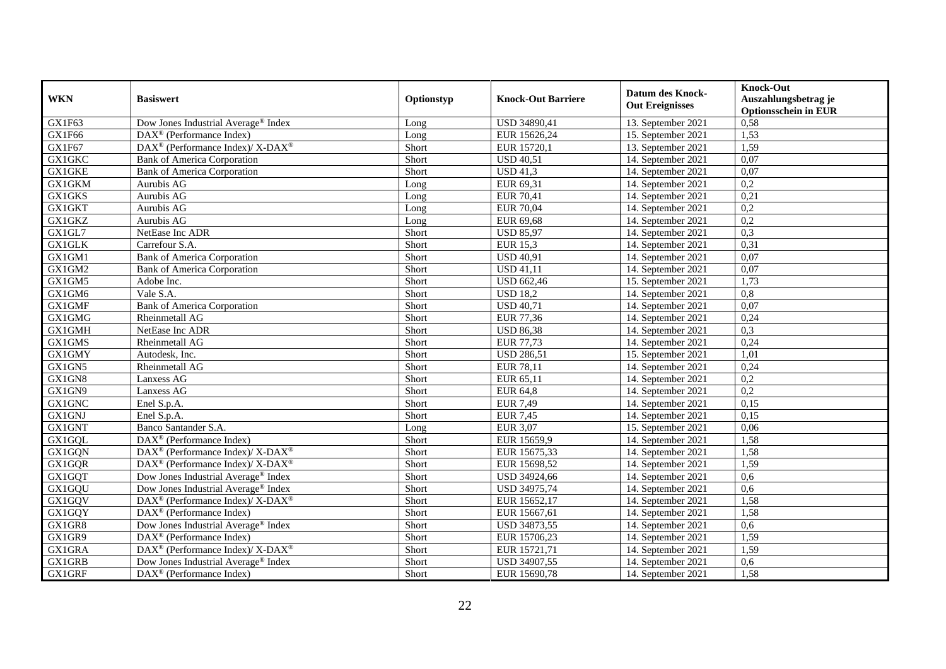| <b>WKN</b>    | <b>Basiswert</b>                                         | Optionstyp | <b>Knock-Out Barriere</b> | <b>Datum des Knock-</b><br><b>Out Ereignisses</b> | <b>Knock-Out</b><br>Auszahlungsbetrag je<br><b>Optionsschein in EUR</b> |
|---------------|----------------------------------------------------------|------------|---------------------------|---------------------------------------------------|-------------------------------------------------------------------------|
| GX1F63        | Dow Jones Industrial Average <sup>®</sup> Index          | Long       | USD 34890,41              | 13. September 2021                                | 0,58                                                                    |
| GX1F66        | $DAX^{\circledR}$ (Performance Index)                    | Long       | EUR 15626,24              | 15. September 2021                                | 1,53                                                                    |
| GX1F67        | DAX <sup>®</sup> (Performance Index)/ X-DAX <sup>®</sup> | Short      | EUR 15720,1               | 13. September 2021                                | 1,59                                                                    |
| GX1GKC        | <b>Bank of America Corporation</b>                       | Short      | <b>USD 40,51</b>          | 14. September 2021                                | 0,07                                                                    |
| GX1GKE        | <b>Bank of America Corporation</b>                       | Short      | $\overline{USD41,3}$      | 14. September 2021                                | 0,07                                                                    |
| GX1GKM        | Aurubis AG                                               | Long       | EUR 69,31                 | 14. September 2021                                | 0,2                                                                     |
| GX1GKS        | Aurubis AG                                               | Long       | <b>EUR 70,41</b>          | 14. September 2021                                | 0,21                                                                    |
| GX1GKT        | Aurubis AG                                               | Long       | <b>EUR 70,04</b>          | 14. September 2021                                | 0,2                                                                     |
| GX1GKZ        | Aurubis AG                                               | Long       | EUR 69,68                 | 14. September 2021                                | 0,2                                                                     |
| GX1GL7        | NetEase Inc ADR                                          | Short      | <b>USD 85,97</b>          | 14. September 2021                                | 0,3                                                                     |
| <b>GX1GLK</b> | Carrefour S.A.                                           | Short      | <b>EUR 15,3</b>           | 14. September 2021                                | 0,31                                                                    |
| GX1GM1        | <b>Bank of America Corporation</b>                       | Short      | <b>USD 40,91</b>          | 14. September 2021                                | 0,07                                                                    |
| GX1GM2        | <b>Bank of America Corporation</b>                       | Short      | <b>USD 41,11</b>          | 14. September 2021                                | 0,07                                                                    |
| GX1GM5        | Adobe Inc.                                               | Short      | <b>USD 662,46</b>         | 15. September 2021                                | 1,73                                                                    |
| GX1GM6        | Vale S.A.                                                | Short      | <b>USD 18,2</b>           | 14. September 2021                                | 0,8                                                                     |
| GX1GMF        | <b>Bank of America Corporation</b>                       | Short      | <b>USD 40,71</b>          | 14. September 2021                                | 0,07                                                                    |
| GX1GMG        | Rheinmetall AG                                           | Short      | <b>EUR 77,36</b>          | 14. September 2021                                | 0,24                                                                    |
| GX1GMH        | NetEase Inc ADR                                          | Short      | <b>USD 86,38</b>          | 14. September 2021                                | 0.3                                                                     |
| <b>GX1GMS</b> | Rheinmetall AG                                           | Short      | <b>EUR 77,73</b>          | 14. September 2021                                | 0,24                                                                    |
| GX1GMY        | Autodesk, Inc.                                           | Short      | <b>USD 286,51</b>         | 15. September 2021                                | 1,01                                                                    |
| GX1GN5        | Rheinmetall AG                                           | Short      | <b>EUR 78,11</b>          | 14. September 2021                                | 0,24                                                                    |
| GX1GN8        | Lanxess AG                                               | Short      | EUR 65,11                 | 14. September 2021                                | 0,2                                                                     |
| GX1GN9        | Lanxess AG                                               | Short      | <b>EUR 64,8</b>           | 14. September 2021                                | 0,2                                                                     |
| <b>GX1GNC</b> | Enel S.p.A.                                              | Short      | <b>EUR 7,49</b>           | 14. September 2021                                | 0,15                                                                    |
| <b>GX1GNJ</b> | Enel S.p.A.                                              | Short      | <b>EUR 7,45</b>           | 14. September 2021                                | 0,15                                                                    |
| GX1GNT        | Banco Santander S.A.                                     | Long       | <b>EUR 3,07</b>           | 15. September 2021                                | 0,06                                                                    |
| GX1GQL        | DAX <sup>®</sup> (Performance Index)                     | Short      | EUR 15659,9               | 14. September 2021                                | 1,58                                                                    |
| GX1GQN        | DAX <sup>®</sup> (Performance Index)/ X-DAX <sup>®</sup> | Short      | EUR 15675,33              | 14. September 2021                                | 1,58                                                                    |
| <b>GX1GQR</b> | DAX <sup>®</sup> (Performance Index)/ X-DAX <sup>®</sup> | Short      | EUR 15698,52              | 14. September 2021                                | 1,59                                                                    |
| GX1GQT        | Dow Jones Industrial Average <sup>®</sup> Index          | Short      | USD 34924,66              | 14. September 2021                                | 0.6                                                                     |
| GX1GQU        | Dow Jones Industrial Average <sup>®</sup> Index          | Short      | USD 34975,74              | 14. September 2021                                | 0,6                                                                     |
| GX1GQV        | DAX <sup>®</sup> (Performance Index)/ X-DAX <sup>®</sup> | Short      | EUR 15652,17              | 14. September 2021                                | 1,58                                                                    |
| GX1GQY        | DAX <sup>®</sup> (Performance Index)                     | Short      | EUR 15667,61              | 14. September 2021                                | 1,58                                                                    |
| GX1GR8        | Dow Jones Industrial Average® Index                      | Short      | USD 34873,55              | $14.$ September 2021                              | 0,6                                                                     |
| GX1GR9        | $\text{DAX}^{\textcircled{}}$ (Performance Index)        | Short      | EUR 15706,23              | 14. September 2021                                | 1,59                                                                    |
| GX1GRA        | DAX <sup>®</sup> (Performance Index)/ X-DAX <sup>®</sup> | Short      | EUR 15721,71              | 14. September 2021                                | 1,59                                                                    |
| GX1GRB        | Dow Jones Industrial Average® Index                      | Short      | USD 34907,55              | 14. September 2021                                | 0,6                                                                     |
| GX1GRF        | DAX <sup>®</sup> (Performance Index)                     | Short      | EUR 15690,78              | 14. September 2021                                | 1,58                                                                    |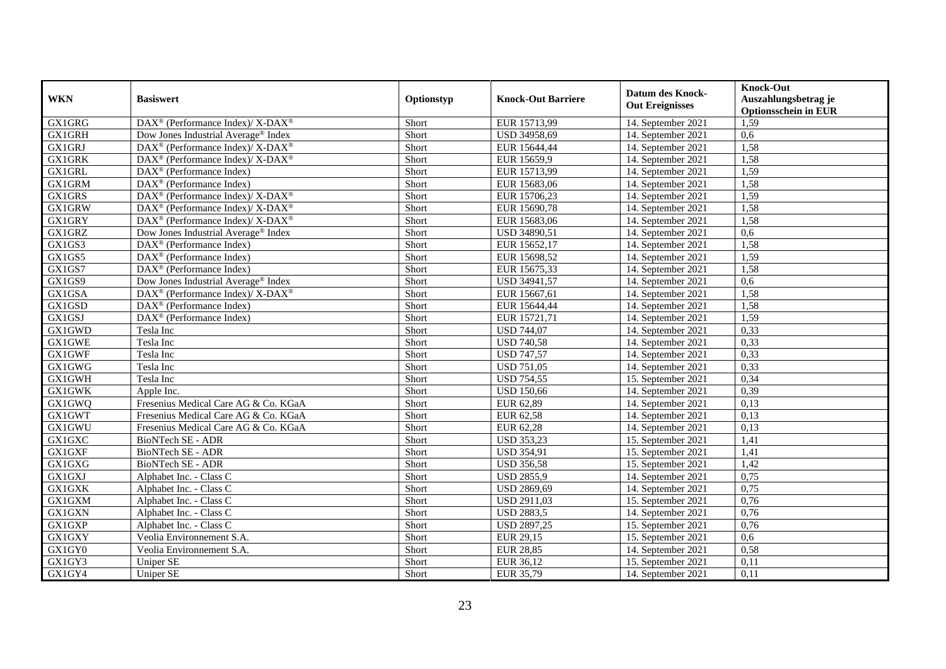| <b>WKN</b>    | <b>Basiswert</b>                                                                       | Optionstyp | <b>Knock-Out Barriere</b> | <b>Datum des Knock-</b><br><b>Out Ereignisses</b> | <b>Knock-Out</b><br>Auszahlungsbetrag je<br><b>Optionsschein in EUR</b> |
|---------------|----------------------------------------------------------------------------------------|------------|---------------------------|---------------------------------------------------|-------------------------------------------------------------------------|
| GX1GRG        | $\overline{\text{DAX}^{\textcircled{\tiny 0}}}$ (Performance Index)/X-DAX <sup>®</sup> | Short      | EUR 15713,99              | 14. September 2021                                | 1,59                                                                    |
| <b>GX1GRH</b> | Dow Jones Industrial Average® Index                                                    | Short      | USD 34958,69              | 14. September 2021                                | 0,6                                                                     |
| GX1GRJ        | DAX <sup>®</sup> (Performance Index)/ X-DAX <sup>®</sup>                               | Short      | EUR 15644,44              | 14. September 2021                                | 1,58                                                                    |
| <b>GX1GRK</b> | DAX <sup>®</sup> (Performance Index)/ X-DAX <sup>®</sup>                               | Short      | EUR 15659,9               | 14. September 2021                                | 1,58                                                                    |
| <b>GX1GRL</b> | DAX <sup>®</sup> (Performance Index)                                                   | Short      | EUR 15713,99              | 14. September 2021                                | 1,59                                                                    |
| <b>GX1GRM</b> | $\text{DAX}^{\textcircled{p}}$ (Performance Index)                                     | Short      | EUR 15683,06              | 14. September 2021                                | 1,58                                                                    |
| GX1GRS        | $DAX^{\circledcirc}$ (Performance Index)/X-DAX <sup>®</sup>                            | Short      | EUR 15706,23              | 14. September 2021                                | 1,59                                                                    |
| GX1GRW        | DAX <sup>®</sup> (Performance Index)/ X-DAX <sup>®</sup>                               | Short      | EUR 15690,78              | 14. September 2021                                | 1,58                                                                    |
| GX1GRY        | DAX <sup>®</sup> (Performance Index)/ X-DAX <sup>®</sup>                               | Short      | EUR 15683,06              | 14. September 2021                                | 1,58                                                                    |
| GX1GRZ        | Dow Jones Industrial Average <sup>®</sup> Index                                        | Short      | USD 34890,51              | 14. September 2021                                | 0,6                                                                     |
| GX1GS3        | DAX <sup>®</sup> (Performance Index)                                                   | Short      | EUR 15652,17              | 14. September 2021                                | 1,58                                                                    |
| GX1GS5        | $\overline{\text{DAX}^{\otimes}}$ (Performance Index)                                  | Short      | EUR 15698,52              | 14. September 2021                                | 1,59                                                                    |
| GX1GS7        | DAX <sup>®</sup> (Performance Index)                                                   | Short      | EUR 15675,33              | 14. September 2021                                | 1,58                                                                    |
| GX1GS9        | Dow Jones Industrial Average <sup>®</sup> Index                                        | Short      | USD 34941,57              | 14. September 2021                                | 0,6                                                                     |
| GX1GSA        | DAX <sup>®</sup> (Performance Index)/ X-DAX <sup>®</sup>                               | Short      | EUR 15667,61              | 14. September 2021                                | 1,58                                                                    |
| GX1GSD        | DAX <sup>®</sup> (Performance Index)                                                   | Short      | EUR 15644,44              | 14. September 2021                                | 1,58                                                                    |
| GX1GSJ        | DAX <sup>®</sup> (Performance Index)                                                   | Short      | EUR 15721,71              | 14. September 2021                                | 1,59                                                                    |
| GX1GWD        | Tesla Inc                                                                              | Short      | <b>USD 744,07</b>         | 14. September 2021                                | 0,33                                                                    |
| GX1GWE        | Tesla Inc                                                                              | Short      | <b>USD 740,58</b>         | 14. September 2021                                | 0,33                                                                    |
| GX1GWF        | Tesla Inc                                                                              | Short      | <b>USD 747,57</b>         | 14. September 2021                                | 0,33                                                                    |
| <b>GX1GWG</b> | Tesla Inc                                                                              | Short      | <b>USD 751,05</b>         | 14. September 2021                                | 0,33                                                                    |
| <b>GX1GWH</b> | Tesla Inc                                                                              | Short      | <b>USD 754,55</b>         | 15. September 2021                                | 0,34                                                                    |
| <b>GX1GWK</b> | Apple Inc.                                                                             | Short      | <b>USD 150,66</b>         | 14. September 2021                                | 0,39                                                                    |
| GX1GWQ        | Fresenius Medical Care AG & Co. KGaA                                                   | Short      | EUR 62,89                 | 14. September 2021                                | 0,13                                                                    |
| GX1GWT        | Fresenius Medical Care AG & Co. KGaA                                                   | Short      | EUR 62,58                 | 14. September 2021                                | 0,13                                                                    |
| GX1GWU        | Fresenius Medical Care AG & Co. KGaA                                                   | Short      | EUR 62,28                 | 14. September 2021                                | 0,13                                                                    |
| GX1GXC        | BioNTech SE - ADR                                                                      | Short      | <b>USD 353,23</b>         | 15. September 2021                                | 1,41                                                                    |
| GX1GXF        | <b>BioNTech SE - ADR</b>                                                               | Short      | <b>USD 354,91</b>         | 15. September 2021                                | 1,41                                                                    |
| GX1GXG        | BioNTech SE - ADR                                                                      | Short      | <b>USD 356,58</b>         | 15. September 2021                                | 1,42                                                                    |
| GX1GXJ        | Alphabet Inc. - Class C                                                                | Short      | <b>USD 2855,9</b>         | 14. September 2021                                | 0,75                                                                    |
| GX1GXK        | Alphabet Inc. - Class C                                                                | Short      | USD 2869,69               | 14. September 2021                                | 0,75                                                                    |
| <b>GX1GXM</b> | Alphabet Inc. - Class C                                                                | Short      | <b>USD 2911,03</b>        | 15. September 2021                                | 0,76                                                                    |
| <b>GX1GXN</b> | Alphabet Inc. - Class C                                                                | Short      | <b>USD 2883,5</b>         | 14. September 2021                                | 0,76                                                                    |
| GX1GXP        | Alphabet Inc. - Class C                                                                | Short      | <b>USD 2897,25</b>        | 15. September 2021                                | 0,76                                                                    |
| GX1GXY        | Veolia Environnement S.A.                                                              | Short      | EUR 29,15                 | 15. September 2021                                | 0,6                                                                     |
| GX1GY0        | Veolia Environnement S.A.                                                              | Short      | <b>EUR 28,85</b>          | 14. September 2021                                | 0,58                                                                    |
| GX1GY3        | Uniper SE                                                                              | Short      | EUR 36,12                 | 15. September 2021                                | 0,11                                                                    |
| GX1GY4        | <b>Uniper SE</b>                                                                       | Short      | EUR 35,79                 | 14. September 2021                                | 0,11                                                                    |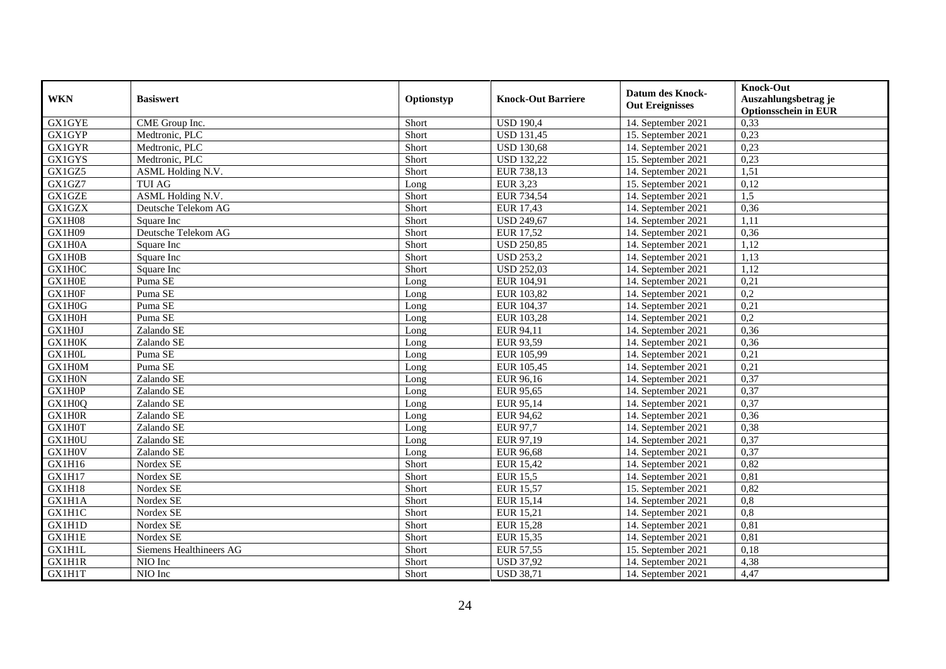| <b>WKN</b>    | <b>Basiswert</b>        | Optionstyp | <b>Knock-Out Barriere</b> | <b>Datum des Knock-</b><br><b>Out Ereignisses</b> | <b>Knock-Out</b><br>Auszahlungsbetrag je<br><b>Optionsschein in EUR</b> |
|---------------|-------------------------|------------|---------------------------|---------------------------------------------------|-------------------------------------------------------------------------|
| <b>GX1GYE</b> | CME Group Inc.          | Short      | <b>USD 190,4</b>          | 14. September 2021                                | 0,33                                                                    |
| <b>GX1GYP</b> | Medtronic, PLC          | Short      | <b>USD 131,45</b>         | 15. September 2021                                | 0,23                                                                    |
| <b>GX1GYR</b> | Medtronic, PLC          | Short      | <b>USD 130,68</b>         | 14. September 2021                                | 0,23                                                                    |
| GX1GYS        | Medtronic, PLC          | Short      | <b>USD 132,22</b>         | 15. September 2021                                | 0,23                                                                    |
| GX1GZ5        | ASML Holding N.V.       | Short      | EUR 738,13                | 14. September 2021                                | 1,51                                                                    |
| GX1GZ7        | <b>TUI AG</b>           | Long       | <b>EUR 3,23</b>           | 15. September 2021                                | 0,12                                                                    |
| <b>GX1GZE</b> | ASML Holding N.V.       | Short      | EUR 734,54                | 14. September 2021                                | 1,5                                                                     |
| GX1GZX        | Deutsche Telekom AG     | Short      | <b>EUR 17,43</b>          | 14. September 2021                                | 0,36                                                                    |
| GX1H08        | Square Inc              | Short      | <b>USD 249,67</b>         | 14. September 2021                                | 1,11                                                                    |
| GX1H09        | Deutsche Telekom AG     | Short      | <b>EUR 17,52</b>          | 14. September 2021                                | 0,36                                                                    |
| GX1H0A        | Square Inc              | Short      | <b>USD 250,85</b>         | 14. September 2021                                | 1,12                                                                    |
| GX1H0B        | Square Inc              | Short      | <b>USD 253,2</b>          | 14. September 2021                                | 1,13                                                                    |
| GX1H0C        | Square Inc              | Short      | <b>USD 252,03</b>         | 14. September 2021                                | 1,12                                                                    |
| GX1H0E        | Puma SE                 | Long       | EUR 104,91                | 14. September 2021                                | 0,21                                                                    |
| GX1H0F        | Puma SE                 | Long       | EUR 103,82                | 14. September 2021                                | 0,2                                                                     |
| GX1H0G        | Puma SE                 | Long       | EUR 104,37                | 14. September 2021                                | 0,21                                                                    |
| GX1H0H        | Puma SE                 | Long       | EUR 103,28                | 14. September 2021                                | 0,2                                                                     |
| GX1H0J        | Zalando SE              | Long       | EUR 94,11                 | 14. September 2021                                | 0,36                                                                    |
| GX1H0K        | Zalando SE              | Long       | EUR 93,59                 | 14. September 2021                                | 0,36                                                                    |
| GX1H0L        | Puma SE                 | Long       | EUR 105,99                | 14. September 2021                                | 0,21                                                                    |
| GX1H0M        | Puma SE                 | Long       | EUR 105,45                | 14. September 2021                                | 0,21                                                                    |
| GX1H0N        | Zalando SE              | Long       | EUR 96,16                 | 14. September 2021                                | 0,37                                                                    |
| GX1H0P        | Zalando SE              | Long       | <b>EUR 95,65</b>          | 14. September 2021                                | 0,37                                                                    |
| GX1H0Q        | Zalando SE              | Long       | EUR 95,14                 | 14. September 2021                                | 0,37                                                                    |
| GX1H0R        | Zalando SE              | Long       | EUR 94,62                 | 14. September 2021                                | 0,36                                                                    |
| GX1H0T        | Zalando SE              | Long       | EUR 97,7                  | 14. September 2021                                | 0,38                                                                    |
| GX1H0U        | Zalando SE              | Long       | EUR 97,19                 | 14. September 2021                                | 0,37                                                                    |
| GX1H0V        | Zalando SE              | Long       | <b>EUR 96,68</b>          | 14. September 2021                                | 0,37                                                                    |
| GX1H16        | Nordex SE               | Short      | <b>EUR 15,42</b>          | 14. September 2021                                | 0,82                                                                    |
| GX1H17        | Nordex SE               | Short      | <b>EUR 15,5</b>           | 14. September 2021                                | 0,81                                                                    |
| GX1H18        | Nordex SE               | Short      | <b>EUR 15,57</b>          | 15. September 2021                                | 0,82                                                                    |
| GX1H1A        | Nordex SE               | Short      | <b>EUR 15,14</b>          | 14. September 2021                                | $\overline{0,8}$                                                        |
| <b>GX1H1C</b> | Nordex SE               | Short      | EUR 15,21                 | 14. September 2021                                | 0,8                                                                     |
| GX1H1D        | Nordex SE               | Short      | <b>EUR 15,28</b>          | 14. September 2021                                | 0,81                                                                    |
| <b>GX1H1E</b> | Nordex SE               | Short      | <b>EUR 15,35</b>          | 14. September 2021                                | 0,81                                                                    |
| <b>GX1H1L</b> | Siemens Healthineers AG | Short      | <b>EUR 57,55</b>          | 15. September 2021                                | 0,18                                                                    |
| GX1H1R        | NIO Inc                 | Short      | <b>USD 37,92</b>          | 14. September 2021                                | 4,38                                                                    |
| GX1H1T        | NIO Inc                 | Short      | <b>USD 38,71</b>          | 14. September 2021                                | 4,47                                                                    |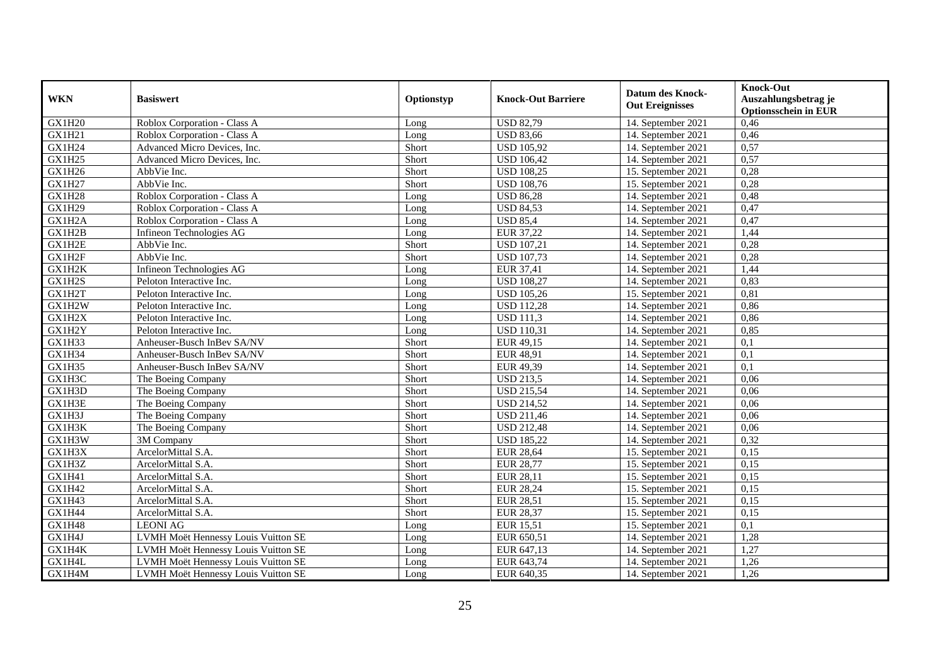| <b>WKN</b>    | <b>Basiswert</b>                    | Optionstyp | <b>Knock-Out Barriere</b> | <b>Datum des Knock-</b><br><b>Out Ereignisses</b> | <b>Knock-Out</b><br>Auszahlungsbetrag je<br><b>Optionsschein in EUR</b> |
|---------------|-------------------------------------|------------|---------------------------|---------------------------------------------------|-------------------------------------------------------------------------|
| GX1H20        | Roblox Corporation - Class A        | Long       | <b>USD 82,79</b>          | 14. September 2021                                | 0,46                                                                    |
| <b>GX1H21</b> | Roblox Corporation - Class A        | Long       | <b>USD 83,66</b>          | 14. September 2021                                | 0,46                                                                    |
| GX1H24        | Advanced Micro Devices, Inc.        | Short      | <b>USD 105,92</b>         | 14. September 2021                                | 0,57                                                                    |
| GX1H25        | Advanced Micro Devices, Inc.        | Short      | <b>USD 106,42</b>         | 14. September 2021                                | 0,57                                                                    |
| GX1H26        | AbbVie Inc.                         | Short      | <b>USD 108,25</b>         | 15. September 2021                                | 0,28                                                                    |
| GX1H27        | AbbVie Inc.                         | Short      | <b>USD 108,76</b>         | 15. September 2021                                | 0,28                                                                    |
| <b>GX1H28</b> | Roblox Corporation - Class A        | Long       | <b>USD 86,28</b>          | 14. September 2021                                | 0,48                                                                    |
| GX1H29        | Roblox Corporation - Class A        | Long       | <b>USD 84,53</b>          | 14. September 2021                                | 0,47                                                                    |
| GX1H2A        | Roblox Corporation - Class A        | Long       | <b>USD 85,4</b>           | 14. September 2021                                | 0,47                                                                    |
| GX1H2B        | Infineon Technologies AG            | Long       | <b>EUR 37,22</b>          | 14. September 2021                                | 1,44                                                                    |
| GX1H2E        | AbbVie Inc.                         | Short      | <b>USD 107,21</b>         | 14. September 2021                                | 0,28                                                                    |
| GX1H2F        | AbbVie Inc.                         | Short      | <b>USD 107,73</b>         | 14. September 2021                                | 0,28                                                                    |
| GX1H2K        | Infineon Technologies AG            | Long       | EUR 37,41                 | 14. September 2021                                | 1,44                                                                    |
| GX1H2S        | Peloton Interactive Inc.            | Long       | <b>USD 108,27</b>         | 14. September 2021                                | 0,83                                                                    |
| GX1H2T        | Peloton Interactive Inc.            | Long       | <b>USD 105,26</b>         | 15. September 2021                                | 0,81                                                                    |
| GX1H2W        | Peloton Interactive Inc.            | Long       | <b>USD 112,28</b>         | 14. September 2021                                | 0,86                                                                    |
| GX1H2X        | Peloton Interactive Inc.            | Long       | <b>USD 111,3</b>          | 14. September 2021                                | 0,86                                                                    |
| GX1H2Y        | Peloton Interactive Inc.            | Long       | <b>USD 110,31</b>         | 14. September 2021                                | 0.85                                                                    |
| GX1H33        | Anheuser-Busch InBev SA/NV          | Short      | EUR 49,15                 | 14. September 2021                                | 0,1                                                                     |
| GX1H34        | Anheuser-Busch InBev SA/NV          | Short      | <b>EUR 48,91</b>          | 14. September 2021                                | $\overline{0,1}$                                                        |
| GX1H35        | Anheuser-Busch InBev SA/NV          | Short      | EUR 49,39                 | 14. September 2021                                | 0,1                                                                     |
| GX1H3C        | The Boeing Company                  | Short      | <b>USD 213,5</b>          | 14. September 2021                                | 0,06                                                                    |
| GX1H3D        | The Boeing Company                  | Short      | <b>USD 215,54</b>         | 14. September 2021                                | 0,06                                                                    |
| GX1H3E        | The Boeing Company                  | Short      | <b>USD 214,52</b>         | 14. September 2021                                | 0,06                                                                    |
| GX1H3J        | The Boeing Company                  | Short      | <b>USD 211,46</b>         | 14. September 2021                                | 0,06                                                                    |
| GX1H3K        | The Boeing Company                  | Short      | <b>USD 212,48</b>         | 14. September 2021                                | 0,06                                                                    |
| GX1H3W        | 3M Company                          | Short      | <b>USD 185,22</b>         | 14. September 2021                                | 0,32                                                                    |
| GX1H3X        | ArcelorMittal S.A.                  | Short      | <b>EUR 28,64</b>          | 15. September 2021                                | 0,15                                                                    |
| GX1H3Z        | ArcelorMittal S.A.                  | Short      | <b>EUR 28,77</b>          | 15. September 2021                                | 0,15                                                                    |
| GX1H41        | ArcelorMittal S.A.                  | Short      | <b>EUR 28,11</b>          | 15. September 2021                                | 0,15                                                                    |
| GX1H42        | ArcelorMittal S.A.                  | Short      | <b>EUR 28,24</b>          | 15. September 2021                                | 0,15                                                                    |
| GX1H43        | ArcelorMittal S.A.                  | Short      | <b>EUR 28,51</b>          | 15. September 2021                                | 0,15                                                                    |
| GX1H44        | ArcelorMittal S.A.                  | Short      | <b>EUR 28,37</b>          | 15. September 2021                                | 0,15                                                                    |
| GX1H48        | <b>LEONI AG</b>                     | Long       | <b>EUR 15,51</b>          | 15. September 2021                                | $\overline{0,1}$                                                        |
| GX1H4J        | LVMH Moët Hennessy Louis Vuitton SE | Long       | EUR 650,51                | 14. September 2021                                | 1,28                                                                    |
| GX1H4K        | LVMH Moët Hennessy Louis Vuitton SE | Long       | EUR 647,13                | 14. September 2021                                | 1,27                                                                    |
| GX1H4L        | LVMH Moët Hennessy Louis Vuitton SE | Long       | EUR 643,74                | 14. September 2021                                | 1,26                                                                    |
| GX1H4M        | LVMH Moët Hennessy Louis Vuitton SE | Long       | EUR 640,35                | 14. September 2021                                | 1,26                                                                    |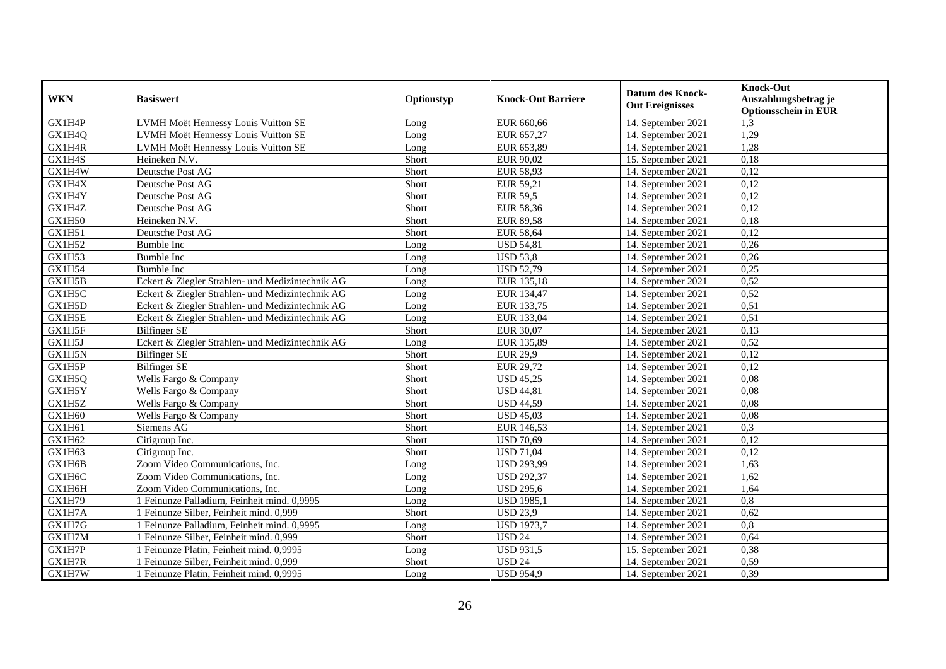| <b>WKN</b>    | <b>Basiswert</b>                                 | Optionstyp | <b>Knock-Out Barriere</b> | <b>Datum des Knock-</b><br><b>Out Ereignisses</b> | <b>Knock-Out</b><br>Auszahlungsbetrag je<br><b>Optionsschein in EUR</b> |
|---------------|--------------------------------------------------|------------|---------------------------|---------------------------------------------------|-------------------------------------------------------------------------|
| GX1H4P        | LVMH Moët Hennessy Louis Vuitton SE              | Long       | EUR 660,66                | 14. September 2021                                | 1,3                                                                     |
| GX1H4Q        | LVMH Moët Hennessy Louis Vuitton SE              | Long       | EUR 657,27                | 14. September 2021                                | 1,29                                                                    |
| GX1H4R        | LVMH Moët Hennessy Louis Vuitton SE              | Long       | EUR 653,89                | 14. September 2021                                | 1,28                                                                    |
| GX1H4S        | Heineken N.V.                                    | Short      | EUR 90,02                 | 15. September 2021                                | 0,18                                                                    |
| GX1H4W        | Deutsche Post AG                                 | Short      | <b>EUR 58,93</b>          | 14. September 2021                                | 0,12                                                                    |
| GX1H4X        | Deutsche Post AG                                 | Short      | EUR 59,21                 | 14. September 2021                                | 0,12                                                                    |
| GX1H4Y        | Deutsche Post AG                                 | Short      | <b>EUR 59,5</b>           | 14. September 2021                                | 0,12                                                                    |
| GX1H4Z        | Deutsche Post AG                                 | Short      | <b>EUR 58,36</b>          | 14. September 2021                                | 0,12                                                                    |
| GX1H50        | Heineken N.V.                                    | Short      | <b>EUR 89,58</b>          | 14. September 2021                                | 0,18                                                                    |
| GX1H51        | Deutsche Post AG                                 | Short      | <b>EUR 58,64</b>          | 14. September 2021                                | 0,12                                                                    |
| GX1H52        | <b>Bumble Inc</b>                                | Long       | <b>USD 54,81</b>          | 14. September 2021                                | 0,26                                                                    |
| GX1H53        | <b>Bumble Inc</b>                                | Long       | <b>USD 53,8</b>           | 14. September 2021                                | 0,26                                                                    |
| <b>GX1H54</b> | <b>Bumble Inc</b>                                | Long       | <b>USD 52,79</b>          | 14. September 2021                                | 0,25                                                                    |
| GX1H5B        | Eckert & Ziegler Strahlen- und Medizintechnik AG | Long       | EUR 135,18                | 14. September 2021                                | 0,52                                                                    |
| GX1H5C        | Eckert & Ziegler Strahlen- und Medizintechnik AG | Long       | EUR 134,47                | 14. September 2021                                | 0,52                                                                    |
| GX1H5D        | Eckert & Ziegler Strahlen- und Medizintechnik AG | Long       | EUR 133,75                | 14. September 2021                                | 0,51                                                                    |
| GX1H5E        | Eckert & Ziegler Strahlen- und Medizintechnik AG | Long       | EUR 133,04                | 14. September 2021                                | 0,51                                                                    |
| GX1H5F        | <b>Bilfinger SE</b>                              | Short      | EUR 30.07                 | 14. September 2021                                | 0,13                                                                    |
| GX1H5J        | Eckert & Ziegler Strahlen- und Medizintechnik AG | Long       | EUR 135,89                | 14. September 2021                                | 0,52                                                                    |
| GX1H5N        | <b>Bilfinger SE</b>                              | Short      | <b>EUR 29,9</b>           | 14. September 2021                                | 0,12                                                                    |
| GX1H5P        | Bilfinger SE                                     | Short      | EUR 29,72                 | 14. September 2021                                | 0,12                                                                    |
| GX1H5Q        | Wells Fargo & Company                            | Short      | <b>USD 45,25</b>          | 14. September 2021                                | 0.08                                                                    |
| GX1H5Y        | Wells Fargo & Company                            | Short      | <b>USD 44,81</b>          | 14. September 2021                                | 0,08                                                                    |
| GX1H5Z        | Wells Fargo & Company                            | Short      | <b>USD 44,59</b>          | 14. September 2021                                | 0,08                                                                    |
| GX1H60        | Wells Fargo & Company                            | Short      | <b>USD 45,03</b>          | 14. September 2021                                | 0,08                                                                    |
| GX1H61        | Siemens AG                                       | Short      | EUR 146,53                | 14. September 2021                                | 0,3                                                                     |
| GX1H62        | Citigroup Inc.                                   | Short      | <b>USD 70,69</b>          | 14. September 2021                                | 0,12                                                                    |
| GX1H63        | Citigroup Inc.                                   | Short      | <b>USD 71,04</b>          | 14. September 2021                                | 0,12                                                                    |
| GX1H6B        | Zoom Video Communications, Inc.                  | Long       | <b>USD 293,99</b>         | 14. September 2021                                | 1,63                                                                    |
| GX1H6C        | Zoom Video Communications, Inc.                  | Long       | <b>USD 292,37</b>         | 14. September 2021                                | 1,62                                                                    |
| GX1H6H        | Zoom Video Communications, Inc.                  | Long       | <b>USD 295,6</b>          | 14. September 2021                                | 1,64                                                                    |
| GX1H79        | 1 Feinunze Palladium, Feinheit mind. 0,9995      | Long       | <b>USD 1985,1</b>         | 14. September 2021                                | 0,8                                                                     |
| GX1H7A        | 1 Feinunze Silber, Feinheit mind. 0,999          | Short      | <b>USD 23,9</b>           | 14. September 2021                                | 0,62                                                                    |
| GX1H7G        | 1 Feinunze Palladium, Feinheit mind. 0,9995      | Long       | <b>USD 1973,7</b>         | 14. September 2021                                | $\overline{0,8}$                                                        |
| GX1H7M        | 1 Feinunze Silber, Feinheit mind. 0,999          | Short      | <b>USD 24</b>             | 14. September 2021                                | 0,64                                                                    |
| GX1H7P        | Feinunze Platin, Feinheit mind. 0,9995           | Long       | <b>USD 931,5</b>          | 15. September 2021                                | 0,38                                                                    |
| GX1H7R        | Feinunze Silber, Feinheit mind. 0,999            | Short      | <b>USD 24</b>             | 14. September 2021                                | 0,59                                                                    |
| GX1H7W        | 1 Feinunze Platin, Feinheit mind. 0,9995         | Long       | <b>USD 954,9</b>          | 14. September 2021                                | 0,39                                                                    |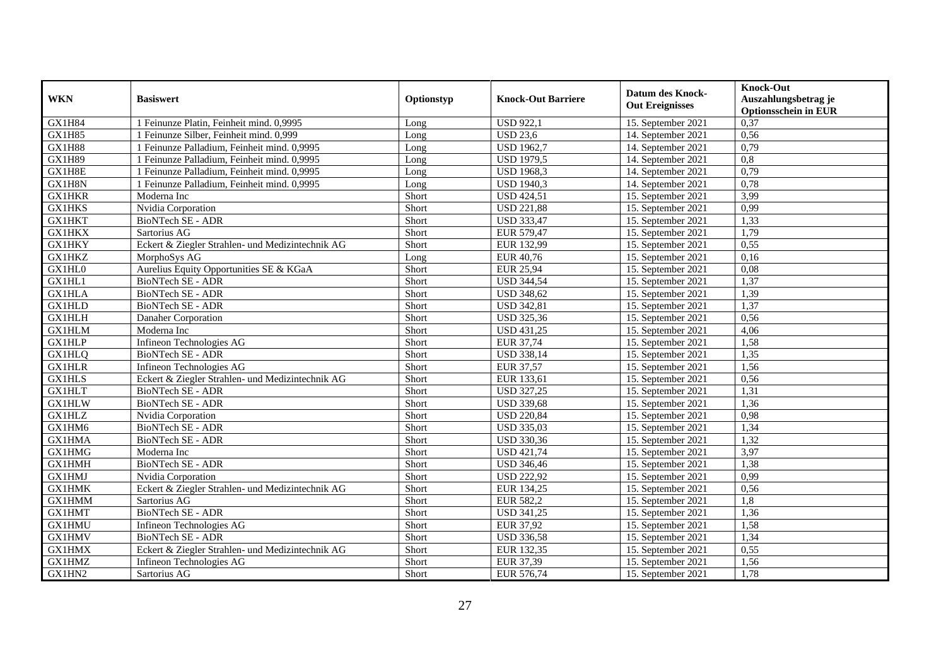| <b>WKN</b>    | <b>Basiswert</b>                                 | Optionstyp | <b>Knock-Out Barriere</b> | <b>Datum des Knock-</b><br><b>Out Ereignisses</b> | <b>Knock-Out</b><br>Auszahlungsbetrag je<br><b>Optionsschein in EUR</b> |
|---------------|--------------------------------------------------|------------|---------------------------|---------------------------------------------------|-------------------------------------------------------------------------|
| GX1H84        | 1 Feinunze Platin, Feinheit mind. 0,9995         | Long       | <b>USD 922,1</b>          | 15. September 2021                                | 0,37                                                                    |
| <b>GX1H85</b> | 1 Feinunze Silber, Feinheit mind. 0,999          | Long       | <b>USD 23.6</b>           | 14. September 2021                                | 0,56                                                                    |
| <b>GX1H88</b> | 1 Feinunze Palladium, Feinheit mind. 0,9995      | Long       | <b>USD 1962,7</b>         | 14. September 2021                                | 0,79                                                                    |
| <b>GX1H89</b> | 1 Feinunze Palladium, Feinheit mind. 0,9995      | Long       | <b>USD 1979,5</b>         | 14. September 2021                                | $\overline{0,8}$                                                        |
| GX1H8E        | 1 Feinunze Palladium, Feinheit mind. 0,9995      | Long       | <b>USD 1968,3</b>         | 14. September 2021                                | 0,79                                                                    |
| GX1H8N        | 1 Feinunze Palladium, Feinheit mind. 0,9995      | Long       | <b>USD 1940,3</b>         | 14. September 2021                                | 0,78                                                                    |
| <b>GX1HKR</b> | Moderna Inc                                      | Short      | <b>USD 424,51</b>         | 15. September 2021                                | 3,99                                                                    |
| <b>GX1HKS</b> | Nvidia Corporation                               | Short      | <b>USD 221,88</b>         | 15. September 2021                                | 0,99                                                                    |
| <b>GX1HKT</b> | BioNTech SE - ADR                                | Short      | <b>USD 333,47</b>         | 15. September 2021                                | 1,33                                                                    |
| <b>GX1HKX</b> | Sartorius AG                                     | Short      | EUR 579,47                | 15. September 2021                                | 1,79                                                                    |
| <b>GX1HKY</b> | Eckert & Ziegler Strahlen- und Medizintechnik AG | Short      | EUR 132,99                | 15. September 2021                                | 0,55                                                                    |
| <b>GX1HKZ</b> | MorphoSys AG                                     | Long       | <b>EUR 40,76</b>          | 15. September 2021                                | 0,16                                                                    |
| GX1HL0        | Aurelius Equity Opportunities SE & KGaA          | Short      | <b>EUR 25,94</b>          | 15. September 2021                                | 0,08                                                                    |
| GX1HL1        | BioNTech SE - ADR                                | Short      | <b>USD 344,54</b>         | 15. September 2021                                | 1,37                                                                    |
| GX1HLA        | BioNTech SE - ADR                                | Short      | <b>USD 348,62</b>         | 15. September 2021                                | 1,39                                                                    |
| <b>GX1HLD</b> | BioNTech SE - ADR                                | Short      | <b>USD 342,81</b>         | 15. September 2021                                | 1,37                                                                    |
| <b>GX1HLH</b> | Danaher Corporation                              | Short      | <b>USD 325,36</b>         | 15. September 2021                                | 0,56                                                                    |
| <b>GX1HLM</b> | Moderna Inc                                      | Short      | <b>USD 431,25</b>         | 15. September 2021                                | 4.06                                                                    |
| <b>GX1HLP</b> | Infineon Technologies AG                         | Short      | EUR 37,74                 | 15. September 2021                                | 1,58                                                                    |
| <b>GX1HLQ</b> | BioNTech SE - ADR                                | Short      | <b>USD 338,14</b>         | 15. September 2021                                | 1,35                                                                    |
| <b>GX1HLR</b> | Infineon Technologies AG                         | Short      | <b>EUR 37,57</b>          | 15. September 2021                                | 1,56                                                                    |
| <b>GX1HLS</b> | Eckert & Ziegler Strahlen- und Medizintechnik AG | Short      | EUR 133,61                | 15. September 2021                                | 0,56                                                                    |
| <b>GX1HLT</b> | <b>BioNTech SE - ADR</b>                         | Short      | <b>USD 327,25</b>         | 15. September 2021                                | 1,31                                                                    |
| <b>GX1HLW</b> | BioNTech SE - ADR                                | Short      | <b>USD 339,68</b>         | 15. September 2021                                | 1,36                                                                    |
| <b>GX1HLZ</b> | Nvidia Corporation                               | Short      | <b>USD 220,84</b>         | 15. September 2021                                | 0,98                                                                    |
| GX1HM6        | BioNTech SE - ADR                                | Short      | <b>USD 335,03</b>         | 15. September 2021                                | 1,34                                                                    |
| <b>GX1HMA</b> | BioNTech SE - ADR                                | Short      | <b>USD 330,36</b>         | 15. September 2021                                | 1,32                                                                    |
| <b>GX1HMG</b> | Moderna Inc                                      | Short      | <b>USD 421,74</b>         | 15. September 2021                                | 3,97                                                                    |
| <b>GX1HMH</b> | <b>BioNTech SE - ADR</b>                         | Short      | <b>USD 346,46</b>         | 15. September 2021                                | 1,38                                                                    |
| <b>GX1HMJ</b> | Nvidia Corporation                               | Short      | <b>USD 222,92</b>         | 15. September 2021                                | 0,99                                                                    |
| <b>GX1HMK</b> | Eckert & Ziegler Strahlen- und Medizintechnik AG | Short      | EUR 134,25                | 15. September 2021                                | 0,56                                                                    |
| <b>GX1HMM</b> | Sartorius AG                                     | Short      | <b>EUR 582,2</b>          | 15. September 2021                                | $\overline{1,8}$                                                        |
| <b>GX1HMT</b> | BioNTech SE - ADR                                | Short      | <b>USD 341,25</b>         | 15. September 2021                                | 1,36                                                                    |
| <b>GX1HMU</b> | Infineon Technologies AG                         | Short      | <b>EUR 37,92</b>          | 15. September 2021                                | 1,58                                                                    |
| <b>GX1HMV</b> | <b>BioNTech SE - ADR</b>                         | Short      | <b>USD 336,58</b>         | 15. September 2021                                | 1,34                                                                    |
| <b>GX1HMX</b> | Eckert & Ziegler Strahlen- und Medizintechnik AG | Short      | EUR 132,35                | 15. September 2021                                | 0,55                                                                    |
| GX1HMZ        | Infineon Technologies AG                         | Short      | EUR 37,39                 | 15. September 2021                                | 1,56                                                                    |
| GX1HN2        | Sartorius AG                                     | Short      | EUR 576,74                | 15. September 2021                                | 1,78                                                                    |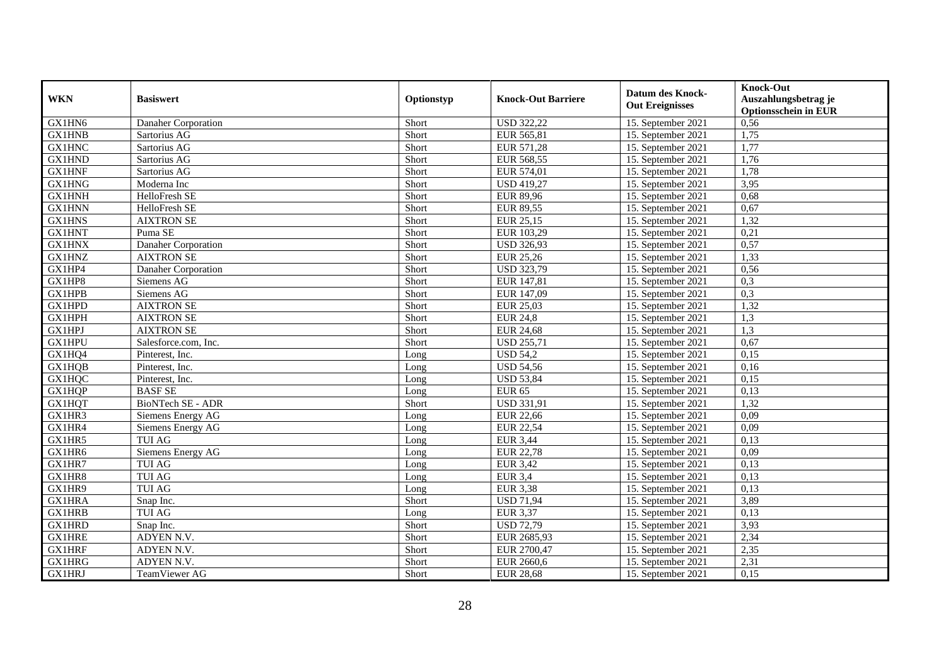| <b>WKN</b>    | <b>Basiswert</b>         | Optionstyp | <b>Knock-Out Barriere</b> | <b>Datum des Knock-</b><br><b>Out Ereignisses</b> | <b>Knock-Out</b><br>Auszahlungsbetrag je<br><b>Optionsschein in EUR</b> |
|---------------|--------------------------|------------|---------------------------|---------------------------------------------------|-------------------------------------------------------------------------|
| GX1HN6        | Danaher Corporation      | Short      | <b>USD 322,22</b>         | 15. September 2021                                | 0,56                                                                    |
| <b>GX1HNB</b> | Sartorius AG             | Short      | EUR 565,81                | 15. September 2021                                | 1,75                                                                    |
| <b>GX1HNC</b> | Sartorius AG             | Short      | EUR 571,28                | 15. September 2021                                | 1,77                                                                    |
| <b>GX1HND</b> | Sartorius AG             | Short      | EUR 568,55                | 15. September 2021                                | 1,76                                                                    |
| <b>GX1HNF</b> | Sartorius AG             | Short      | EUR 574,01                | 15. September 2021                                | 1,78                                                                    |
| <b>GX1HNG</b> | Moderna Inc              | Short      | <b>USD 419,27</b>         | 15. September 2021                                | 3,95                                                                    |
| <b>GX1HNH</b> | HelloFresh SE            | Short      | <b>EUR 89,96</b>          | 15. September 2021                                | 0,68                                                                    |
| <b>GX1HNN</b> | HelloFresh SE            | Short      | <b>EUR 89,55</b>          | 15. September 2021                                | 0,67                                                                    |
| <b>GX1HNS</b> | <b>AIXTRON SE</b>        | Short      | <b>EUR 25,15</b>          | 15. September 2021                                | 1,32                                                                    |
| <b>GX1HNT</b> | Puma SE                  | Short      | EUR 103,29                | 15. September 2021                                | 0,21                                                                    |
| <b>GX1HNX</b> | Danaher Corporation      | Short      | <b>USD 326,93</b>         | 15. September 2021                                | 0,57                                                                    |
| <b>GX1HNZ</b> | <b>AIXTRON SE</b>        | Short      | <b>EUR 25,26</b>          | 15. September 2021                                | 1,33                                                                    |
| GX1HP4        | Danaher Corporation      | Short      | <b>USD 323,79</b>         | 15. September 2021                                | 0,56                                                                    |
| GX1HP8        | Siemens AG               | Short      | EUR 147,81                | 15. September 2021                                | 0,3                                                                     |
| <b>GX1HPB</b> | Siemens AG               | Short      | EUR 147,09                | 15. September 2021                                | 0,3                                                                     |
| GX1HPD        | <b>AIXTRON SE</b>        | Short      | <b>EUR 25,03</b>          | 15. September 2021                                | 1,32                                                                    |
| GX1HPH        | <b>AIXTRON SE</b>        | Short      | <b>EUR 24,8</b>           | 15. September 2021                                | 1,3                                                                     |
| <b>GX1HPJ</b> | <b>AIXTRON SE</b>        | Short      | <b>EUR 24,68</b>          | 15. September 2021                                | 1,3                                                                     |
| <b>GX1HPU</b> | Salesforce.com, Inc.     | Short      | <b>USD 255,71</b>         | 15. September 2021                                | 0,67                                                                    |
| GX1HQ4        | Pinterest, Inc.          | Long       | <b>USD 54,2</b>           | 15. September 2021                                | 0,15                                                                    |
| <b>GX1HQB</b> | Pinterest, Inc.          | Long       | <b>USD 54,56</b>          | 15. September 2021                                | 0,16                                                                    |
| <b>GX1HQC</b> | Pinterest, Inc.          | Long       | <b>USD 53,84</b>          | 15. September 2021                                | 0,15                                                                    |
| <b>GX1HQP</b> | <b>BASF SE</b>           | Long       | <b>EUR 65</b>             | 15. September 2021                                | 0,13                                                                    |
| <b>GX1HQT</b> | <b>BioNTech SE - ADR</b> | Short      | <b>USD 331,91</b>         | 15. September 2021                                | 1,32                                                                    |
| GX1HR3        | Siemens Energy AG        | Long       | <b>EUR 22,66</b>          | 15. September 2021                                | 0,09                                                                    |
| GX1HR4        | Siemens Energy AG        | Long       | <b>EUR 22,54</b>          | 15. September 2021                                | 0,09                                                                    |
| GX1HR5        | <b>TUI AG</b>            | Long       | <b>EUR 3,44</b>           | 15. September 2021                                | 0,13                                                                    |
| GX1HR6        | Siemens Energy AG        | Long       | <b>EUR 22,78</b>          | 15. September 2021                                | 0,09                                                                    |
| GX1HR7        | <b>TUI AG</b>            | Long       | <b>EUR 3,42</b>           | 15. September 2021                                | 0,13                                                                    |
| GX1HR8        | <b>TUI AG</b>            | Long       | <b>EUR 3,4</b>            | 15. September 2021                                | 0,13                                                                    |
| GX1HR9        | <b>TUI AG</b>            | Long       | <b>EUR 3,38</b>           | 15. September 2021                                | 0,13                                                                    |
| <b>GX1HRA</b> | Snap Inc.                | Short      | <b>USD 71,94</b>          | 15. September 2021                                | 3,89                                                                    |
| <b>GX1HRB</b> | <b>TUI AG</b>            | Long       | <b>EUR 3,37</b>           | 15. September 2021                                | 0,13                                                                    |
| <b>GX1HRD</b> | Snap Inc.                | Short      | <b>USD 72,79</b>          | 15. September 2021                                | 3,93                                                                    |
| <b>GX1HRE</b> | ADYEN N.V.               | Short      | EUR 2685,93               | 15. September 2021                                | 2,34                                                                    |
| <b>GX1HRF</b> | ADYEN N.V.               | Short      | EUR 2700,47               | 15. September 2021                                | 2,35                                                                    |
| <b>GX1HRG</b> | ADYEN N.V.               | Short      | EUR 2660,6                | 15. September 2021                                | 2,31                                                                    |
| <b>GX1HRJ</b> | TeamViewer AG            | Short      | <b>EUR 28,68</b>          | 15. September 2021                                | 0,15                                                                    |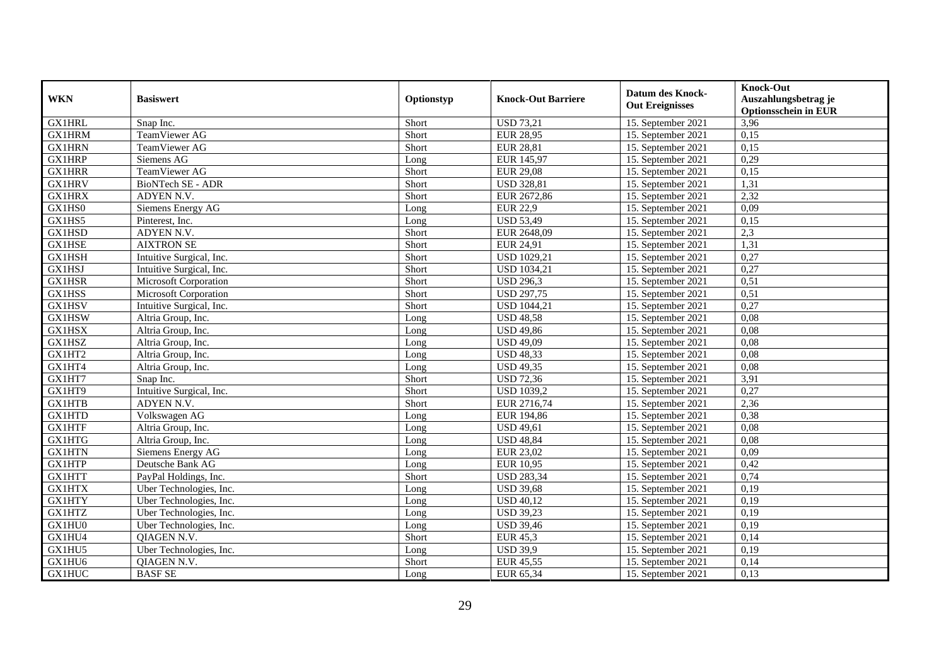| <b>WKN</b>    | <b>Basiswert</b>         | Optionstyp | <b>Knock-Out Barriere</b> | <b>Datum des Knock-</b><br><b>Out Ereignisses</b> | <b>Knock-Out</b><br>Auszahlungsbetrag je<br><b>Optionsschein in EUR</b> |
|---------------|--------------------------|------------|---------------------------|---------------------------------------------------|-------------------------------------------------------------------------|
| <b>GX1HRL</b> | Snap Inc.                | Short      | <b>USD 73,21</b>          | 15. September 2021                                | 3,96                                                                    |
| <b>GX1HRM</b> | TeamViewer AG            | Short      | <b>EUR 28,95</b>          | 15. September 2021                                | 0,15                                                                    |
| <b>GX1HRN</b> | TeamViewer AG            | Short      | <b>EUR 28,81</b>          | 15. September 2021                                | 0,15                                                                    |
| <b>GX1HRP</b> | Siemens AG               | Long       | EUR 145,97                | 15. September 2021                                | 0,29                                                                    |
| <b>GX1HRR</b> | TeamViewer AG            | Short      | <b>EUR 29,08</b>          | 15. September 2021                                | 0,15                                                                    |
| <b>GX1HRV</b> | BioNTech SE - ADR        | Short      | <b>USD 328,81</b>         | 15. September 2021                                | 1,31                                                                    |
| <b>GX1HRX</b> | ADYEN N.V.               | Short      | EUR 2672,86               | 15. September 2021                                | 2,32                                                                    |
| GX1HS0        | Siemens Energy AG        | Long       | <b>EUR 22,9</b>           | 15. September 2021                                | 0,09                                                                    |
| GX1HS5        | Pinterest, Inc.          | Long       | <b>USD 53,49</b>          | 15. September 2021                                | 0,15                                                                    |
| GX1HSD        | ADYEN N.V.               | Short      | EUR 2648,09               | 15. September 2021                                | 2,3                                                                     |
| <b>GX1HSE</b> | <b>AIXTRON SE</b>        | Short      | EUR 24,91                 | 15. September 2021                                | 1,31                                                                    |
| <b>GX1HSH</b> | Intuitive Surgical, Inc. | Short      | <b>USD 1029,21</b>        | 15. September 2021                                | 0,27                                                                    |
| <b>GX1HSJ</b> | Intuitive Surgical, Inc. | Short      | <b>USD 1034,21</b>        | 15. September 2021                                | 0,27                                                                    |
| <b>GX1HSR</b> | Microsoft Corporation    | Short      | <b>USD 296,3</b>          | 15. September 2021                                | 0,51                                                                    |
| GX1HSS        | Microsoft Corporation    | Short      | <b>USD 297,75</b>         | 15. September 2021                                | 0,51                                                                    |
| <b>GX1HSV</b> | Intuitive Surgical, Inc. | Short      | <b>USD 1044,21</b>        | 15. September 2021                                | 0,27                                                                    |
| <b>GX1HSW</b> | Altria Group, Inc.       | Long       | <b>USD 48,58</b>          | 15. September 2021                                | 0,08                                                                    |
| <b>GX1HSX</b> | Altria Group, Inc.       | Long       | <b>USD 49,86</b>          | 15. September 2021                                | 0,08                                                                    |
| GX1HSZ        | Altria Group, Inc.       | Long       | <b>USD 49,09</b>          | 15. September 2021                                | 0,08                                                                    |
| GX1HT2        | Altria Group, Inc.       | Long       | <b>USD 48,33</b>          | 15. September 2021                                | 0,08                                                                    |
| GX1HT4        | Altria Group, Inc.       | Long       | <b>USD 49,35</b>          | 15. September 2021                                | 0,08                                                                    |
| GX1HT7        | Snap Inc.                | Short      | <b>USD 72,36</b>          | 15. September 2021                                | 3,91                                                                    |
| GX1HT9        | Intuitive Surgical, Inc. | Short      | <b>USD 1039,2</b>         | 15. September 2021                                | 0,27                                                                    |
| <b>GX1HTB</b> | ADYEN N.V.               | Short      | EUR 2716,74               | 15. September 2021                                | 2,36                                                                    |
| <b>GX1HTD</b> | Volkswagen AG            | Long       | EUR 194,86                | 15. September 2021                                | 0,38                                                                    |
| <b>GX1HTF</b> | Altria Group, Inc.       | Long       | <b>USD 49,61</b>          | 15. September 2021                                | 0.08                                                                    |
| <b>GX1HTG</b> | Altria Group, Inc.       | Long       | <b>USD 48,84</b>          | 15. September 2021                                | 0,08                                                                    |
| <b>GX1HTN</b> | Siemens Energy AG        | Long       | <b>EUR 23,02</b>          | 15. September 2021                                | 0,09                                                                    |
| <b>GX1HTP</b> | Deutsche Bank AG         | Long       | <b>EUR 10,95</b>          | 15. September 2021                                | 0,42                                                                    |
| <b>GX1HTT</b> | PayPal Holdings, Inc.    | Short      | <b>USD 283,34</b>         | 15. September 2021                                | 0,74                                                                    |
| <b>GX1HTX</b> | Uber Technologies, Inc.  | Long       | <b>USD 39,68</b>          | 15. September 2021                                | 0,19                                                                    |
| <b>GX1HTY</b> | Uber Technologies, Inc.  | Long       | <b>USD 40,12</b>          | 15. September 2021                                | 0,19                                                                    |
| <b>GX1HTZ</b> | Uber Technologies, Inc.  | Long       | <b>USD 39,23</b>          | 15. September 2021                                | 0,19                                                                    |
| GX1HU0        | Uber Technologies, Inc.  | Long       | <b>USD 39,46</b>          | 15. September 2021                                | 0,19                                                                    |
| GX1HU4        | QIAGEN N.V.              | Short      | <b>EUR 45,3</b>           | 15. September 2021                                | 0,14                                                                    |
| GX1HU5        | Uber Technologies, Inc.  | Long       | <b>USD 39,9</b>           | 15. September 2021                                | 0,19                                                                    |
| GX1HU6        | QIAGEN N.V.              | Short      | <b>EUR 45,55</b>          | 15. September 2021                                | 0,14                                                                    |
| <b>GX1HUC</b> | <b>BASF SE</b>           | Long       | EUR 65,34                 | 15. September 2021                                | 0,13                                                                    |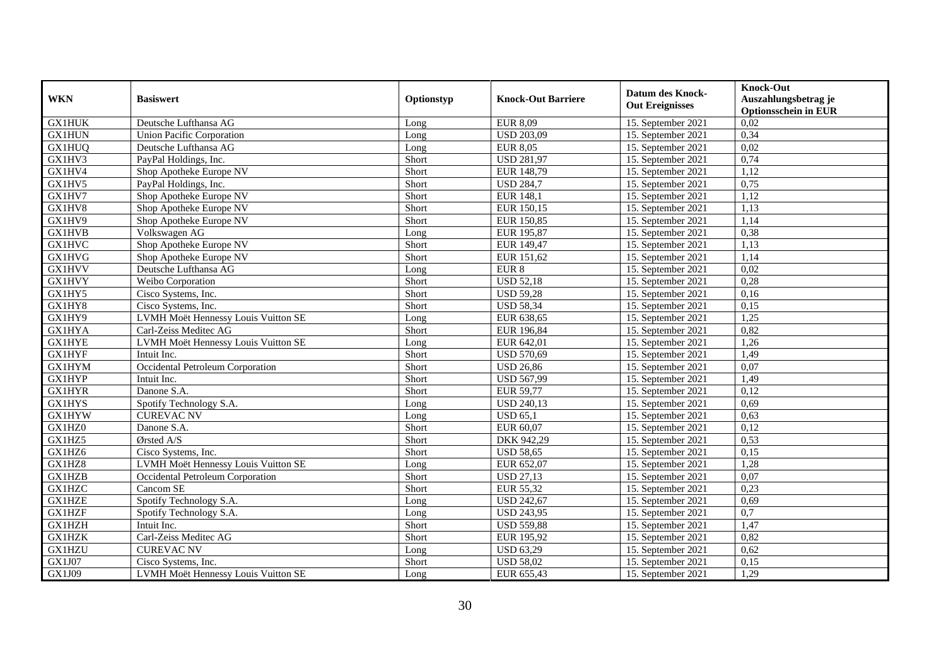| <b>WKN</b>    | <b>Basiswert</b>                    | Optionstyp | <b>Knock-Out Barriere</b> | <b>Datum des Knock-</b><br><b>Out Ereignisses</b> | <b>Knock-Out</b><br>Auszahlungsbetrag je<br><b>Optionsschein in EUR</b> |
|---------------|-------------------------------------|------------|---------------------------|---------------------------------------------------|-------------------------------------------------------------------------|
| <b>GX1HUK</b> | Deutsche Lufthansa AG               | Long       | <b>EUR 8,09</b>           | 15. September 2021                                | 0,02                                                                    |
| <b>GX1HUN</b> | <b>Union Pacific Corporation</b>    | Long       | <b>USD 203,09</b>         | 15. September 2021                                | 0,34                                                                    |
| <b>GX1HUQ</b> | Deutsche Lufthansa AG               | Long       | <b>EUR 8,05</b>           | 15. September 2021                                | 0,02                                                                    |
| GX1HV3        | PayPal Holdings, Inc.               | Short      | <b>USD 281,97</b>         | 15. September 2021                                | 0,74                                                                    |
| GX1HV4        | Shop Apotheke Europe NV             | Short      | EUR 148,79                | 15. September 2021                                | 1,12                                                                    |
| GX1HV5        | PayPal Holdings, Inc.               | Short      | <b>USD 284,7</b>          | 15. September 2021                                | 0,75                                                                    |
| GX1HV7        | Shop Apotheke Europe NV             | Short      | <b>EUR 148,1</b>          | 15. September 2021                                | 1,12                                                                    |
| GX1HV8        | Shop Apotheke Europe NV             | Short      | EUR 150,15                | 15. September 2021                                | 1,13                                                                    |
| GX1HV9        | Shop Apotheke Europe NV             | Short      | EUR 150,85                | 15. September 2021                                | 1,14                                                                    |
| <b>GX1HVB</b> | Volkswagen AG                       | Long       | EUR 195,87                | 15. September 2021                                | 0,38                                                                    |
| <b>GX1HVC</b> | Shop Apotheke Europe NV             | Short      | EUR 149,47                | 15. September 2021                                | 1,13                                                                    |
| <b>GX1HVG</b> | Shop Apotheke Europe NV             | Short      | EUR 151,62                | 15. September 2021                                | 1,14                                                                    |
| <b>GX1HVV</b> | Deutsche Lufthansa AG               | Long       | EUR 8                     | 15. September 2021                                | 0,02                                                                    |
| <b>GX1HVY</b> | Weibo Corporation                   | Short      | <b>USD 52,18</b>          | 15. September 2021                                | 0,28                                                                    |
| GX1HY5        | Cisco Systems, Inc.                 | Short      | <b>USD 59,28</b>          | 15. September 2021                                | 0,16                                                                    |
| GX1HY8        | Cisco Systems, Inc.                 | Short      | <b>USD 58,34</b>          | 15. September 2021                                | 0,15                                                                    |
| GX1HY9        | LVMH Moët Hennessy Louis Vuitton SE | Long       | EUR 638,65                | 15. September 2021                                | 1,25                                                                    |
| <b>GX1HYA</b> | Carl-Zeiss Meditec AG               | Short      | EUR 196,84                | 15. September 2021                                | 0,82                                                                    |
| <b>GX1HYE</b> | LVMH Moët Hennessy Louis Vuitton SE | Long       | EUR 642,01                | 15. September 2021                                | 1,26                                                                    |
| <b>GX1HYF</b> | Intuit Inc.                         | Short      | <b>USD 570,69</b>         | 15. September 2021                                | 1,49                                                                    |
| <b>GX1HYM</b> | Occidental Petroleum Corporation    | Short      | <b>USD 26,86</b>          | 15. September 2021                                | 0,07                                                                    |
| <b>GX1HYP</b> | Intuit Inc.                         | Short      | <b>USD 567,99</b>         | 15. September 2021                                | 1,49                                                                    |
| <b>GX1HYR</b> | Danone S.A.                         | Short      | <b>EUR 59,77</b>          | 15. September 2021                                | 0,12                                                                    |
| <b>GX1HYS</b> | Spotify Technology S.A.             | Long       | <b>USD 240,13</b>         | 15. September 2021                                | 0,69                                                                    |
| <b>GX1HYW</b> | <b>CUREVAC NV</b>                   | Long       | <b>USD 65,1</b>           | 15. September 2021                                | 0,63                                                                    |
| GX1HZ0        | Danone S.A.                         | Short      | EUR 60,07                 | 15. September 2021                                | 0,12                                                                    |
| GX1HZ5        | Ørsted A/S                          | Short      | DKK 942,29                | 15. September 2021                                | 0,53                                                                    |
| GX1HZ6        | Cisco Systems, Inc.                 | Short      | <b>USD 58,65</b>          | 15. September 2021                                | 0,15                                                                    |
| GX1HZ8        | LVMH Moët Hennessy Louis Vuitton SE | Long       | EUR 652,07                | 15. September 2021                                | 1,28                                                                    |
| GX1HZB        | Occidental Petroleum Corporation    | Short      | <b>USD 27,13</b>          | 15. September 2021                                | 0,07                                                                    |
| <b>GX1HZC</b> | Cancom SE                           | Short      | EUR 55,32                 | 15. September 2021                                | 0,23                                                                    |
| <b>GX1HZE</b> | Spotify Technology S.A.             | Long       | <b>USD 242,67</b>         | 15. September 2021                                | 0,69                                                                    |
| <b>GX1HZF</b> | Spotify Technology S.A.             | Long       | <b>USD 243,95</b>         | 15. September 2021                                | $\overline{0,7}$                                                        |
| <b>GX1HZH</b> | Intuit Inc.                         | Short      | <b>USD 559,88</b>         | 15. September 2021                                | 1,47                                                                    |
| <b>GX1HZK</b> | Carl-Zeiss Meditec AG               | Short      | EUR 195,92                | 15. September 2021                                | 0,82                                                                    |
| GX1HZU        | <b>CUREVAC NV</b>                   | Long       | <b>USD 63,29</b>          | 15. September 2021                                | 0,62                                                                    |
| GX1J07        | Cisco Systems, Inc.                 | Short      | <b>USD 58,02</b>          | 15. September 2021                                | 0,15                                                                    |
| GX1J09        | LVMH Moët Hennessy Louis Vuitton SE | Long       | EUR 655,43                | 15. September 2021                                | 1,29                                                                    |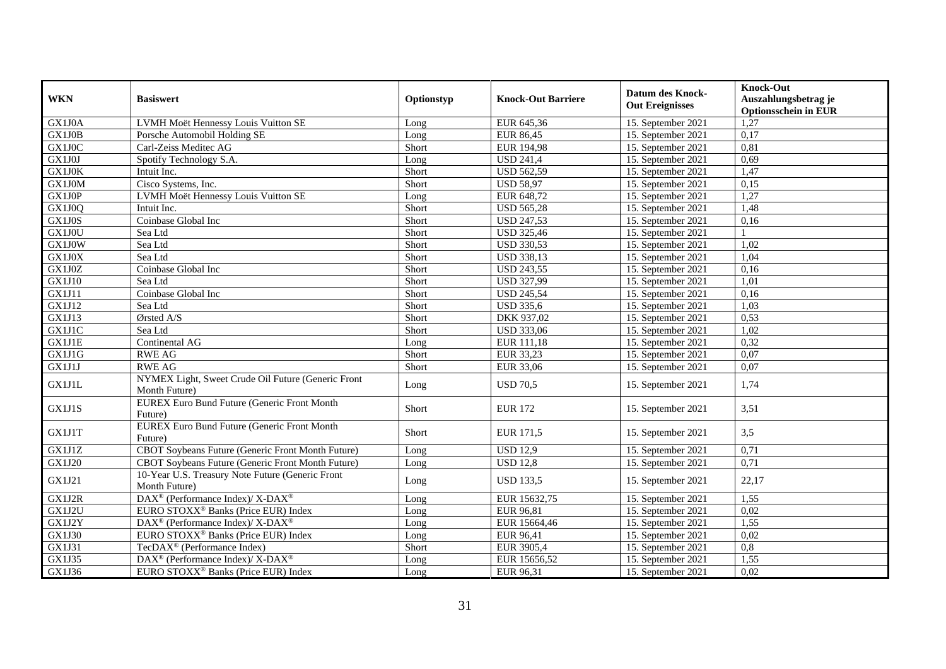| <b>WKN</b>    | <b>Basiswert</b>                                                    | Optionstyp   | <b>Knock-Out Barriere</b> | <b>Datum des Knock-</b><br><b>Out Ereignisses</b> | <b>Knock-Out</b><br>Auszahlungsbetrag je<br><b>Optionsschein in EUR</b> |
|---------------|---------------------------------------------------------------------|--------------|---------------------------|---------------------------------------------------|-------------------------------------------------------------------------|
| GX1J0A        | LVMH Moët Hennessy Louis Vuitton SE                                 | Long         | EUR 645,36                | 15. September 2021                                | 1,27                                                                    |
| GX1J0B        | Porsche Automobil Holding SE                                        | Long         | <b>EUR 86,45</b>          | 15. September 2021                                | 0,17                                                                    |
| GX1J0C        | Carl-Zeiss Meditec AG                                               | Short        | <b>EUR 194,98</b>         | 15. September 2021                                | 0,81                                                                    |
| GX1J0J        | Spotify Technology S.A.                                             | Long         | <b>USD 241,4</b>          | 15. September 2021                                | 0,69                                                                    |
| GX1J0K        | Intuit Inc.                                                         | Short        | <b>USD 562,59</b>         | 15. September 2021                                | 1,47                                                                    |
| GX1J0M        | Cisco Systems, Inc.                                                 | Short        | <b>USD 58,97</b>          | 15. September 2021                                | 0,15                                                                    |
| GX1J0P        | LVMH Moët Hennessy Louis Vuitton SE                                 | Long         | EUR 648,72                | 15. September 2021                                | 1.27                                                                    |
| GX1J0Q        | Intuit Inc.                                                         | Short        | <b>USD 565,28</b>         | 15. September 2021                                | 1,48                                                                    |
| GX1J0S        | Coinbase Global Inc                                                 | Short        | <b>USD 247,53</b>         | 15. September 2021                                | 0,16                                                                    |
| GX1J0U        | Sea Ltd                                                             | Short        | <b>USD 325,46</b>         | 15. September 2021                                |                                                                         |
| GX1J0W        | Sea Ltd                                                             | Short        | <b>USD 330,53</b>         | 15. September 2021                                | 1,02                                                                    |
| GX1J0X        | Sea Ltd                                                             | Short        | <b>USD 338,13</b>         | 15. September 2021                                | 1,04                                                                    |
| GX1J0Z        | Coinbase Global Inc                                                 | Short        | <b>USD 243,55</b>         | 15. September 2021                                | 0,16                                                                    |
| <b>GX1J10</b> | Sea Ltd                                                             | Short        | <b>USD 327,99</b>         | 15. September 2021                                | 1,01                                                                    |
| GX1J11        | Coinbase Global Inc                                                 | Short        | <b>USD 245,54</b>         | 15. September 2021                                | 0,16                                                                    |
| <b>GX1J12</b> | Sea Ltd                                                             | Short        | <b>USD 335,6</b>          | 15. September 2021                                | 1,03                                                                    |
| GX1J13        | Ørsted A/S                                                          | Short        | DKK 937,02                | 15. September 2021                                | 0,53                                                                    |
| <b>GX1J1C</b> | Sea Ltd                                                             | Short        | <b>USD 333,06</b>         | 15. September 2021                                | 1,02                                                                    |
| <b>GX1J1E</b> | Continental AG                                                      | Long         | EUR 111,18                | 15. September 2021                                | 0,32                                                                    |
| GX1J1G        | <b>RWE AG</b>                                                       | Short        | EUR 33,23                 | 15. September 2021                                | 0,07                                                                    |
| GX1J1J        | <b>RWE AG</b>                                                       | Short        | EUR 33,06                 | 15. September 2021                                | 0,07                                                                    |
| GX1J1L        | NYMEX Light, Sweet Crude Oil Future (Generic Front<br>Month Future) | Long         | <b>USD 70.5</b>           | 15. September 2021                                | 1,74                                                                    |
| GX1J1S        | <b>EUREX Euro Bund Future (Generic Front Month</b><br>Future)       | Short        | <b>EUR 172</b>            | 15. September 2021                                | 3,51                                                                    |
| GX1J1T        | <b>EUREX Euro Bund Future (Generic Front Month</b><br>Future)       | <b>Short</b> | EUR 171,5                 | 15. September 2021                                | 3,5                                                                     |
| GX1J1Z        | CBOT Soybeans Future (Generic Front Month Future)                   | Long         | <b>USD 12,9</b>           | 15. September 2021                                | 0,71                                                                    |
| <b>GX1J20</b> | CBOT Soybeans Future (Generic Front Month Future)                   | Long         | <b>USD 12,8</b>           | 15. September 2021                                | 0,71                                                                    |
| GX1J21        | 10-Year U.S. Treasury Note Future (Generic Front<br>Month Future)   | Long         | <b>USD 133,5</b>          | 15. September 2021                                | 22,17                                                                   |
| GX1J2R        | $\text{DAX}^{\circledR}$ (Performance Index)/ X-DAX <sup>®</sup>    | Long         | EUR 15632,75              | 15. September 2021                                | 1.55                                                                    |
| GX1J2U        | EURO STOXX <sup>®</sup> Banks (Price EUR) Index                     | Long         | <b>EUR 96,81</b>          | 15. September 2021                                | 0,02                                                                    |
| GX1J2Y        | DAX <sup>®</sup> (Performance Index)/ X-DAX <sup>®</sup>            | Long         | EUR 15664,46              | 15. September 2021                                | 1,55                                                                    |
| GX1J30        | EURO STOXX <sup>®</sup> Banks (Price EUR) Index                     | Long         | <b>EUR 96,41</b>          | 15. September 2021                                | 0,02                                                                    |
| GX1J31        | TecDAX <sup>®</sup> (Performance Index)                             | Short        | EUR 3905,4                | 15. September 2021                                | $\overline{0,8}$                                                        |
| GX1J35        | $\text{DAX}^{\circledR}$ (Performance Index)/ X-DAX <sup>®</sup>    | Long         | EUR 15656,52              | 15. September 2021                                | 1,55                                                                    |
| GX1J36        | EURO STOXX <sup>®</sup> Banks (Price EUR) Index                     | Long         | EUR 96,31                 | 15. September 2021                                | 0,02                                                                    |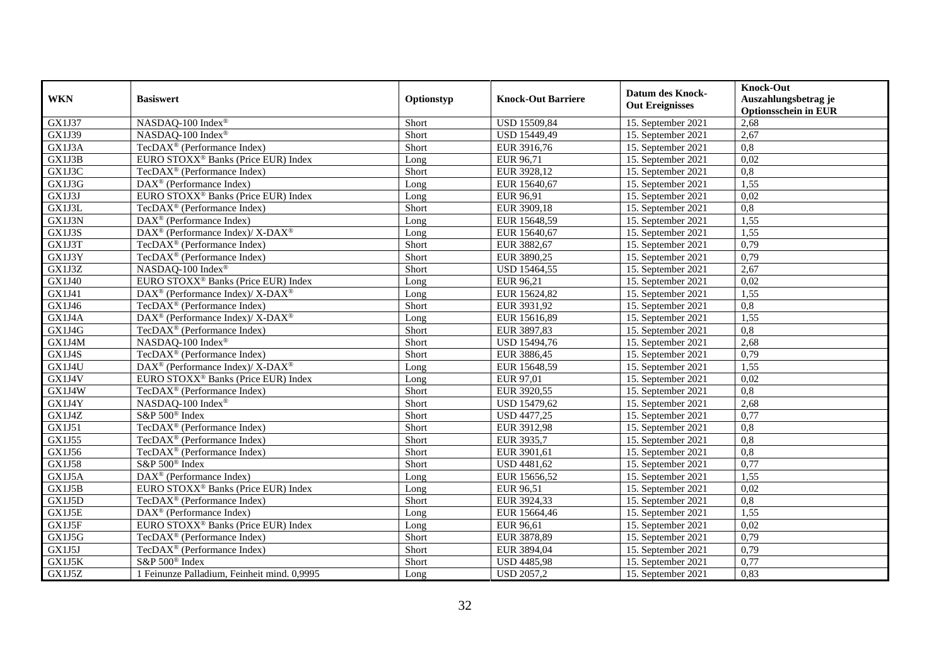| <b>WKN</b>    | <b>Basiswert</b>                                                                        | Optionstyp | <b>Knock-Out Barriere</b> | <b>Datum des Knock-</b><br><b>Out Ereignisses</b> | <b>Knock-Out</b><br>Auszahlungsbetrag je<br><b>Optionsschein in EUR</b> |
|---------------|-----------------------------------------------------------------------------------------|------------|---------------------------|---------------------------------------------------|-------------------------------------------------------------------------|
| GX1J37        | NASDAQ-100 Index®                                                                       | Short      | USD 15509,84              | 15. September 2021                                | 2,68                                                                    |
| GX1J39        | NASDAO-100 Index®                                                                       | Short      | USD 15449,49              | 15. September 2021                                | 2,67                                                                    |
| GX1J3A        | TecDAX <sup>®</sup> (Performance Index)                                                 | Short      | EUR 3916,76               | 15. September 2021                                | $\overline{0,8}$                                                        |
| GX1J3B        | EURO STOXX <sup>®</sup> Banks (Price EUR) Index                                         | Long       | EUR 96,71                 | 15. September 2021                                | 0,02                                                                    |
| GX1J3C        | TecDAX <sup>®</sup> (Performance Index)                                                 | Short      | EUR 3928,12               | 15. September 2021                                | $\overline{0,8}$                                                        |
| GX1J3G        | DAX <sup>®</sup> (Performance Index)                                                    | Long       | EUR 15640,67              | 15. September 2021                                | 1,55                                                                    |
| GX1J3J        | EURO STOXX <sup>®</sup> Banks (Price EUR) Index                                         | Long       | EUR 96,91                 | 15. September 2021                                | 0,02                                                                    |
| GX1J3L        | TecDA $X^{\circledR}$ (Performance Index)                                               | Short      | EUR 3909,18               | 15. September 2021                                | 0,8                                                                     |
| GX1J3N        | $\text{DAX}^{\textcircled{p}}$ (Performance Index)                                      | Long       | EUR 15648,59              | 15. September 2021                                | 1,55                                                                    |
| GX1J3S        | $\text{DAX}^{\textcircled{\tiny{\textcircled{\tiny \dag}}}}$ (Performance Index)/X-DAX® | Long       | EUR 15640,67              | 15. September 2021                                | 1,55                                                                    |
| GX1J3T        | TecDAX <sup>®</sup> (Performance Index)                                                 | Short      | EUR 3882,67               | 15. September 2021                                | 0,79                                                                    |
| GX1J3Y        | TecDAX <sup>®</sup> (Performance Index)                                                 | Short      | EUR 3890,25               | 15. September 2021                                | 0,79                                                                    |
| GX1J3Z        | NASDAQ-100 Index®                                                                       | Short      | USD 15464,55              | 15. September 2021                                | 2,67                                                                    |
| GX1J40        | EURO STOXX <sup>®</sup> Banks (Price EUR) Index                                         | Long       | EUR 96,21                 | 15. September 2021                                | 0,02                                                                    |
| GX1J41        | $\text{DAX}^{\circledR}$ (Performance Index)/ X-DAX <sup>®</sup>                        | Long       | EUR 15624,82              | 15. September 2021                                | 1,55                                                                    |
| GX1J46        | TecDAX <sup>®</sup> (Performance Index)                                                 | Short      | EUR 3931,92               | 15. September 2021                                | 0,8                                                                     |
| GX1J4A        | DAX <sup>®</sup> (Performance Index)/ X-DAX <sup>®</sup>                                | Long       | EUR 15616,89              | 15. September 2021                                | 1,55                                                                    |
| GX1J4G        | TecDAX <sup>®</sup> (Performance Index)                                                 | Short      | EUR 3897.83               | 15. September 2021                                | 0,8                                                                     |
| GX1J4M        | NASDAQ-100 Index®                                                                       | Short      | USD 15494,76              | 15. September 2021                                | 2,68                                                                    |
| GX1J4S        | TecDAX <sup>®</sup> (Performance Index)                                                 | Short      | EUR 3886,45               | 15. September 2021                                | 0,79                                                                    |
| GX1J4U        | $DAX^{\circledast}$ (Performance Index)/X-DAX <sup>®</sup>                              | Long       | EUR 15648,59              | 15. September 2021                                | 1,55                                                                    |
| GX1J4V        | EURO STOXX <sup>®</sup> Banks (Price EUR) Index                                         | Long       | <b>EUR 97,01</b>          | 15. September 2021                                | 0,02                                                                    |
| GX1J4W        | TecDAX <sup>®</sup> (Performance Index)                                                 | Short      | EUR 3920,55               | 15. September 2021                                | $\overline{0,8}$                                                        |
| GX1J4Y        | NASDAQ-100 Index®                                                                       | Short      | USD 15479,62              | 15. September 2021                                | 2,68                                                                    |
| GX1J4Z        | S&P 500 <sup>®</sup> Index                                                              | Short      | <b>USD 4477,25</b>        | 15. September 2021                                | 0,77                                                                    |
| GX1J51        | TecDAX <sup>®</sup> (Performance Index)                                                 | Short      | EUR 3912,98               | 15. September 2021                                | 0,8                                                                     |
| GX1J55        | TecDAX <sup>®</sup> (Performance Index)                                                 | Short      | EUR 3935,7                | 15. September 2021                                | 0,8                                                                     |
| GX1J56        | TecDAX <sup>®</sup> (Performance Index)                                                 | Short      | EUR 3901,61               | 15. September 2021                                | 0,8                                                                     |
| <b>GX1J58</b> | $S\&P 500^{\circ}$ Index                                                                | Short      | <b>USD 4481,62</b>        | 15. September 2021                                | 0,77                                                                    |
| GX1J5A        | DAX <sup>®</sup> (Performance Index)                                                    | Long       | EUR 15656,52              | 15. September 2021                                | 1,55                                                                    |
| GX1J5B        | EURO STOXX <sup>®</sup> Banks (Price EUR) Index                                         | Long       | EUR 96,51                 | 15. September 2021                                | 0,02                                                                    |
| GX1J5D        | TecDAX <sup>®</sup> (Performance Index)                                                 | Short      | EUR 3924,33               | 15. September 2021                                | $\overline{0,8}$                                                        |
| GX1J5E        | $\text{DAX}^{\textcircled{p}}$ (Performance Index)                                      | Long       | EUR 15664,46              | 15. September 2021                                | 1,55                                                                    |
| GX1J5F        | EURO STOXX <sup>®</sup> Banks (Price EUR) Index                                         | Long       | EUR 96,61                 | 15. September 2021                                | 0,02                                                                    |
| GX1J5G        | TecDAX <sup>®</sup> (Performance Index)                                                 | Short      | EUR 3878,89               | 15. September 2021                                | 0,79                                                                    |
| GX1J5J        | TecDAX <sup>®</sup> (Performance Index)                                                 | Short      | EUR 3894,04               | 15. September 2021                                | 0,79                                                                    |
| GX1J5K        | S&P 500 <sup>®</sup> Index                                                              | Short      | <b>USD 4485,98</b>        | 15. September 2021                                | 0,77                                                                    |
| GX1J5Z        | 1 Feinunze Palladium, Feinheit mind. 0,9995                                             | Long       | <b>USD 2057,2</b>         | 15. September 2021                                | 0,83                                                                    |